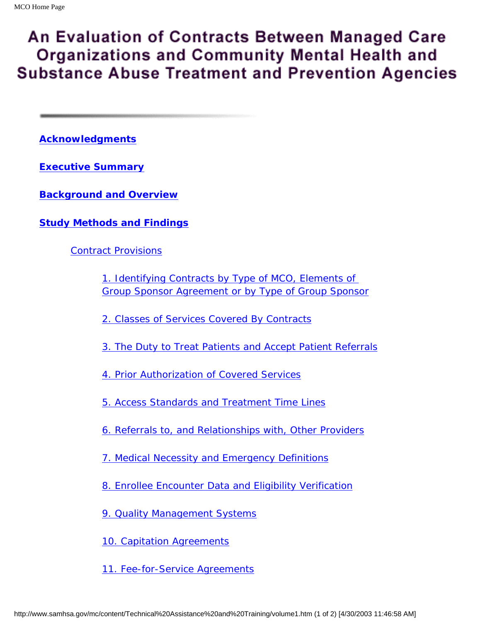# An Evaluation of Contracts Between Managed Care **Organizations and Community Mental Health and Substance Abuse Treatment and Prevention Agencies**

**[Acknowledgments](#page-2-0)**

**Executive Summary**

**[Background and Overview](#page-10-0)**

**[Study Methods and Findings](#page-14-0)**

[Contract Provisions](#page-14-1)

*[1. Identifying Contracts by Type of MCO, Elements of](#page-14-2)  [Group Sponsor Agreement or by Type of Group Sponsor](#page-14-2)*

*[2. Classes of Services Covered By Contracts](#page-16-0)*

*[3. The Duty to Treat Patients and Accept Patient Referrals](#page-17-0)*

*[4. Prior Authorization of Covered Services](#page-17-1)*

*[5. Access Standards and Treatment Time Lines](#page-20-0)*

*[6. Referrals to, and Relationships with, Other Providers](#page-20-1)*

*[7. Medical Necessity and Emergency Definitions](#page-21-0)*

*[8. Enrollee Encounter Data and Eligibility Verification](#page-22-0)*

*[9. Quality Management Systems](#page-22-1)*

*[10. Capitation Agreements](#page-23-0)*

*[11. Fee-for-Service Agreements](#page-24-0)*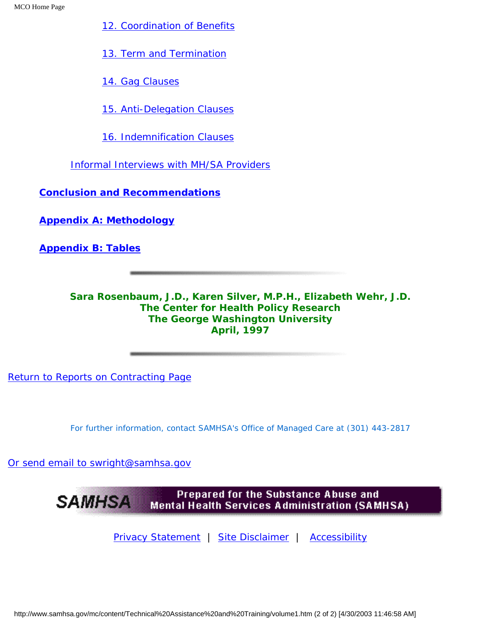*[12. Coordination of Benefits](#page-26-0)*

*[13. Term and Termination](#page-27-0)*

*[14. Gag Clauses](#page-29-0)*

*[15. Anti-Delegation Clauses](#page-29-1)*

*[16. Indemnification Clauses](#page-30-0)*

[Informal Interviews with MH/SA Providers](#page-30-1)

**[Conclusion and Recommendations](#page-34-0)**

**[Appendix A: Methodology](#page-37-0)**

**[Appendix B: Tables](#page-41-0)**

**Sara Rosenbaum, J.D., Karen Silver, M.P.H., Elizabeth Wehr, J.D. The Center for Health Policy Research The George Washington University April, 1997**

[Return to Reports on Contracting Page](http://www.samhsa.gov/mc/mcrpt/index.htm)

*For further information, contact SAMHSA's Office of Managed Care at (301) 443-2817*

[Or send email to swright@samhsa.gov](Mailto:swright@samhsa.gov)

Prepared for the Substance Abuse and **SAMHSA Mental Health Services Administration (SAMHSA)** 

[Privacy Statement](http://www.samhsa.gov/about/content/privacy.htm) | [Site Disclaimer](http://www.samhsa.gov/about/Disclaimer.html) | [Accessibility](http://www.samhsa.gov/about/content/508.html)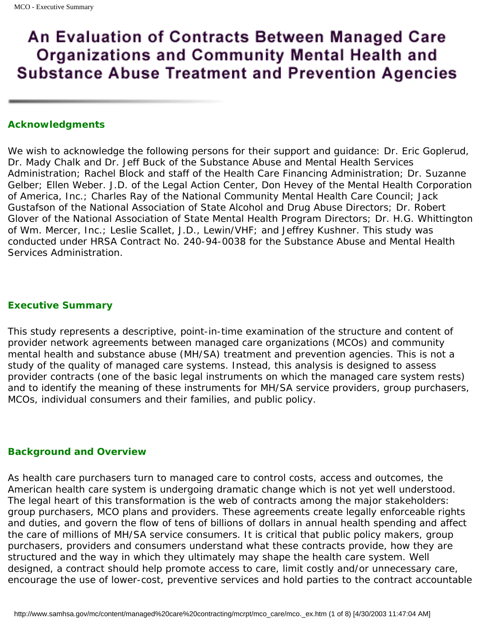# An Evaluation of Contracts Between Managed Care **Organizations and Community Mental Health and Substance Abuse Treatment and Prevention Agencies**

#### <span id="page-2-0"></span>**Acknowledgments**

We wish to acknowledge the following persons for their support and guidance: Dr. Eric Goplerud, Dr. Mady Chalk and Dr. Jeff Buck of the Substance Abuse and Mental Health Services Administration; Rachel Block and staff of the Health Care Financing Administration; Dr. Suzanne Gelber; Ellen Weber. J.D. of the Legal Action Center, Don Hevey of the Mental Health Corporation of America, Inc.; Charles Ray of the National Community Mental Health Care Council; Jack Gustafson of the National Association of State Alcohol and Drug Abuse Directors; Dr. Robert Glover of the National Association of State Mental Health Program Directors; Dr. H.G. Whittington of Wm. Mercer, Inc.; Leslie Scallet, J.D., Lewin/VHF; and Jeffrey Kushner. This study was conducted under HRSA Contract No. 240-94-0038 for the Substance Abuse and Mental Health Services Administration.

#### **Executive Summary**

This study represents a descriptive, point-in-time examination of the structure and content of provider network agreements between managed care organizations (MCOs) and community mental health and substance abuse (MH/SA) treatment and prevention agencies. This is not a study of the quality of managed care systems. Instead, this analysis is designed to assess provider contracts (one of the basic legal instruments on which the managed care system rests) and to identify the meaning of these instruments for MH/SA service providers, group purchasers, MCOs, individual consumers and their families, and public policy.

#### **Background and Overview**

As health care purchasers turn to managed care to control costs, access and outcomes, the American health care system is undergoing dramatic change which is not yet well understood. The legal heart of this transformation is the web of contracts among the major stakeholders: group purchasers, MCO plans and providers. These agreements create legally enforceable rights and duties, and govern the flow of tens of billions of dollars in annual health spending and affect the care of millions of MH/SA service consumers. It is critical that public policy makers, group purchasers, providers and consumers understand what these contracts provide, how they are structured and the way in which they ultimately may shape the health care system. Well designed, a contract should help promote access to care, limit costly and/or unnecessary care, encourage the use of lower-cost, preventive services and hold parties to the contract accountable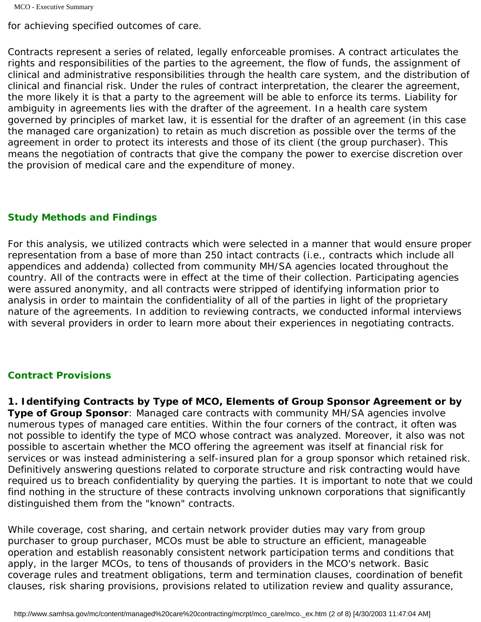```
MCO - Executive Summary
```
for achieving specified outcomes of care.

Contracts represent a series of related, legally enforceable promises. A contract articulates the rights and responsibilities of the parties to the agreement, the flow of funds, the assignment of clinical and administrative responsibilities through the health care system, and the distribution of clinical and financial risk. Under the rules of contract interpretation, the clearer the agreement, the more likely it is that a party to the agreement will be able to enforce its terms. Liability for ambiguity in agreements lies with the drafter of the agreement. In a health care system governed by principles of market law, it is essential for the drafter of an agreement (in this case the managed care organization) to retain as much discretion as possible over the terms of the agreement in order to protect its interests and those of its client (the group purchaser). This means the negotiation of contracts that give the company the power to exercise discretion over the provision of medical care and the expenditure of money.

# **Study Methods and Findings**

For this analysis, we utilized contracts which were selected in a manner that would ensure proper representation from a base of more than 250 intact contracts (i.e., contracts which include all appendices and addenda) collected from community MH/SA agencies located throughout the country. All of the contracts were in effect at the time of their collection. Participating agencies were assured anonymity, and all contracts were stripped of identifying information prior to analysis in order to maintain the confidentiality of all of the parties in light of the proprietary nature of the agreements. In addition to reviewing contracts, we conducted informal interviews with several providers in order to learn more about their experiences in negotiating contracts.

# *Contract Provisions*

*1. Identifying Contracts by Type of MCO, Elements of Group Sponsor Agreement or by*  **Type of Group Sponsor**: Managed care contracts with community MH/SA agencies involve numerous types of managed care entities. Within the four corners of the contract, it often was not possible to identify the type of MCO whose contract was analyzed. Moreover, it also was not possible to ascertain whether the MCO offering the agreement was itself at financial risk for services or was instead administering a self-insured plan for a group sponsor which retained risk. Definitively answering questions related to corporate structure and risk contracting would have required us to breach confidentiality by querying the parties. It is important to note that we could find nothing in the structure of these contracts involving unknown corporations that significantly distinguished them from the "known" contracts.

While coverage, cost sharing, and certain network provider duties may vary from group purchaser to group purchaser, MCOs must be able to structure an efficient, manageable operation and establish reasonably consistent network participation terms and conditions that apply, in the larger MCOs, to tens of thousands of providers in the MCO's network. Basic coverage rules and treatment obligations, term and termination clauses, coordination of benefit clauses, risk sharing provisions, provisions related to utilization review and quality assurance,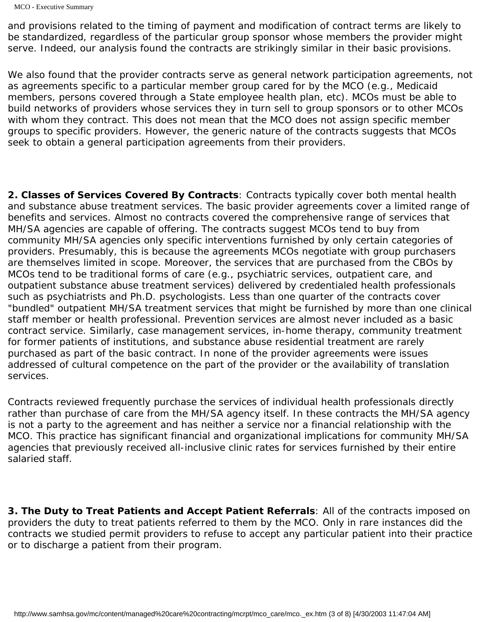MCO - Executive Summary

and provisions related to the timing of payment and modification of contract terms are likely to be standardized, regardless of the particular group sponsor whose members the provider might serve. Indeed, our analysis found the contracts are strikingly similar in their basic provisions.

We also found that the provider contracts serve as general network participation agreements, not as agreements specific to a particular member group cared for by the MCO (e.g., Medicaid members, persons covered through a State employee health plan, etc). MCOs must be able to build networks of providers whose services they in turn sell to group sponsors or to other MCOs with whom they contract. This does not mean that the MCO does not assign specific member groups to specific providers. However, the generic nature of the contracts suggests that MCOs seek to obtain a general participation agreements from their providers.

*2. Classes of Services Covered By Contracts*: Contracts typically cover both mental health and substance abuse treatment services. The basic provider agreements cover a limited range of benefits and services. Almost no contracts covered the comprehensive range of services that MH/SA agencies are capable of offering. The contracts suggest MCOs tend to buy from community MH/SA agencies only specific interventions furnished by only certain categories of providers. Presumably, this is because the agreements MCOs negotiate with group purchasers are themselves limited in scope. Moreover, the services that are purchased from the CBOs by MCOs tend to be traditional forms of care (e.g., psychiatric services, outpatient care, and outpatient substance abuse treatment services) delivered by credentialed health professionals such as psychiatrists and Ph.D. psychologists. Less than one quarter of the contracts cover "bundled" outpatient MH/SA treatment services that might be furnished by more than one clinical staff member or health professional. Prevention services are almost never included as a basic contract service. Similarly, case management services, in-home therapy, community treatment for former patients of institutions, and substance abuse residential treatment are rarely purchased as part of the basic contract. In none of the provider agreements were issues addressed of cultural competence on the part of the provider or the availability of translation services.

Contracts reviewed frequently purchase the services of individual health professionals directly rather than purchase of care from the MH/SA agency itself. In these contracts the MH/SA agency is not a party to the agreement and has neither a service nor a financial relationship with the MCO. This practice has significant financial and organizational implications for community MH/SA agencies that previously received all-inclusive clinic rates for services furnished by their entire salaried staff.

*3. The Duty to Treat Patients and Accept Patient Referrals*: All of the contracts imposed on providers the duty to treat patients referred to them by the MCO. Only in rare instances did the contracts we studied permit providers to refuse to accept any particular patient into their practice or to discharge a patient from their program.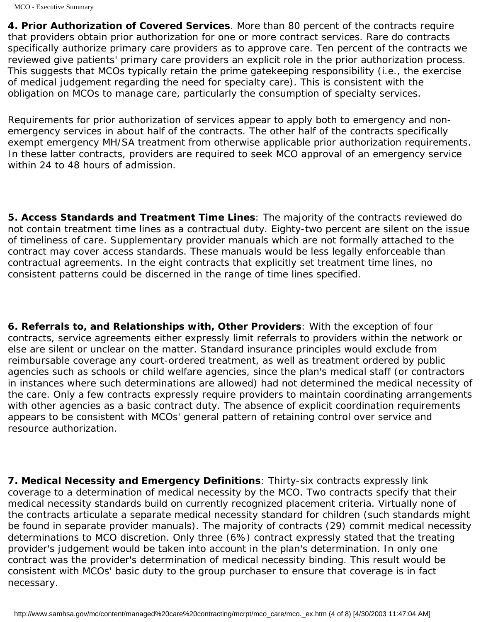*4. Prior Authorization of Covered Services.* More than 80 percent of the contracts require that providers obtain prior authorization for one or more contract services. Rare do contracts specifically authorize primary care providers as to approve care. Ten percent of the contracts we reviewed give patients' primary care providers an explicit role in the prior authorization process. This suggests that MCOs typically retain the prime gatekeeping responsibility (i.e., the exercise of medical judgement regarding the need for specialty care). This is consistent with the obligation on MCOs to manage care, particularly the consumption of specialty services.

Requirements for prior authorization of services appear to apply both to emergency and nonemergency services in about half of the contracts. The other half of the contracts specifically exempt emergency MH/SA treatment from otherwise applicable prior authorization requirements. In these latter contracts, providers are required to seek MCO approval of an emergency service within 24 to 48 hours of admission.

*5. Access Standards and Treatment Time Lines*: The majority of the contracts reviewed do not contain treatment time lines as a contractual duty. Eighty-two percent are silent on the issue of timeliness of care. Supplementary provider manuals which are not formally attached to the contract may cover access standards. These manuals would be less legally enforceable than contractual agreements. In the eight contracts that explicitly set treatment time lines, no consistent patterns could be discerned in the range of time lines specified.

*6. Referrals to, and Relationships with, Other Providers*: With the exception of four contracts, service agreements either expressly limit referrals to providers within the network or else are silent or unclear on the matter. Standard insurance principles would exclude from reimbursable coverage any court-ordered treatment, as well as treatment ordered by public agencies such as schools or child welfare agencies, since the plan's medical staff (or contractors in instances where such determinations are allowed) had not determined the *medical necessity* of the care. Only a few contracts expressly require providers to maintain coordinating arrangements with other agencies as a basic contract duty. The absence of explicit coordination requirements appears to be consistent with MCOs' general pattern of retaining control over service and resource authorization.

*7. Medical Necessity and Emergency Definitions*: Thirty-six contracts expressly link coverage to a determination of medical necessity by the MCO. Two contracts specify that their medical necessity standards build on currently recognized placement criteria. Virtually none of the contracts articulate a separate medical necessity standard for children (such standards might be found in separate provider manuals). The majority of contracts (29) commit medical necessity determinations to MCO discretion. Only three (6%) contract expressly stated that the treating provider's judgement would be taken into account in the plan's determination. In only one contract was the provider's determination of medical necessity binding. This result would be consistent with MCOs' basic duty to the group purchaser to ensure that coverage is in fact necessary.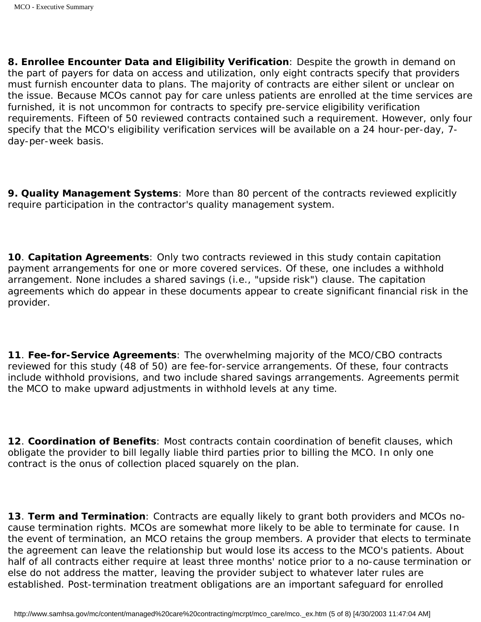*8. Enrollee Encounter Data and Eligibility Verification*: Despite the growth in demand on the part of payers for data on access and utilization, only eight contracts specify that providers must furnish encounter data to plans. The majority of contracts are either silent or unclear on the issue. Because MCOs cannot pay for care unless patients are enrolled at the time services are furnished, it is not uncommon for contracts to specify pre-service eligibility verification requirements. Fifteen of 50 reviewed contracts contained such a requirement. However, only four specify that the MCO's eligibility verification services will be available on a 24 hour-per-day, 7day-per-week basis.

*9. Quality Management Systems*: More than 80 percent of the contracts reviewed explicitly require participation in the contractor's quality management system.

10. **Capitation Agreements**: Only two contracts reviewed in this study contain capitation payment arrangements for one or more covered services. Of these, one includes a withhold arrangement. None includes a shared savings (i.e., "upside risk") clause. The capitation agreements which do appear in these documents appear to create significant financial risk in the provider.

*11. Fee-for-Service Agreements*: The overwhelming majority of the MCO/CBO contracts reviewed for this study (48 of 50) are fee-for-service arrangements. Of these, four contracts include withhold provisions, and two include shared savings arrangements. Agreements permit the MCO to make upward adjustments in withhold levels at any time.

12. *Coordination of Benefits:* Most contracts contain coordination of benefit clauses, which obligate the provider to bill legally liable third parties prior to billing the MCO. In only one contract is the onus of collection placed squarely on the plan.

13. Term and Termination: Contracts are equally likely to grant both providers and MCOs nocause termination rights. MCOs are somewhat more likely to be able to terminate for cause. In the event of termination, an MCO retains the group members. A provider that elects to terminate the agreement can leave the relationship but would lose its access to the MCO's patients. About half of all contracts either require at least three months' notice prior to a no-cause termination or else do not address the matter, leaving the provider subject to whatever later rules are established. Post-termination treatment obligations are an important safeguard for enrolled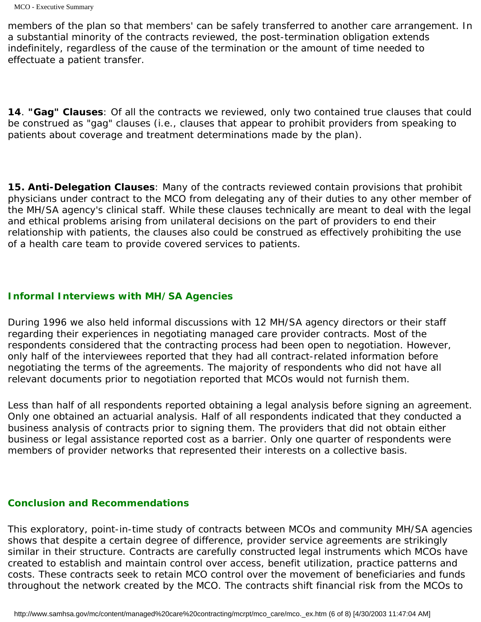members of the plan so that members' can be safely transferred to another care arrangement. In a substantial minority of the contracts reviewed, the post-termination obligation extends indefinitely, regardless of the cause of the termination or the amount of time needed to effectuate a patient transfer.

14. "Gag" Clauses: Of all the contracts we reviewed, only two contained true clauses that could be construed as "gag" clauses (i.e., clauses that appear to prohibit providers from speaking to patients about coverage and treatment determinations made by the plan).

*15. Anti-Delegation Clauses*: Many of the contracts reviewed contain provisions that prohibit physicians under contract to the MCO from delegating any of their duties to any other member of the MH/SA agency's clinical staff. While these clauses technically are meant to deal with the legal and ethical problems arising from unilateral decisions on the part of providers to end their relationship with patients, the clauses also could be construed as effectively prohibiting the use of a health care team to provide covered services to patients.

### *Informal Interviews with MH/SA Agencies*

During 1996 we also held informal discussions with 12 MH/SA agency directors or their staff regarding their experiences in negotiating managed care provider contracts. Most of the respondents considered that the contracting process had been open to negotiation. However, only half of the interviewees reported that they had all contract-related information before negotiating the terms of the agreements. The majority of respondents who did not have all relevant documents prior to negotiation reported that MCOs would not furnish them.

Less than half of all respondents reported obtaining a legal analysis before signing an agreement. Only one obtained an actuarial analysis. Half of all respondents indicated that they conducted a business analysis of contracts prior to signing them. The providers that did not obtain either business or legal assistance reported cost as a barrier. Only one quarter of respondents were members of provider networks that represented their interests on a collective basis.

## **Conclusion and Recommendations**

This exploratory, point-in-time study of contracts between MCOs and community MH/SA agencies shows that despite a certain degree of difference, provider service agreements are strikingly similar in their structure. Contracts are carefully constructed legal instruments which MCOs have created to establish and maintain control over access, benefit utilization, practice patterns and costs. These contracts seek to retain MCO control over the movement of beneficiaries and funds throughout the network created by the MCO. The contracts shift financial risk from the MCOs to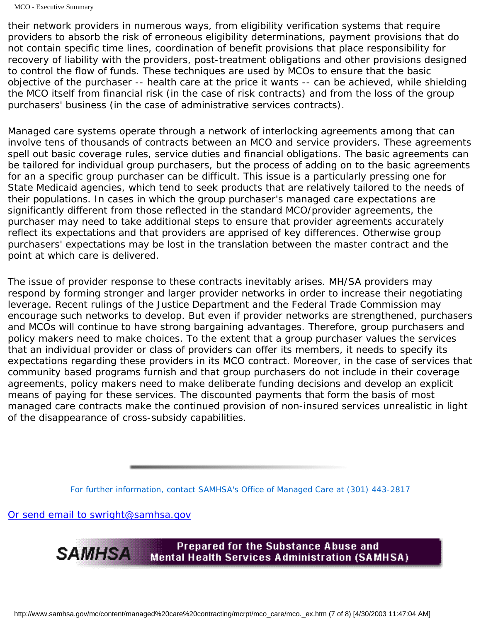their network providers in numerous ways, from eligibility verification systems that require providers to absorb the risk of erroneous eligibility determinations, payment provisions that do not contain specific time lines, coordination of benefit provisions that place responsibility for recovery of liability with the providers, post-treatment obligations and other provisions designed to control the flow of funds. These techniques are used by MCOs to ensure that the basic objective of the purchaser -- health care at the price it wants -- can be achieved, while shielding the MCO itself from financial risk (in the case of risk contracts) and from the loss of the group purchasers' business (in the case of administrative services contracts).

Managed care systems operate through a network of interlocking agreements among that can involve tens of thousands of contracts between an MCO and service providers. These agreements spell out basic coverage rules, service duties and financial obligations. The basic agreements can be tailored for individual group purchasers, but the process of adding on to the basic agreements for an a specific group purchaser can be difficult. This issue is a particularly pressing one for State Medicaid agencies, which tend to seek products that are relatively tailored to the needs of their populations. In cases in which the group purchaser's managed care expectations are significantly different from those reflected in the standard MCO/provider agreements, the purchaser may need to take additional steps to ensure that provider agreements accurately reflect its expectations and that providers are apprised of key differences. Otherwise group purchasers' expectations may be lost in the translation between the master contract and the point at which care is delivered.

The issue of provider response to these contracts inevitably arises. MH/SA providers may respond by forming stronger and larger provider networks in order to increase their negotiating leverage. Recent rulings of the Justice Department and the Federal Trade Commission may encourage such networks to develop. But even if provider networks are strengthened, purchasers and MCOs will continue to have strong bargaining advantages. Therefore, group purchasers and policy makers need to make choices. To the extent that a group purchaser values the services that an individual provider or class of providers can offer its members, it needs to specify its expectations regarding these providers in its MCO contract. Moreover, in the case of services that community based programs furnish and that group purchasers do not include in their coverage agreements, policy makers need to make deliberate funding decisions and develop an explicit means of paying for these services. The discounted payments that form the basis of most managed care contracts make the continued provision of non-insured services unrealistic in light of the disappearance of cross-subsidy capabilities.

*For further information, contact SAMHSA's Office of Managed Care at (301) 443-2817* 

[Or send email to swright@samhsa.gov](Mailto:swright@samhsa.gov)

Prepared for the Substance Abuse and **SAMHSA** Mental Health Services Administration (SAMHSA).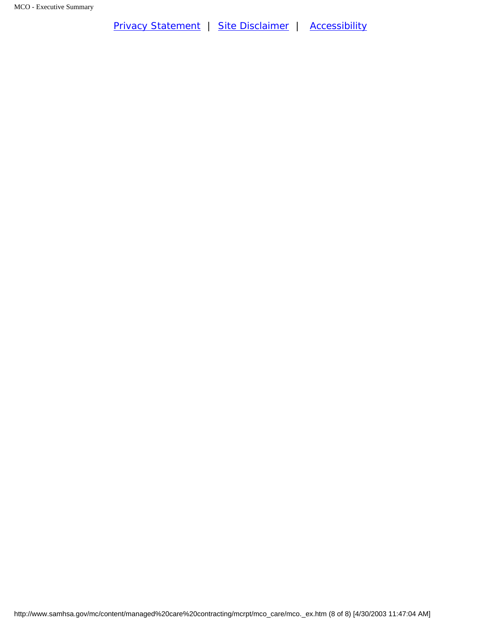[Privacy Statement](http://www.samhsa.gov/about/content/privacy.htm) | [Site Disclaimer](http://www.samhsa.gov/about/Disclaimer.html) | [Accessibility](http://www.samhsa.gov/about/content/508.html)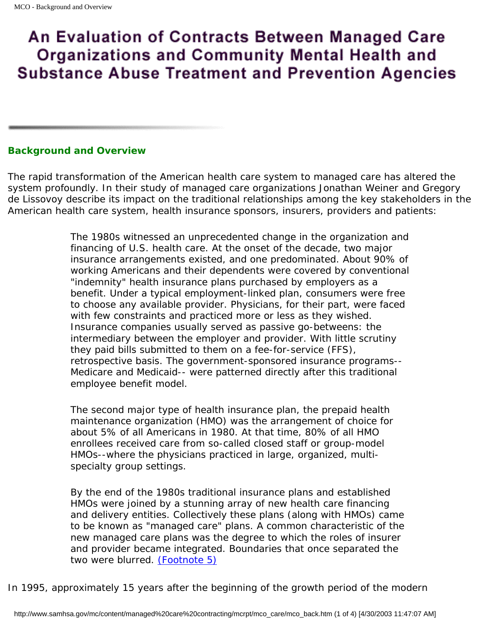# An Evaluation of Contracts Between Managed Care **Organizations and Community Mental Health and Substance Abuse Treatment and Prevention Agencies**

# <span id="page-10-0"></span>**Background and Overview**

The rapid transformation of the American health care system to managed care has altered the system profoundly. In their study of managed care organizations Jonathan Weiner and Gregory de Lissovoy describe its impact on the traditional relationships among the key stakeholders in the American health care system, health insurance sponsors, insurers, providers and patients:

> The 1980s witnessed an unprecedented change in the organization and financing of U.S. health care. At the onset of the decade, two major insurance arrangements existed, and one predominated. About 90% of working Americans and their dependents were covered by conventional "indemnity" health insurance plans purchased by employers as a benefit. Under a typical employment-linked plan, consumers were free to choose any available provider. Physicians, for their part, were faced with few constraints and practiced more or less as they wished. Insurance companies usually served as passive go-betweens: the intermediary between the employer and provider. With little scrutiny they paid bills submitted to them on a fee-for-service (FFS), retrospective basis. The government-sponsored insurance programs-- Medicare and Medicaid-- were patterned directly after this traditional employee benefit model.

The second major type of health insurance plan, the prepaid health maintenance organization (HMO) was the arrangement of choice for about 5% of all Americans in 1980. At that time, 80% of all HMO enrollees received care from so-called closed staff or group-model HMOs--where the physicians practiced in large, organized, multispecialty group settings.

By the end of the 1980s traditional insurance plans and established HMOs were joined by a stunning array of new health care financing and delivery entities. Collectively these plans (along with HMOs) came to be known as "managed care" plans. A common characteristic of the new managed care plans was the degree to which the roles of insurer and provider became integrated. Boundaries that once separated the two were blurred. *[\(Footnote 5\)](#page-13-0)*

<span id="page-10-1"></span>In 1995, approximately 15 years after the beginning of the growth period of the modern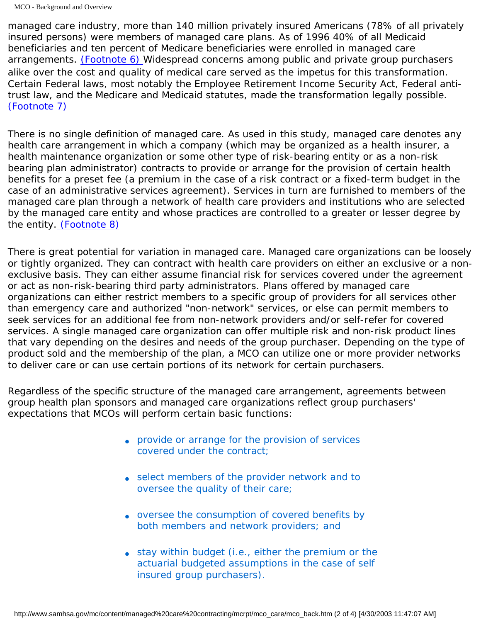<span id="page-11-0"></span>managed care industry, more than 140 million privately insured Americans (78% of all privately insured persons) were members of managed care plans. As of 1996 40% of all Medicaid beneficiaries and ten percent of Medicare beneficiaries were enrolled in managed care arrangements. *[\(Footnote 6\)](#page-13-1)* Widespread concerns among public and private group purchasers alike over the cost and quality of medical care served as the impetus for this transformation. Certain Federal laws, most notably the Employee Retirement Income Security Act, Federal antitrust law, and the Medicare and Medicaid statutes, made the transformation legally possible. *[\(Footnote 7\)](#page-13-2)*

<span id="page-11-1"></span>There is no single definition of managed care. As used in this study, managed care denotes any health care arrangement in which a company (which may be organized as a health insurer, a health maintenance organization or some other type of risk-bearing entity or as a non-risk bearing plan administrator) contracts to provide or arrange for the provision of certain health benefits for a preset fee (a premium in the case of a risk contract or a fixed-term budget in the case of an administrative services agreement). Services in turn are furnished to members of the managed care plan through a network of health care providers and institutions who are selected by the managed care entity and whose practices are controlled to a greater or lesser degree by the entity. *[\(Footnote 8\)](#page-13-3)*

<span id="page-11-2"></span>There is great potential for variation in managed care. Managed care organizations can be loosely or tightly organized. They can contract with health care providers on either an exclusive or a nonexclusive basis. They can either assume financial risk for services covered under the agreement or act as non-risk-bearing third party administrators. Plans offered by managed care organizations can either restrict members to a specific group of providers for all services other than emergency care and authorized "non-network" services, or else can permit members to seek services for an additional fee from non-network providers and/or self-refer for covered services. A single managed care organization can offer multiple risk and non-risk product lines that vary depending on the desires and needs of the group purchaser. Depending on the type of product sold and the membership of the plan, a MCO can utilize one or more provider networks to deliver care or can use certain portions of its network for certain purchasers.

Regardless of the specific structure of the managed care arrangement, agreements between group health plan sponsors and managed care organizations reflect group purchasers' expectations that MCOs will perform certain basic functions:

- provide or arrange for the provision of services covered under the contract;
- select members of the provider network and to oversee the quality of their care;
- oversee the consumption of covered benefits by both members and network providers; and
- stay within budget (i.e., either the premium or the actuarial budgeted assumptions in the case of self insured group purchasers).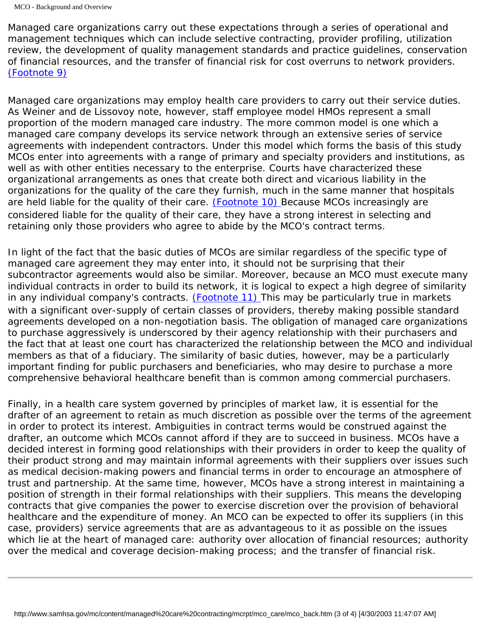Managed care organizations carry out these expectations through a series of operational and management techniques which can include selective contracting, provider profiling, utilization review, the development of quality management standards and practice guidelines, conservation of financial resources, and the transfer of financial risk for cost overruns to network providers. *[\(Footnote 9\)](#page-13-4)*

<span id="page-12-0"></span>Managed care organizations may employ health care providers to carry out their service duties. As Weiner and de Lissovoy note, however, staff employee model HMOs represent a small proportion of the modern managed care industry. The more common model is one which a managed care company develops its service network through an extensive series of service agreements with independent contractors. Under this model which forms the basis of this study MCOs enter into agreements with a range of primary and specialty providers and institutions, as well as with other entities necessary to the enterprise. Courts have characterized these organizational arrangements as ones that create both direct and vicarious liability in the organizations for the quality of the care they furnish, much in the same manner that hospitals are held liable for the quality of their care. *[\(Footnote 10\)](#page-13-5)* Because MCOs increasingly are considered liable for the quality of their care, they have a strong interest in selecting and retaining only those providers who agree to abide by the MCO's contract terms.

<span id="page-12-2"></span><span id="page-12-1"></span>In light of the fact that the basic duties of MCOs are similar regardless of the specific type of managed care agreement they may enter into, it should not be surprising that their subcontractor agreements would also be similar. Moreover, because an MCO must execute many individual contracts in order to build its network, it is logical to expect a high degree of similarity in any individual company's contracts. *[\(Footnote 11\)](#page-13-6)* This may be particularly true in markets with a significant over-supply of certain classes of providers, thereby making possible standard agreements developed on a non-negotiation basis. The obligation of managed care organizations to purchase aggressively is underscored by their agency relationship with their purchasers and the fact that at least one court has characterized the relationship between the MCO and individual members as that of a fiduciary. The similarity of basic duties, however, may be a particularly important finding for public purchasers and beneficiaries, who may desire to purchase a more comprehensive behavioral healthcare benefit than is common among commercial purchasers.

Finally, in a health care system governed by principles of market law, it is essential for the drafter of an agreement to retain as much discretion as possible over the terms of the agreement in order to protect its interest. Ambiguities in contract terms would be construed against the drafter, an outcome which MCOs cannot afford if they are to succeed in business. MCOs have a decided interest in forming good relationships with their providers in order to keep the quality of their product strong and may maintain informal agreements with their suppliers over issues such as medical decision-making powers and financial terms in order to encourage an atmosphere of trust and partnership. At the same time, however, MCOs have a strong interest in maintaining a position of strength in their formal relationships with their suppliers. This means the developing contracts that give companies the power to exercise discretion over the provision of behavioral healthcare and the expenditure of money. An MCO can be expected to offer its suppliers (in this case, providers) service agreements that are as advantageous to it as possible on the issues which lie at the heart of managed care: authority over allocation of financial resources; authority over the medical and coverage decision-making process; and the transfer of financial risk.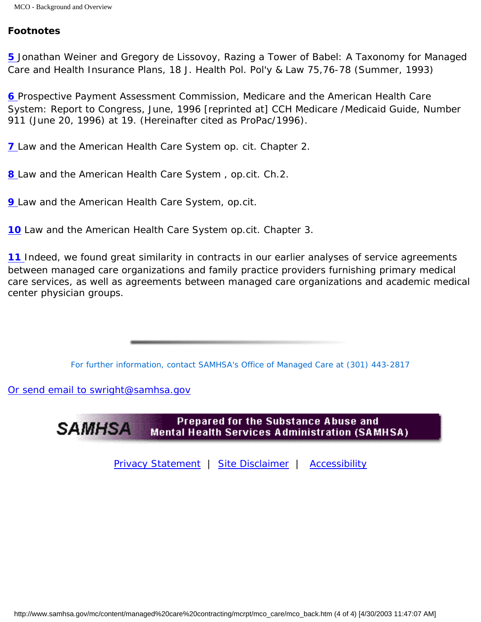## <span id="page-13-0"></span>*Footnotes*

*[5](#page-10-1)* Jonathan Weiner and Gregory de Lissovoy, Razing a Tower of Babel: A Taxonomy for Managed Care and Health Insurance Plans, 18 J. Health Pol. Pol'y & Law 75,76-78 (Summer, 1993)

<span id="page-13-1"></span>**[6](#page-11-0)** Prospective Payment Assessment Commission, Medicare and the American Health Care System: Report to Congress, June, 1996 [reprinted at] CCH Medicare /Medicaid Guide, Number 911 (June 20, 1996) at 19. (Hereinafter cited as ProPac/1996).

<span id="page-13-3"></span><span id="page-13-2"></span>*[7](#page-11-1) Law and the American Health Care System* op. cit. Chapter 2.

<span id="page-13-4"></span>*[8](#page-11-2) Law and the American Health Care System* , op.cit. Ch.2.

<span id="page-13-5"></span>*[9](#page-12-0) Law and the American Health Care System*, op.cit.

<span id="page-13-6"></span>*[10](#page-12-1) Law and the American Health Care System* op.cit. Chapter 3.

**[11](#page-12-2)** Indeed, we found great similarity in contracts in our earlier analyses of service agreements between managed care organizations and family practice providers furnishing primary medical care services, as well as agreements between managed care organizations and academic medical center physician groups.

*For further information, contact SAMHSA's Office of Managed Care at (301) 443-2817* 

[Or send email to swright@samhsa.gov](Mailto:swright@samhsa.gov)

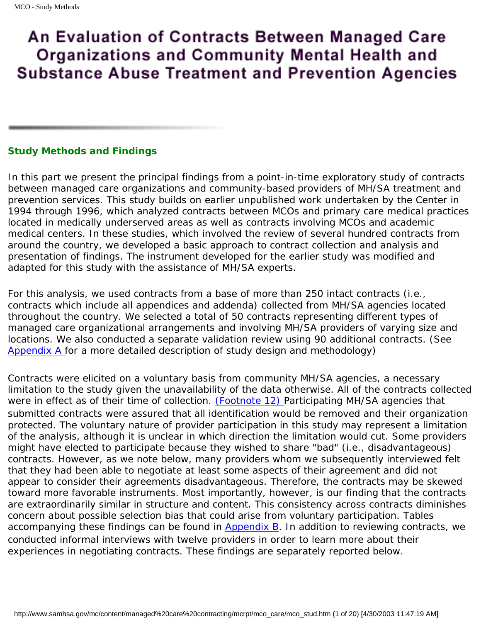# <span id="page-14-2"></span>An Evaluation of Contracts Between Managed Care **Organizations and Community Mental Health and Substance Abuse Treatment and Prevention Agencies**

## <span id="page-14-0"></span>**Study Methods and Findings**

In this part we present the principal findings from a point-in-time exploratory study of contracts between managed care organizations and community-based providers of MH/SA treatment and prevention services. This study builds on earlier unpublished work undertaken by the Center in 1994 through 1996, which analyzed contracts between MCOs and primary care medical practices located in medically underserved areas as well as contracts involving MCOs and academic medical centers. In these studies, which involved the review of several hundred contracts from around the country, we developed a basic approach to contract collection and analysis and presentation of findings. The instrument developed for the earlier study was modified and adapted for this study with the assistance of MH/SA experts.

For this analysis, we used contracts from a base of more than 250 intact contracts (i.e., contracts which include all appendices and addenda) collected from MH/SA agencies located throughout the country. We selected a total of 50 contracts representing different types of managed care organizational arrangements and involving MH/SA providers of varying size and locations. We also conducted a separate validation review using 90 additional contracts. (See Appendix A for a more detailed description of study design and methodology)

<span id="page-14-3"></span><span id="page-14-1"></span>Contracts were elicited on a voluntary basis from community MH/SA agencies, a necessary limitation to the study given the unavailability of the data otherwise. All of the contracts collected were in effect as of their time of collection. *[\(Footnote 12\)](#page-31-0)* Participating MH/SA agencies that submitted contracts were assured that all identification would be removed and their organization protected. The voluntary nature of provider participation in this study may represent a limitation of the analysis, although it is unclear in which direction the limitation would cut. Some providers might have elected to participate because they wished to share "bad" (i.e., disadvantageous) contracts. However, as we note below, many providers whom we subsequently interviewed felt that they had been able to negotiate at least some aspects of their agreement and did not appear to consider their agreements disadvantageous. Therefore, the contracts may be skewed toward more favorable instruments. Most importantly, however, is our finding that the contracts are extraordinarily similar in structure and content. This consistency across contracts diminishes concern about possible selection bias that could arise from voluntary participation. Tables accompanying these findings can be found in Appendix  $B$ . In addition to reviewing contracts, we conducted informal interviews with twelve providers in order to learn more about their experiences in negotiating contracts. These findings are separately reported below.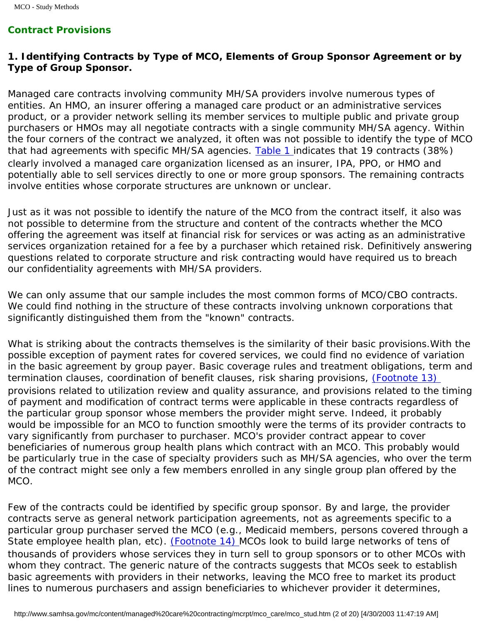# *Contract Provisions*

# *1. Identifying Contracts by Type of MCO, Elements of Group Sponsor Agreement or by Type of Group Sponsor.*

Managed care contracts involving community MH/SA providers involve numerous types of entities. An HMO, an insurer offering a managed care product or an administrative services product, or a provider network selling its member services to multiple public and private group purchasers or HMOs may all negotiate contracts with a single community MH/SA agency. Within the four corners of the contract we analyzed, it often was not possible to identify the type of MCO that had agreements with specific MH/SA agencies. Table 1 indicates that 19 contracts (38%) clearly involved a managed care organization licensed as an insurer, IPA, PPO, or HMO and potentially able to sell services directly to one or more group sponsors. The remaining contracts involve entities whose corporate structures are unknown or unclear.

Just as it was not possible to identify the nature of the MCO from the contract itself, it also was not possible to determine from the structure and content of the contracts whether the MCO offering the agreement was itself at financial risk for services or was acting as an administrative services organization retained for a fee by a purchaser which retained risk. Definitively answering questions related to corporate structure and risk contracting would have required us to breach our confidentiality agreements with MH/SA providers.

We can only assume that our sample includes the most common forms of MCO/CBO contracts. We could find nothing in the structure of these contracts involving unknown corporations that significantly distinguished them from the "known" contracts.

<span id="page-15-0"></span>What is striking about the contracts themselves is the similarity of their basic provisions.With the possible exception of payment rates for covered services, we could find no evidence of variation in the basic agreement by group payer. Basic coverage rules and treatment obligations, term and termination clauses, coordination of benefit clauses, risk sharing provisions, *[\(Footnote 13\)](#page-31-1)*  provisions related to utilization review and quality assurance, and provisions related to the timing of payment and modification of contract terms were applicable in these contracts regardless of the particular group sponsor whose members the provider might serve. Indeed, it probably would be impossible for an MCO to function smoothly were the terms of its provider contracts to vary significantly from purchaser to purchaser. MCO's provider contract appear to cover beneficiaries of numerous group health plans which contract with an MCO. This probably would be particularly true in the case of specialty providers such as MH/SA agencies, who over the term of the contract might see only a few members enrolled in any single group plan offered by the MCO.

<span id="page-15-1"></span>Few of the contracts could be identified by specific group sponsor. By and large, the provider contracts serve as general network participation agreements, not as agreements specific to a particular group purchaser served the MCO (e.g., Medicaid members, persons covered through a State employee health plan, etc). *[\(Footnote 14\)](#page-31-2)* MCOs look to build large networks of tens of thousands of providers whose services they in turn sell to group sponsors or to other MCOs with whom they contract. The generic nature of the contracts suggests that MCOs seek to establish basic agreements with providers in their networks, leaving the MCO free to market its product lines to numerous purchasers and assign beneficiaries to whichever provider it determines,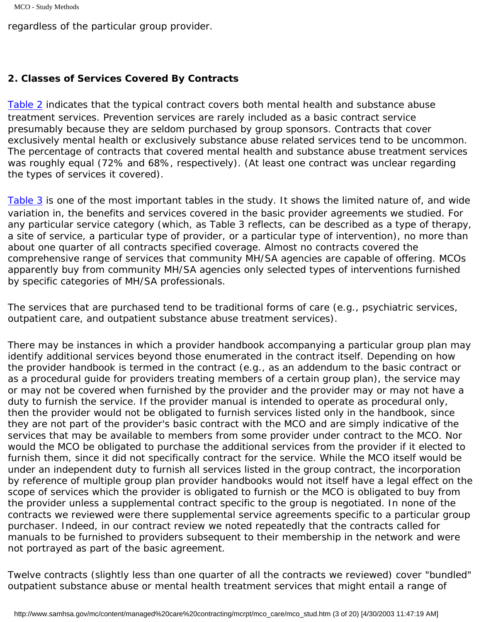```
MCO - Study Methods
```
regardless of the particular group provider.

# <span id="page-16-0"></span>*2. Classes of Services Covered By Contracts*

Table 2 indicates that the typical contract covers both mental health and substance abuse treatment services. Prevention services are rarely included as a basic contract service presumably because they are seldom purchased by group sponsors. Contracts that cover exclusively mental health or exclusively substance abuse related services tend to be uncommon. The percentage of contracts that covered mental health and substance abuse treatment services was roughly equal (72% and 68%, respectively). (At least one contract was unclear regarding the types of services it covered).

Table 3 is one of the most important tables in the study. It shows the limited nature of, and wide variation in, the benefits and services covered in the basic provider agreements we studied. For any particular service category (which, as Table 3 reflects, can be described as a type of therapy, a site of service, a particular type of provider, or a particular type of intervention), no more than about one quarter of all contracts specified coverage. Almost no contracts covered the comprehensive range of services that community MH/SA agencies are capable of offering. MCOs apparently buy from community MH/SA agencies only selected types of interventions furnished by specific categories of MH/SA professionals.

The services that are purchased tend to be traditional forms of care (e.g., psychiatric services, outpatient care, and outpatient substance abuse treatment services).

There may be instances in which a provider handbook accompanying a particular group plan may identify additional services beyond those enumerated in the contract itself. Depending on how the provider handbook is termed in the contract (e.g., as an addendum to the basic contract or as a procedural guide for providers treating members of a certain group plan), the service may or may not be covered when furnished by the provider and the provider may or may not have a duty to furnish the service. If the provider manual is intended to operate as procedural only, then the provider would not be obligated to furnish services listed only in the handbook, since they are not part of the provider's basic contract with the MCO and are simply indicative of the services that may be available to members from *some* provider under contract to the MCO. Nor would the MCO be obligated to purchase the additional services from the provider if it elected to furnish them, since it did not specifically contract for the service. While the MCO itself would be under an independent duty to furnish all services listed in the group contract, the incorporation by reference of multiple group plan provider handbooks would not itself have a legal effect on the scope of services which the provider is obligated to furnish or the MCO is obligated to buy from the provider unless a supplemental contract specific to the group is negotiated. In none of the contracts we reviewed were there supplemental service agreements specific to a particular group purchaser. Indeed, in our contract review we noted repeatedly that the contracts called for manuals to be furnished to providers subsequent to their membership in the network and were not portrayed as part of the basic agreement.

Twelve contracts (slightly less than one quarter of all the contracts we reviewed) cover "bundled" outpatient substance abuse or mental health treatment services that might entail a range of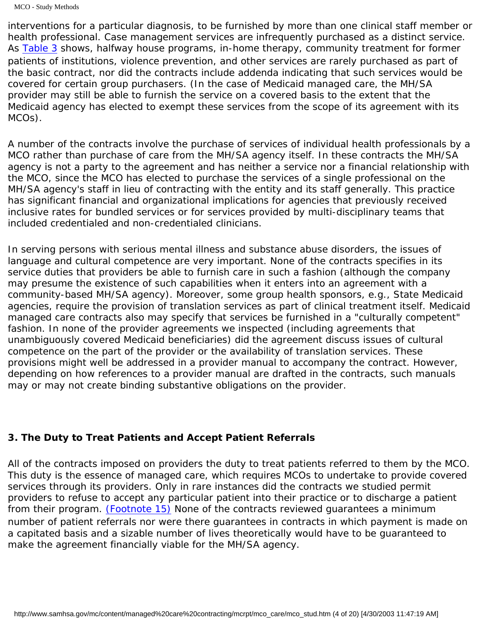MCO - Study Methods

interventions for a particular diagnosis, to be furnished by more than one clinical staff member or health professional. Case management services are infrequently purchased as a distinct service. As Table 3 shows, halfway house programs, in-home therapy, community treatment for former patients of institutions, violence prevention, and other services are rarely purchased as part of the basic contract, nor did the contracts include addenda indicating that such services would be covered for certain group purchasers. (In the case of Medicaid managed care, the MH/SA provider may still be able to furnish the service on a covered basis to the extent that the Medicaid agency has elected to exempt these services from the scope of its agreement with its MCOs).

A number of the contracts involve the purchase of services of individual health professionals by a MCO rather than purchase of care from the MH/SA agency itself. In these contracts the MH/SA agency is not a party to the agreement and has neither a service nor a financial relationship with the MCO, since the MCO has elected to purchase the services of a single professional on the MH/SA agency's staff in lieu of contracting with the entity and its staff generally. This practice has significant financial and organizational implications for agencies that previously received inclusive rates for bundled services or for services provided by multi-disciplinary teams that included credentialed and non-credentialed clinicians.

In serving persons with serious mental illness and substance abuse disorders, the issues of language and cultural competence are very important. None of the contracts specifies in its service duties that providers be able to furnish care in such a fashion (although the company may presume the existence of such capabilities when it enters into an agreement with a community-based MH/SA agency). Moreover, some group health sponsors, e.g., State Medicaid agencies, require the provision of translation services as part of clinical treatment itself. Medicaid managed care contracts also may specify that services be furnished in a "culturally competent" fashion. In none of the provider agreements we inspected (including agreements that unambiguously covered Medicaid beneficiaries) did the agreement discuss issues of cultural competence on the part of the provider or the availability of translation services. These provisions might well be addressed in a provider manual to accompany the contract. However, depending on how references to a provider manual are drafted in the contracts, such manuals may or may not create binding substantive obligations on the provider.

# <span id="page-17-0"></span>*3. The Duty to Treat Patients and Accept Patient Referrals*

<span id="page-17-2"></span><span id="page-17-1"></span>All of the contracts imposed on providers the duty to treat patients referred to them by the MCO. This duty is the essence of managed care, which requires MCOs to undertake to provide covered services through its providers. Only in rare instances did the contracts we studied permit providers to refuse to accept any particular patient into their practice or to discharge a patient from their program. *[\(Footnote 15\)](#page-32-0)* None of the contracts reviewed guarantees a minimum number of patient referrals nor were there guarantees in contracts in which payment is made on a capitated basis and a sizable number of lives theoretically would have to be guaranteed to make the agreement financially viable for the MH/SA agency.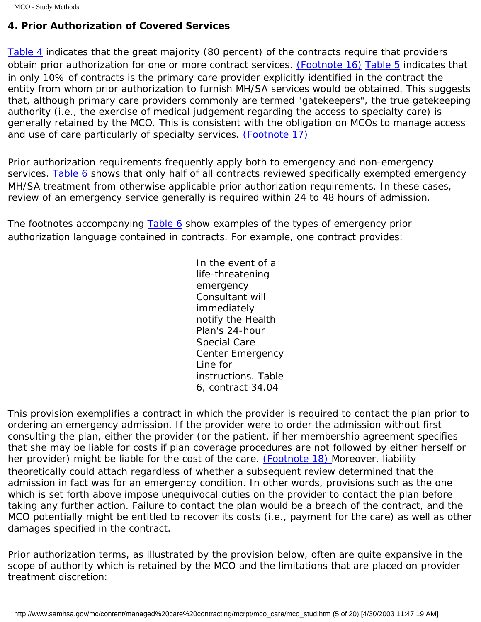# *4. Prior Authorization of Covered Services*

<span id="page-18-0"></span>[Table 4](#page-52-0) indicates that the great majority (80 percent) of the contracts require that providers obtain prior authorization for one or more contract services. *[\(Footnote 16\)](#page-32-1)* [Table 5](#page-52-1) indicates that in only 10% of contracts is the primary care provider explicitly identified in the contract the entity from whom prior authorization to furnish MH/SA services would be obtained. This suggests that, although primary care providers commonly are termed "gatekeepers", the true gatekeeping authority (i.e., the exercise of medical judgement regarding the access to specialty care) is generally retained by the MCO. This is consistent with the obligation on MCOs to manage access and use of care particularly of specialty services. *[\(Footnote 17\)](#page-32-2)*

<span id="page-18-1"></span>Prior authorization requirements frequently apply both to emergency and non-emergency services. [Table 6](#page-52-2) shows that only half of all contracts reviewed specifically exempted emergency MH/SA treatment from otherwise applicable prior authorization requirements. In these cases, review of an emergency service generally is required within 24 to 48 hours of admission.

The footnotes accompanying [Table 6](#page-52-2) show examples of the types of emergency prior authorization language contained in contracts. For example, one contract provides:

> In the event of a life-threatening emergency Consultant will immediately notify the Health Plan's 24-hour Special Care Center Emergency Line for instructions. Table 6, contract 34.04

<span id="page-18-2"></span>This provision exemplifies a contract in which the provider is required to contact the plan prior to ordering an emergency admission. If the provider were to order the admission without first consulting the plan, either the provider (or the patient, if her membership agreement specifies that she may be liable for costs if plan coverage procedures are not followed by either herself or her provider) might be liable for the cost of the care. *[\(Footnote 18\)](#page-32-3)* Moreover, liability theoretically could attach regardless of whether a subsequent review determined that the admission in fact was for an emergency condition. In other words, provisions such as the one which is set forth above impose unequivocal duties on the provider to contact the plan before taking any further action. Failure to contact the plan would be a breach of the contract, and the MCO potentially might be entitled to recover its costs (i.e., payment for the care) as well as other damages specified in the contract.

Prior authorization terms, as illustrated by the provision below, often are quite expansive in the scope of authority which is retained by the MCO and the limitations that are placed on provider treatment discretion: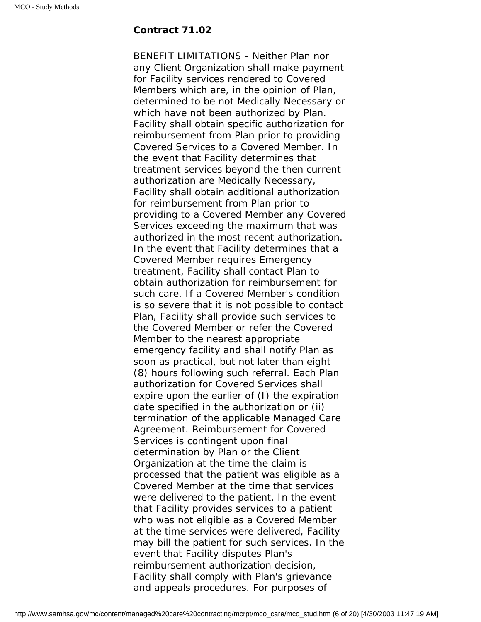## **Contract 71.02**

BENEFIT LIMITATIONS - Neither Plan nor any Client Organization shall make payment for Facility services rendered to Covered Members which are, in the opinion of Plan, determined to be not Medically Necessary or which have not been authorized by Plan. Facility shall obtain specific authorization for reimbursement from Plan prior to providing Covered Services to a Covered Member. In the event that Facility determines that treatment services beyond the then current authorization are Medically Necessary, Facility shall obtain additional authorization for reimbursement from Plan prior to providing to a Covered Member any Covered Services exceeding the maximum that was authorized in the most recent authorization. In the event that Facility determines that a Covered Member requires Emergency treatment, Facility shall contact Plan to obtain authorization for reimbursement for such care. If a Covered Member's condition is so severe that it is not possible to contact Plan, Facility shall provide such services to the Covered Member or refer the Covered Member to the nearest appropriate emergency facility and shall notify Plan as soon as practical, but not later than eight (8) hours following such referral. Each Plan authorization for Covered Services shall expire upon the earlier of (I) the expiration date specified in the authorization or (ii) termination of the applicable Managed Care Agreement. Reimbursement for Covered Services is contingent upon final determination by Plan or the Client Organization at the time the claim is processed that the patient was eligible as a Covered Member at the time that services were delivered to the patient. In the event that Facility provides services to a patient who was not eligible as a Covered Member at the time services were delivered, Facility may bill the patient for such services. In the event that Facility disputes Plan's reimbursement authorization decision, Facility shall comply with Plan's grievance and appeals procedures. For purposes of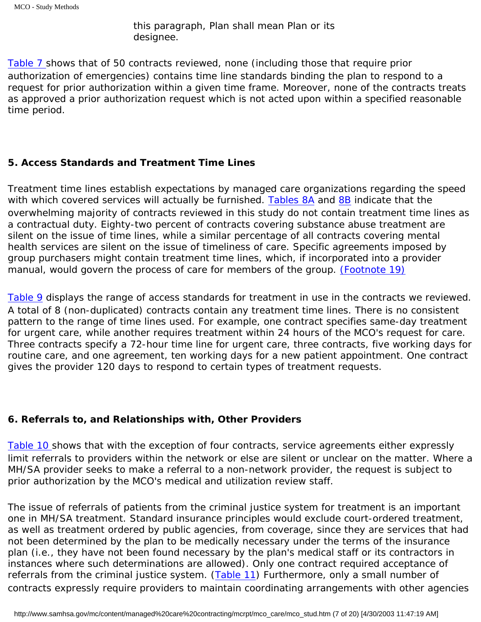this paragraph, Plan shall mean Plan or its designee.

[Table 7](#page-53-0) shows that of 50 contracts reviewed, none (including those that require prior authorization of emergencies) contains time line standards binding the plan to respond to a request for prior authorization within a given time frame. Moreover, none of the contracts treats as approved a prior authorization request which is not acted upon within a specified reasonable time period.

## <span id="page-20-0"></span>*5. Access Standards and Treatment Time Lines*

Treatment time lines establish expectations by managed care organizations regarding the speed with which covered services will actually be furnished. [Tables 8A](#page-53-1) and [8B](#page-54-0) indicate that the overwhelming majority of contracts reviewed in this study do not contain treatment time lines as a contractual duty. Eighty-two percent of contracts covering substance abuse treatment are silent on the issue of time lines, while a similar percentage of all contracts covering mental health services are silent on the issue of timeliness of care. Specific agreements imposed by group purchasers might contain treatment time lines, which, if incorporated into a provider manual, would govern the process of care for members of the group. *[\(Footnote 19\)](#page-32-4)*

<span id="page-20-2"></span>[Table 9](#page-54-1) displays the range of access standards for treatment in use in the contracts we reviewed. A total of 8 (non-duplicated) contracts contain any treatment time lines. There is no consistent pattern to the range of time lines used. For example, one contract specifies same-day treatment for urgent care, while another requires treatment within 24 hours of the MCO's request for care. Three contracts specify a 72-hour time line for urgent care, three contracts, five working days for routine care, and one agreement, ten working days for a new patient appointment. One contract gives the provider 120 days to respond to certain types of treatment requests.

## <span id="page-20-1"></span>*6. Referrals to, and Relationships with, Other Providers*

[Table 10](#page-55-0) shows that with the exception of four contracts, service agreements either expressly limit referrals to providers within the network or else are silent or unclear on the matter. Where a MH/SA provider seeks to make a referral to a non-network provider, the request is subject to prior authorization by the MCO's medical and utilization review staff.

The issue of referrals of patients from the criminal justice system for treatment is an important one in MH/SA treatment. Standard insurance principles would exclude court-ordered treatment, as well as treatment ordered by public agencies, from coverage, since they are services that had not been determined by the plan to be *medically* necessary under the terms of the insurance plan (i.e., they have not been found necessary by the plan's medical staff or its contractors in instances where such determinations are allowed). Only one contract required acceptance of referrals from the criminal justice system. ([Table 11\)](#page-55-1) Furthermore, only a small number of contracts expressly require providers to maintain coordinating arrangements with other agencies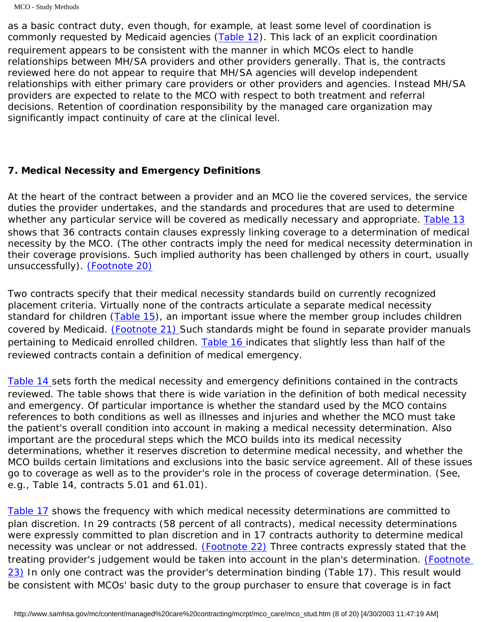as a basic contract duty, even though, for example, at least some level of coordination is commonly requested by Medicaid agencies [\(Table 12](#page-55-2)). This lack of an explicit coordination requirement appears to be consistent with the manner in which MCOs elect to handle relationships between MH/SA providers and other providers generally. That is, the contracts reviewed here do not appear to require that MH/SA agencies will develop independent relationships with either primary care providers or other providers and agencies. Instead MH/SA providers are expected to relate to the MCO with respect to both treatment and referral decisions. Retention of coordination responsibility by the managed care organization may significantly impact continuity of care at the clinical level.

## <span id="page-21-0"></span>*7. Medical Necessity and Emergency Definitions*

At the heart of the contract between a provider and an MCO lie the covered services, the service duties the provider undertakes, and the standards and procedures that are used to determine whether any particular service will be covered as medically necessary and appropriate. [Table 13](#page-58-0) shows that 36 contracts contain clauses expressly linking coverage to a determination of medical necessity by the MCO. (The other contracts imply the need for medical necessity determination in their coverage provisions. Such implied authority has been challenged by others in court, usually unsuccessfully). *[\(Footnote 20\)](#page-32-5)*

<span id="page-21-2"></span><span id="page-21-1"></span>Two contracts specify that their medical necessity standards build on currently recognized placement criteria. Virtually none of the contracts articulate a separate medical necessity standard for children  $(Table 15)$  $(Table 15)$ , an important issue where the member group includes children covered by Medicaid. *[\(Footnote 21\)](#page-32-6)* Such standards might be found in separate provider manuals pertaining to Medicaid enrolled children. [Table 16](#page-66-0) indicates that slightly less than half of the reviewed contracts contain a definition of medical emergency.

[Table 14](#page-58-1) sets forth the medical necessity and emergency definitions contained in the contracts reviewed. The table shows that there is wide variation in the definition of both medical necessity and emergency. Of particular importance is whether the standard used by the MCO contains references to both conditions as well as illnesses and injuries and whether the MCO must take the patient's overall condition into account in making a medical necessity determination. Also important are the procedural steps which the MCO builds into its medical necessity determinations, whether it reserves discretion to determine medical necessity, and whether the MCO builds certain limitations and exclusions into the basic service agreement. All of these issues go to coverage as well as to the provider's role in the process of coverage determination. (See, e.g., Table 14, contracts 5.01 and 61.01).

<span id="page-21-4"></span><span id="page-21-3"></span>[Table 17](#page-66-1) shows the frequency with which medical necessity determinations are committed to plan discretion. In 29 contracts (58 percent of all contracts), medical necessity determinations were expressly committed to plan discretion and in 17 contracts authority to determine medical necessity was unclear or not addressed. *[\(Footnote 22\)](#page-32-7)* Three contracts expressly stated that the treating provider's judgement would be taken into account in the plan's determination. *[\(Footnote](#page-32-7)  [23\)](#page-32-7)* In only one contract was the provider's determination binding (Table 17). This result would be consistent with MCOs' basic duty to the group purchaser to ensure that coverage is in fact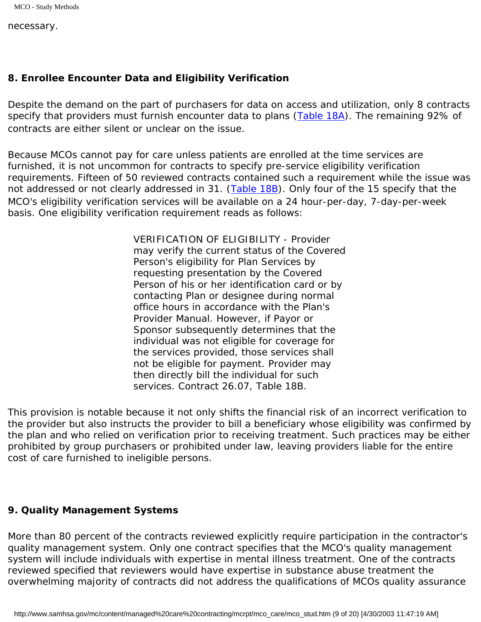necessary.

## <span id="page-22-0"></span>*8. Enrollee Encounter Data and Eligibility Verification*

Despite the demand on the part of purchasers for data on access and utilization, only 8 contracts specify that providers must furnish encounter data to plans (Table 18A). The remaining 92% of contracts are either silent or unclear on the issue.

Because MCOs cannot pay for care unless patients are enrolled at the time services are furnished, it is not uncommon for contracts to specify pre-service eligibility verification requirements. Fifteen of 50 reviewed contracts contained such a requirement while the issue was not addressed or not clearly addressed in 31. ([Table 18B](#page-68-0)). Only four of the 15 specify that the MCO's eligibility verification services will be available on a 24 hour-per-day, 7-day-per-week basis. One eligibility verification requirement reads as follows:

> VERIFICATION OF ELIGIBILITY - Provider may verify the current status of the Covered Person's eligibility for Plan Services by requesting presentation by the Covered Person of his or her identification card or by contacting Plan or designee during normal office hours in accordance with the Plan's Provider Manual. However, if Payor or Sponsor subsequently determines that the individual was not eligible for coverage for the services provided, those services shall not be eligible for payment. Provider may then directly bill the individual for such services. Contract 26.07, Table 18B.

This provision is notable because it not only shifts the financial risk of an incorrect verification to the provider but also instructs the provider to bill a beneficiary whose eligibility was confirmed by the plan and who relied on verification prior to receiving treatment. Such practices may be either prohibited by group purchasers or prohibited under law, leaving providers liable for the entire cost of care furnished to ineligible persons.

#### <span id="page-22-1"></span>*9. Quality Management Systems*

More than 80 percent of the contracts reviewed explicitly require participation in the contractor's quality management system. Only one contract specifies that the MCO's quality management system will include individuals with expertise in mental illness treatment. One of the contracts reviewed specified that reviewers would have expertise in substance abuse treatment the overwhelming majority of contracts did not address the qualifications of MCOs quality assurance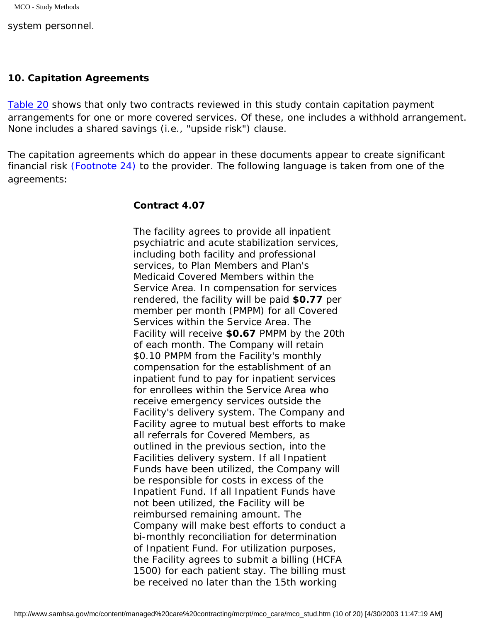system personnel.

#### <span id="page-23-0"></span>*10. Capitation Agreements*

Table 20 shows that only two contracts reviewed in this study contain capitation payment arrangements for one or more covered services. Of these, one includes a withhold arrangement. None includes a shared savings (i.e., "upside risk") clause.

The capitation agreements which do appear in these documents appear to create significant financial risk *[\(Footnote 24\)](#page-33-0)* to the provider. The following language is taken from one of the agreements:

#### **Contract 4.07**

The facility agrees to provide all inpatient psychiatric and acute stabilization services, including both facility and professional services, to Plan Members and Plan's Medicaid Covered Members within the Service Area. In compensation for services rendered, the facility will be paid **\$0.77** per member per month (PMPM) for all Covered Services within the Service Area. The Facility will receive **\$0.67** PMPM by the 20th of each month. The Company will retain \$0.10 PMPM from the Facility's monthly compensation for the establishment of an inpatient fund to pay for inpatient services for enrollees within the Service Area who receive emergency services outside the Facility's delivery system. The Company and Facility agree to mutual best efforts to make all referrals for Covered Members, as outlined in the previous section, into the Facilities delivery system. If all Inpatient Funds have been utilized, the Company will be responsible for costs in excess of the Inpatient Fund. If all Inpatient Funds have not been utilized, the Facility will be reimbursed remaining amount. The Company will make best efforts to conduct a bi-monthly reconciliation for determination of Inpatient Fund. For utilization purposes, the Facility agrees to submit a billing (HCFA 1500) for each patient stay. The billing must be received no later than the 15th working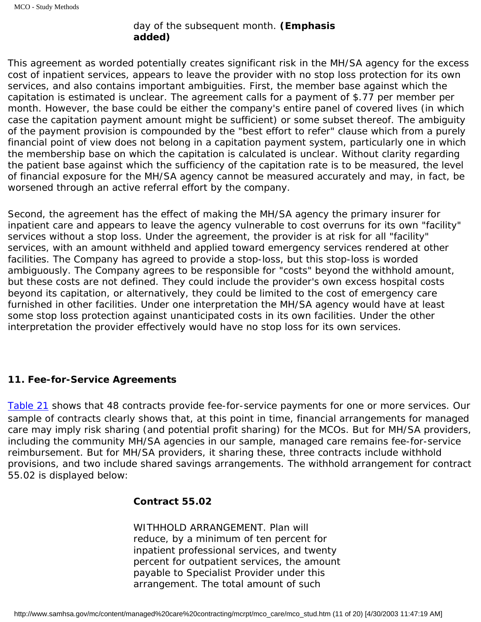# day of the subsequent month. **(Emphasis added)**

This agreement as worded potentially creates significant risk in the MH/SA agency for the excess cost of inpatient services, appears to leave the provider with no stop loss protection for its own services, and also contains important ambiguities. First, the member base against which the capitation is estimated is unclear. The agreement calls for a payment of \$.77 per member per month. However, the base could be either the company's entire panel of covered lives (in which case the capitation payment amount might be sufficient) or some subset thereof. The ambiguity of the payment provision is compounded by the "best effort to refer" clause which from a purely financial point of view does not belong in a capitation payment system, particularly one in which the membership base on which the capitation is calculated is unclear. Without clarity regarding the patient base against which the sufficiency of the capitation rate is to be measured, the level of financial exposure for the MH/SA agency cannot be measured accurately and may, in fact, be worsened through an active referral effort by the company.

Second, the agreement has the effect of making the MH/SA agency the primary insurer for inpatient care and appears to leave the agency vulnerable to cost overruns for its own "facility" services without a stop loss. Under the agreement, the provider is at risk for all "facility" services, with an amount withheld and applied toward emergency services rendered at other facilities. The Company has agreed to provide a stop-loss, but this stop-loss is worded ambiguously. The Company agrees to be responsible for "costs" beyond the withhold amount, but these costs are not defined. They could include the provider's own excess hospital costs beyond its capitation, or alternatively, they could be limited to the cost of emergency care furnished in other facilities. Under one interpretation the MH/SA agency would have at least some stop loss protection against unanticipated costs in its own facilities. Under the other interpretation the provider effectively would have no stop loss for its own services.

# <span id="page-24-0"></span>*11. Fee-for-Service Agreements*

Table 21 shows that 48 contracts provide fee-for-service payments for one or more services. Our sample of contracts clearly shows that, at this point in time, financial arrangements for managed care may imply risk sharing (and potential profit sharing) for the MCOs. But for MH/SA providers, including the community MH/SA agencies in our sample, managed care remains fee-for-service reimbursement. But for MH/SA providers, it sharing these, three contracts include withhold provisions, and two include shared savings arrangements. The withhold arrangement for contract 55.02 is displayed below:

# **Contract 55.02**

WITHHOLD ARRANGEMENT. Plan will reduce, by a minimum of ten percent for inpatient professional services, and twenty percent for outpatient services, the amount payable to Specialist Provider under this arrangement. The total amount of such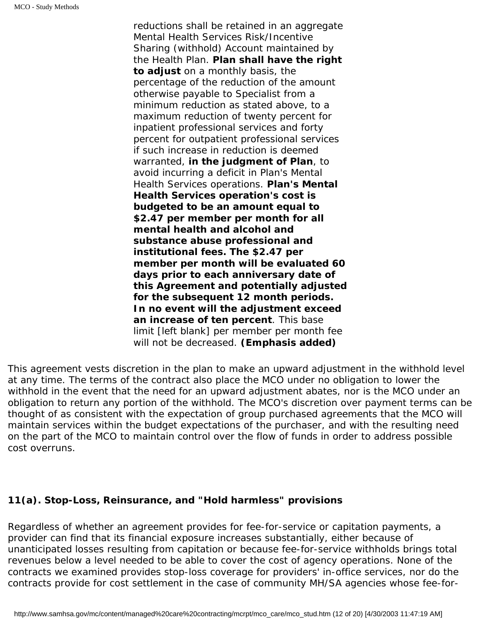reductions shall be retained in an aggregate Mental Health Services Risk/Incentive Sharing (withhold) Account maintained by the Health Plan. **Plan shall have the right to adjust** on a monthly basis, the percentage of the reduction of the amount otherwise payable to Specialist from a minimum reduction as stated above, to a maximum reduction of twenty percent for inpatient professional services and forty percent for outpatient professional services if such increase in reduction is deemed warranted, **in the judgment of Plan**, to avoid incurring a deficit in Plan's Mental Health Services operations. **Plan's Mental Health Services operation's cost is budgeted to be an amount equal to \$2.47 per member per month for all mental health and alcohol and substance abuse professional and institutional fees. The \$2.47 per member per month will be evaluated 60 days prior to each anniversary date of this Agreement and potentially adjusted for the subsequent 12 month periods. In no event will the adjustment exceed an increase of ten percent**. This base limit *[left blank]* per member per month fee will not be decreased. **(Emphasis added)**

This agreement vests discretion in the plan to make an upward adjustment in the withhold level at any time. The terms of the contract also place the MCO under no obligation to lower the withhold in the event that the need for an upward adjustment abates, nor is the MCO under an obligation to return any portion of the withhold. The MCO's discretion over payment terms can be thought of as consistent with the expectation of group purchased agreements that the MCO will maintain services within the budget expectations of the purchaser, and with the resulting need on the part of the MCO to maintain control over the flow of funds in order to address possible cost overruns.

## *11(a). Stop-Loss, Reinsurance, and "Hold harmless" provisions*

Regardless of whether an agreement provides for fee-for-service or capitation payments, a provider can find that its financial exposure increases substantially, either because of unanticipated losses resulting from capitation or because fee-for-service withholds brings total revenues below a level needed to be able to cover the cost of agency operations. None of the contracts we examined provides stop-loss coverage for providers' in-office services, nor do the contracts provide for cost settlement in the case of community MH/SA agencies whose fee-for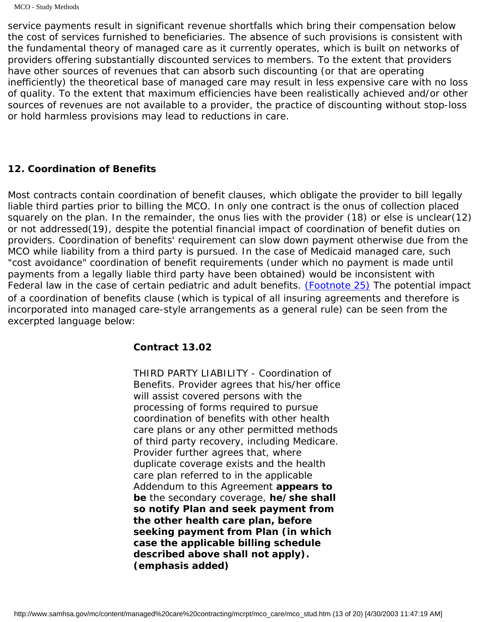service payments result in significant revenue shortfalls which bring their compensation below the cost of services furnished to beneficiaries. The absence of such provisions is consistent with the fundamental theory of managed care as it currently operates, which is built on networks of providers offering substantially discounted services to members. To the extent that providers have other sources of revenues that can absorb such discounting (or that are operating inefficiently) the theoretical base of managed care may result in less expensive care with no loss of quality. To the extent that maximum efficiencies have been realistically achieved and/or other sources of revenues are not available to a provider, the practice of discounting without stop-loss or hold harmless provisions may lead to reductions in care.

#### <span id="page-26-0"></span>*12. Coordination of Benefits*

<span id="page-26-1"></span>Most contracts contain coordination of benefit clauses, which obligate the provider to bill legally liable third parties prior to billing the MCO. In only one contract is the onus of collection placed squarely on the plan. In the remainder, the onus lies with the provider (18) or else is unclear(12) or not addressed(19), despite the potential financial impact of coordination of benefit duties on providers. Coordination of benefits' requirement can slow down payment otherwise due from the MCO while liability from a third party is pursued. In the case of Medicaid managed care, such "cost avoidance" coordination of benefit requirements (under which no payment is made until payments from a legally liable third party have been obtained) would be inconsistent with Federal law in the case of certain pediatric and adult benefits. *[\(Footnote 25\)](#page-33-1)* The potential impact of a coordination of benefits clause (which is typical of all insuring agreements and therefore is incorporated into managed care-style arrangements as a general rule) can be seen from the excerpted language below:

#### **Contract 13.02**

THIRD PARTY LIABILITY - Coordination of Benefits. Provider agrees that his/her office will assist covered persons with the processing of forms required to pursue coordination of benefits with other health care plans or any other permitted methods of third party recovery, including Medicare. Provider further agrees that, where duplicate coverage exists and the health care plan referred to in the applicable Addendum to this Agreement **appears to be** the secondary coverage, **he/she shall so notify Plan and seek payment from the other health care plan, before seeking payment from Plan (in which case the applicable billing schedule described above shall not apply). (emphasis added)**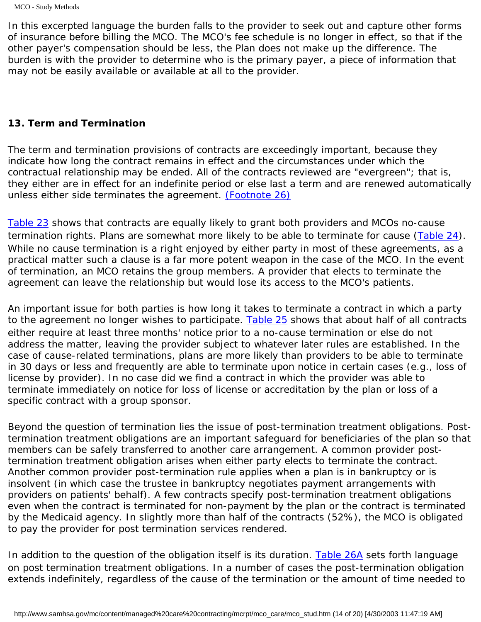In this excerpted language the burden falls to the provider to seek out and capture other forms of insurance before billing the MCO. The MCO's fee schedule is no longer in effect, so that if the other payer's compensation should be less, the Plan does not make up the difference. The burden is with the provider to determine who is the primary payer, a piece of information that may not be easily available or available at all to the provider.

### <span id="page-27-0"></span>*13. Term and Termination*

The term and termination provisions of contracts are exceedingly important, because they indicate how long the contract remains in effect and the circumstances under which the contractual relationship may be ended. All of the contracts reviewed are "evergreen"; that is, they either are in effect for an indefinite period or else last a term and are renewed automatically unless either side terminates the agreement. *[\(Footnote 26\)](#page-33-2)*

<span id="page-27-1"></span>[Table 23](#page-74-0) shows that contracts are equally likely to grant both providers and MCOs no-cause termination rights. Plans are somewhat more likely to be able to terminate for cause ([Table 24\)](#page-74-1). While no cause termination is a right enjoyed by either party in most of these agreements, as a practical matter such a clause is a far more potent weapon in the case of the MCO. In the event of termination, an MCO retains the group members. A provider that elects to terminate the agreement can leave the relationship but would lose its access to the MCO's patients.

An important issue for both parties is how long it takes to terminate a contract in which a party to the agreement no longer wishes to participate. [Table 25](#page-75-0) shows that about half of all contracts either require at least three months' notice prior to a no-cause termination or else do not address the matter, leaving the provider subject to whatever later rules are established. In the case of cause-related terminations, plans are more likely than providers to be able to terminate in 30 days or less and frequently are able to terminate upon notice in certain cases (e.g., loss of license by provider). In no case did we find a contract in which the provider was able to terminate immediately on notice for loss of license or accreditation by the plan or loss of a specific contract with a group sponsor.

Beyond the question of termination lies the issue of post-termination treatment obligations. Posttermination treatment obligations are an important safeguard for beneficiaries of the plan so that members can be safely transferred to another care arrangement. A common provider posttermination treatment obligation arises when either party elects to terminate the contract. Another common provider post-termination rule applies when a plan is in bankruptcy or is insolvent (in which case the trustee in bankruptcy negotiates payment arrangements with providers on patients' behalf). A few contracts specify post-termination treatment obligations even when the contract is terminated for non-payment by the plan or the contract is terminated by the Medicaid agency. In slightly more than half of the contracts (52%), the MCO is obligated to pay the provider for post termination services rendered.

In addition to the question of the obligation itself is its duration. [Table 26A](#page-76-0) sets forth language on post termination treatment obligations. In a number of cases the post-termination obligation extends indefinitely, regardless of the cause of the termination or the amount of time needed to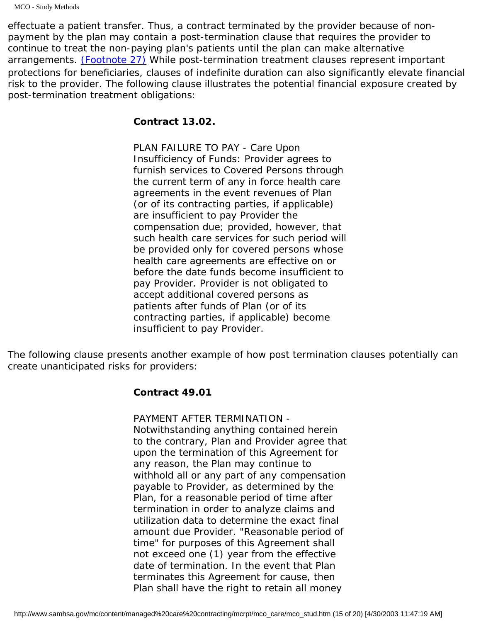MCO - Study Methods

<span id="page-28-0"></span>effectuate a patient transfer. Thus, a contract terminated by the provider because of nonpayment by the plan may contain a post-termination clause that requires the provider to continue to treat the non-paying plan's patients until the plan can make alternative arrangements. *[\(Footnote 27\)](#page-33-3)* While post-termination treatment clauses represent important protections for beneficiaries, clauses of indefinite duration can also significantly elevate financial risk to the provider. The following clause illustrates the potential financial exposure created by post-termination treatment obligations:

### **Contract 13.02.**

PLAN FAILURE TO PAY - Care Upon Insufficiency of Funds: Provider agrees to furnish services to Covered Persons through the current term of any in force health care agreements in the event revenues of Plan (or of its contracting parties, if applicable) are insufficient to pay Provider the compensation due; provided, however, that such health care services for such period will be provided only for covered persons whose health care agreements are effective on or before the date funds become insufficient to pay Provider. Provider is not obligated to accept additional covered persons as patients after funds of Plan (or of its contracting parties, if applicable) become insufficient to pay Provider.

The following clause presents another example of how post termination clauses potentially can create unanticipated risks for providers:

## **Contract 49.01**

PAYMENT AFTER TERMINATION -

Notwithstanding anything contained herein to the contrary, Plan and Provider agree that upon the termination of this Agreement for any reason, the Plan may continue to withhold all or any part of any compensation payable to Provider, as determined by the Plan, for a reasonable period of time after termination in order to analyze claims and utilization data to determine the exact final amount due Provider. "Reasonable period of time" for purposes of this Agreement shall not exceed one (1) year from the effective date of termination. In the event that Plan terminates this Agreement for cause, then Plan shall have the right to retain all money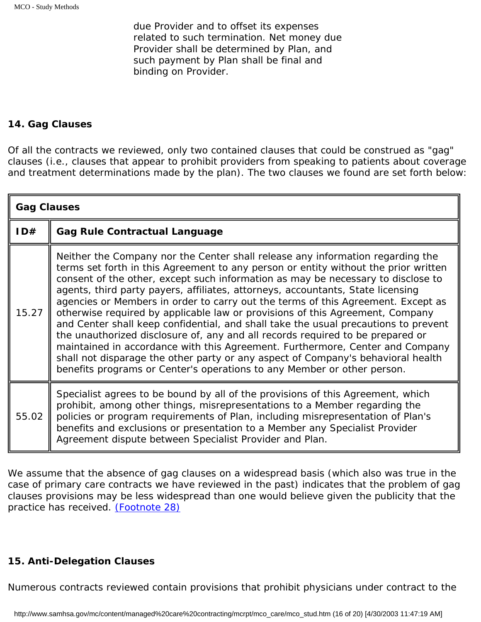due Provider and to offset its expenses related to such termination. Net money due Provider shall be determined by Plan, and such payment by Plan shall be final and binding on Provider.

### <span id="page-29-0"></span>*14. Gag Clauses*

Of all the contracts we reviewed, only two contained clauses that could be construed as "gag" clauses (i.e., clauses that appear to prohibit providers from speaking to patients about coverage and treatment determinations made by the plan). The two clauses we found are set forth below:

| <b>Gag Clauses</b> |                                                                                                                                                                                                                                                                                                                                                                                                                                                                                                                                                                                                                                                                                                                                                                                                                                                                                                                                            |
|--------------------|--------------------------------------------------------------------------------------------------------------------------------------------------------------------------------------------------------------------------------------------------------------------------------------------------------------------------------------------------------------------------------------------------------------------------------------------------------------------------------------------------------------------------------------------------------------------------------------------------------------------------------------------------------------------------------------------------------------------------------------------------------------------------------------------------------------------------------------------------------------------------------------------------------------------------------------------|
| ID#                | <b>Gag Rule Contractual Language</b>                                                                                                                                                                                                                                                                                                                                                                                                                                                                                                                                                                                                                                                                                                                                                                                                                                                                                                       |
| 15.27              | Neither the Company nor the Center shall release any information regarding the<br>terms set forth in this Agreement to any person or entity without the prior written<br>consent of the other, except such information as may be necessary to disclose to<br>agents, third party payers, affiliates, attorneys, accountants, State licensing<br>agencies or Members in order to carry out the terms of this Agreement. Except as<br>otherwise required by applicable law or provisions of this Agreement, Company<br>and Center shall keep confidential, and shall take the usual precautions to prevent<br>the unauthorized disclosure of, any and all records required to be prepared or<br>maintained in accordance with this Agreement. Furthermore, Center and Company<br>shall not disparage the other party or any aspect of Company's behavioral health<br>benefits programs or Center's operations to any Member or other person. |
| 55.02              | Specialist agrees to be bound by all of the provisions of this Agreement, which<br>prohibit, among other things, misrepresentations to a Member regarding the<br>policies or program requirements of Plan, including misrepresentation of Plan's<br>benefits and exclusions or presentation to a Member any Specialist Provider<br>Agreement dispute between Specialist Provider and Plan.                                                                                                                                                                                                                                                                                                                                                                                                                                                                                                                                                 |

<span id="page-29-2"></span>We assume that the absence of gag clauses on a widespread basis (which also was true in the case of primary care contracts we have reviewed in the past) indicates that the problem of gag clauses provisions may be less widespread than one would believe given the publicity that the practice has received. *[\(Footnote 28\)](#page-33-4)*

## <span id="page-29-1"></span>*15. Anti-Delegation Clauses*

Numerous contracts reviewed contain provisions that prohibit physicians under contract to the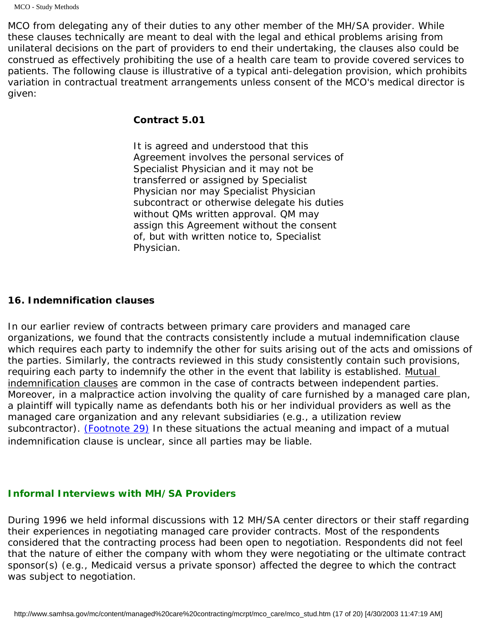MCO from delegating any of their duties to any other member of the MH/SA provider. While these clauses technically are meant to deal with the legal and ethical problems arising from unilateral decisions on the part of providers to end their undertaking, the clauses also could be construed as effectively prohibiting the use of a health care team to provide covered services to patients. The following clause is illustrative of a typical anti-delegation provision, which prohibits variation in contractual treatment arrangements unless consent of the MCO's medical director is given:

#### **Contract 5.01**

It is agreed and understood that this Agreement involves the personal services of Specialist Physician and it may not be transferred or assigned by Specialist Physician nor may Specialist Physician subcontract or otherwise delegate his duties without QMs written approval. QM may assign this Agreement without the consent of, but with written notice to, Specialist Physician.

### <span id="page-30-0"></span>*16. Indemnification clauses*

In our earlier review of contracts between primary care providers and managed care organizations, we found that the contracts consistently include a mutual indemnification clause which requires each party to indemnify the other for suits arising out of the acts and omissions of the parties. Similarly, the contracts reviewed in this study consistently contain such provisions, requiring each party to indemnify the other in the event that lability is established. Mutual indemnification clauses are common in the case of contracts between independent parties. Moreover, in a malpractice action involving the quality of care furnished by a managed care plan, a plaintiff will typically name as defendants both his or her individual providers as well as the managed care organization and any relevant subsidiaries (e.g., a utilization review subcontractor). *[\(Footnote 29\)](#page-33-5)* In these situations the actual meaning and impact of a mutual indemnification clause is unclear, since all parties may be liable.

# <span id="page-30-2"></span><span id="page-30-1"></span>*Informal Interviews with MH/SA Providers*

During 1996 we held informal discussions with 12 MH/SA center directors or their staff regarding their experiences in negotiating managed care provider contracts. Most of the respondents considered that the contracting process had been open to negotiation. Respondents did not feel that the nature of either the company with whom they were negotiating or the ultimate contract sponsor(s) (e.g., Medicaid versus a private sponsor) affected the degree to which the contract was subject to negotiation.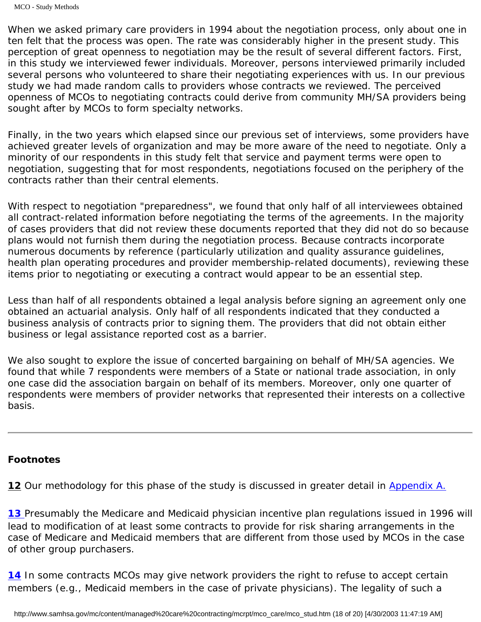When we asked primary care providers in 1994 about the negotiation process, only about one in ten felt that the process was open. The rate was considerably higher in the present study. This perception of great openness to negotiation may be the result of several different factors. First, in this study we interviewed fewer individuals. Moreover, persons interviewed primarily included several persons who volunteered to share their negotiating experiences with us. In our previous study we had made random calls to providers whose contracts we reviewed. The perceived openness of MCOs to negotiating contracts could derive from community MH/SA providers being sought after by MCOs to form specialty networks.

Finally, in the two years which elapsed since our previous set of interviews, some providers have achieved greater levels of organization and may be more aware of the need to negotiate. Only a minority of our respondents in this study felt that service and payment terms were open to negotiation, suggesting that for most respondents, negotiations focused on the periphery of the contracts rather than their central elements.

With respect to negotiation "preparedness", we found that only half of all interviewees obtained all contract-related information before negotiating the terms of the agreements. In the majority of cases providers that did not review these documents reported that they did not do so because plans would not furnish them during the negotiation process. Because contracts incorporate numerous documents by reference (particularly utilization and quality assurance guidelines, health plan operating procedures and provider membership-related documents), reviewing these items prior to negotiating or executing a contract would appear to be an essential step.

Less than half of all respondents obtained a legal analysis before signing an agreement only one obtained an actuarial analysis. Only half of all respondents indicated that they conducted a business analysis of contracts prior to signing them. The providers that did not obtain either business or legal assistance reported cost as a barrier.

We also sought to explore the issue of concerted bargaining on behalf of MH/SA agencies. We found that while 7 respondents were members of a State or national trade association, in only one case did the association bargain on behalf of its members. Moreover, only one quarter of respondents were members of provider networks that represented their interests on a collective basis.

#### <span id="page-31-0"></span>*Footnotes*

<span id="page-31-1"></span>[12](#page-14-3) Our methodology for this phase of the study is discussed in greater detail in Appendix A.

**[13](#page-15-0)** Presumably the Medicare and Medicaid physician incentive plan regulations issued in 1996 will lead to modification of at least some contracts to provide for risk sharing arrangements in the case of Medicare and Medicaid members that are different from those used by MCOs in the case of other group purchasers.

<span id="page-31-2"></span>[14](#page-15-1) In some contracts MCOs may give network providers the right to refuse to accept certain members (e.g., Medicaid members in the case of private physicians). The legality of such a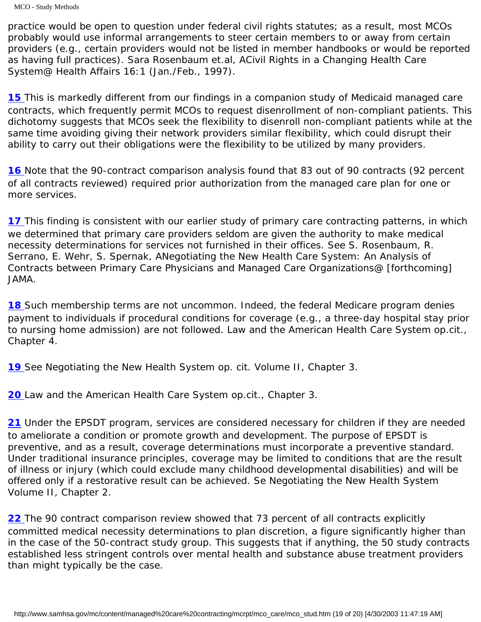MCO - Study Methods

practice would be open to question under federal civil rights statutes; as a result, most MCOs probably would use informal arrangements to steer certain members to or away from certain providers (e.g., certain providers would not be listed in member handbooks or would be reported as having full practices). Sara Rosenbaum et.al, ACivil Rights in a Changing Health Care System@ *Health Affairs* 16:1 (Jan./Feb., 1997).

<span id="page-32-0"></span>[15](#page-17-2) This is markedly different from our findings in a companion study of Medicaid managed care contracts, which frequently permit MCOs to request disenrollment of non-compliant patients. This dichotomy suggests that MCOs seek the flexibility to disenroll non-compliant patients while at the same time avoiding giving their network providers similar flexibility, which could disrupt their ability to carry out their obligations were the flexibility to be utilized by many providers.

<span id="page-32-1"></span>[16](#page-18-0) Note that the 90-contract comparison analysis found that 83 out of 90 contracts (92 percent of all contracts reviewed) required prior authorization from the managed care plan for one or more services.

<span id="page-32-2"></span>[17](#page-18-1) This finding is consistent with our earlier study of primary care contracting patterns, in which we determined that primary care providers seldom are given the authority to make medical necessity determinations for services not furnished in their offices. See S. Rosenbaum, R. Serrano, E. Wehr, S. Spernak, ANegotiating the New Health Care System: An Analysis of Contracts between Primary Care Physicians and Managed Care Organizations@ [forthcoming] *JAMA*.

<span id="page-32-3"></span>**[18](#page-18-2)** Such membership terms are not uncommon. Indeed, the federal Medicare program denies payment to individuals if procedural conditions for coverage (e.g., a three-day hospital stay prior to nursing home admission) are not followed. *Law and the American Health Care System* op.cit., Chapter 4.

<span id="page-32-5"></span><span id="page-32-4"></span>[19](#page-20-2) See *Negotiating the New Health System* op. cit. Volume II, Chapter 3.

<span id="page-32-6"></span>*[20](#page-21-1) Law and the American Health Care System* op.cit., Chapter 3.

[21](#page-21-2) Under the EPSDT program, services are considered necessary for children if they are needed to ameliorate a condition or promote growth and development. The purpose of EPSDT is preventive, and as a result, coverage determinations must incorporate a preventive standard. Under traditional insurance principles, coverage may be limited to conditions that are the result of illness or injury (which could exclude many childhood developmental disabilities) and will be offered only if a restorative result can be achieved. Se *Negotiating the New Health System* Volume II, Chapter 2.

<span id="page-32-7"></span>[22](#page-21-3) The 90 contract comparison review showed that 73 percent of all contracts explicitly committed medical necessity determinations to plan discretion, a figure significantly higher than in the case of the 50-contract study group. This suggests that if anything, the 50 study contracts established less stringent controls over mental health and substance abuse treatment providers than might typically be the case.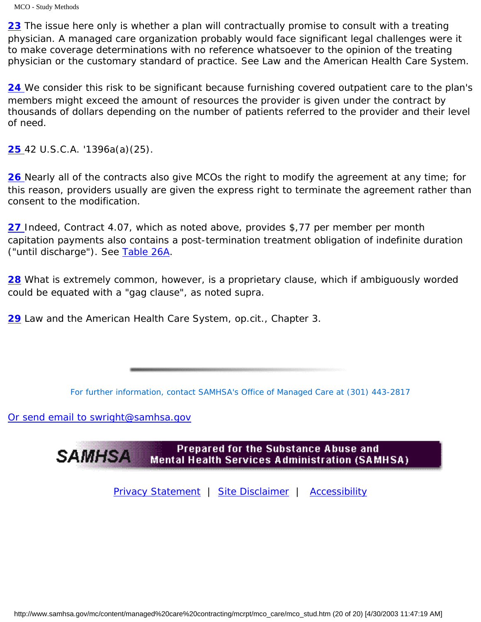MCO - Study Methods

[23](#page-21-4) The issue here only is whether a plan will contractually promise to consult with a treating physician. A managed care organization probably would face significant legal challenges were it to make coverage determinations with no reference whatsoever to the opinion of the treating physician or the customary standard of practice. See *Law and the American Health Care System*.

<span id="page-33-0"></span>[24](#page-26-1) We consider this risk to be significant because furnishing covered outpatient care to the plan's members might exceed the amount of resources the provider is given under the contract by thousands of dollars depending on the number of patients referred to the provider and their level of need.

<span id="page-33-2"></span><span id="page-33-1"></span>**[25](#page-26-1)** 42 U.S.C.A. '1396a(a)(25).

**[26](#page-27-1)** Nearly all of the contracts also give MCOs the right to modify the agreement at any time; for this reason, providers usually are given the express right to terminate the agreement rather than consent to the modification.

<span id="page-33-3"></span>*[27](#page-28-0)* Indeed, Contract 4.07, which as noted above, provides \$,77 per member per month capitation payments also contains a post-termination treatment obligation of indefinite duration ("until discharge"). See [Table 26A](#page-76-0).

<span id="page-33-4"></span>[28](#page-29-2) What is extremely common, however, is a proprietary clause, which if ambiguously worded could be equated with a "gag clause", as noted supra.

<span id="page-33-5"></span>*[29](#page-30-2) Law and the American Health Care System*, op.cit., Chapter 3.

*For further information, contact SAMHSA's Office of Managed Care at (301) 443-2817* 

[Or send email to swright@samhsa.gov](Mailto:swright@samhsa.gov)

Prepared for the Substance Abuse and **SAMHSA Mental Health Services Administration (SAMHSA)** 

[Privacy Statement](http://www.samhsa.gov/about/content/privacy.htm) | [Site Disclaimer](http://www.samhsa.gov/about/Disclaimer.html) | [Accessibility](http://www.samhsa.gov/about/content/508.html)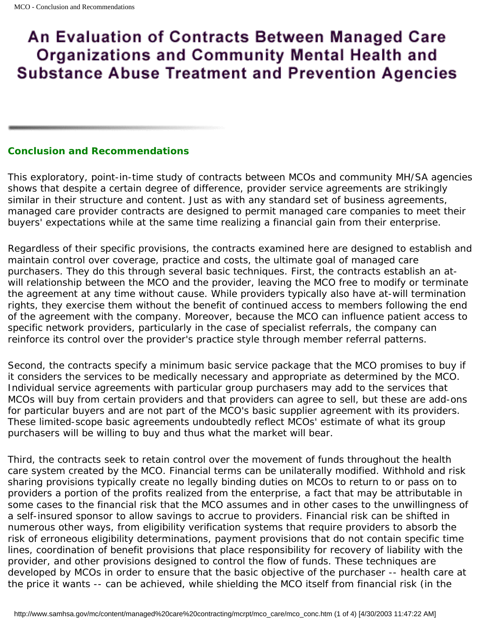# An Evaluation of Contracts Between Managed Care **Organizations and Community Mental Health and Substance Abuse Treatment and Prevention Agencies**

## <span id="page-34-0"></span>**Conclusion and Recommendations**

This exploratory, point-in-time study of contracts between MCOs and community MH/SA agencies shows that despite a certain degree of difference, provider service agreements are strikingly similar in their structure and content. Just as with any standard set of business agreements, managed care provider contracts are designed to permit managed care companies to meet their buyers' expectations while at the same time realizing a financial gain from their enterprise.

Regardless of their specific provisions, the contracts examined here are designed to establish and maintain control over coverage, practice and costs, the ultimate goal of managed care purchasers. They do this through several basic techniques. First, the contracts establish an atwill relationship between the MCO and the provider, leaving the MCO free to modify or terminate the agreement at any time without cause. While providers typically also have at-will termination rights, they exercise them without the benefit of continued access to members following the end of the agreement with the company. Moreover, because the MCO can influence patient access to specific network providers, particularly in the case of specialist referrals, the company can reinforce its control over the provider's practice style through member referral patterns.

Second, the contracts specify a minimum basic service package that the MCO promises to buy if it considers the services to be medically necessary and appropriate as determined by the MCO. Individual service agreements with particular group purchasers may add to the services that MCOs will buy from certain providers and that providers can agree to sell, but these are add-ons for particular buyers and are not part of the MCO's basic supplier agreement with its providers. These limited-scope basic agreements undoubtedly reflect MCOs' estimate of what its group purchasers will be willing to buy and thus what the market will bear.

Third, the contracts seek to retain control over the movement of funds throughout the health care system created by the MCO. Financial terms can be unilaterally modified. Withhold and risk sharing provisions typically create no legally binding duties on MCOs to return to or pass on to providers a portion of the profits realized from the enterprise, a fact that may be attributable in some cases to the financial risk that the MCO assumes and in other cases to the unwillingness of a self-insured sponsor to allow savings to accrue to providers. Financial risk can be shifted in numerous other ways, from eligibility verification systems that require providers to absorb the risk of erroneous eligibility determinations, payment provisions that do not contain specific time lines, coordination of benefit provisions that place responsibility for recovery of liability with the provider, and other provisions designed to control the flow of funds. These techniques are developed by MCOs in order to ensure that the basic objective of the purchaser -- health care at the price it wants -- can be achieved, while shielding the MCO itself from financial risk (in the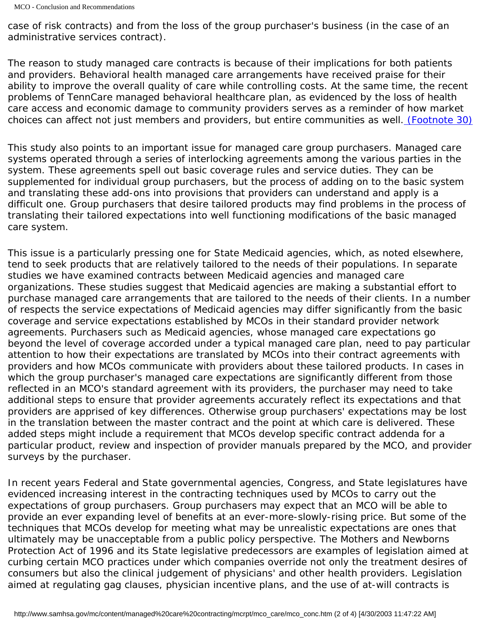case of risk contracts) and from the loss of the group purchaser's business (in the case of an administrative services contract).

The reason to study managed care contracts is because of their implications for both patients and providers. Behavioral health managed care arrangements have received praise for their ability to improve the overall quality of care while controlling costs. At the same time, the recent problems of TennCare managed behavioral healthcare plan, as evidenced by the loss of health care access and economic damage to community providers serves as a reminder of how market choices can affect not just members and providers, but entire communities as well. *[\(Footnote 30\)](#page-36-0)*

This study also points to an important issue for managed care group purchasers. Managed care systems operated through a series of interlocking agreements among the various parties in the system. These agreements spell out basic coverage rules and service duties. They can be supplemented for individual group purchasers, but the process of adding on to the basic system and translating these add-ons into provisions that providers can understand and apply is a difficult one. Group purchasers that desire tailored products may find problems in the process of translating their tailored expectations into well functioning modifications of the basic managed care system.

This issue is a particularly pressing one for State Medicaid agencies, which, as noted elsewhere, tend to seek products that are relatively tailored to the needs of their populations. In separate studies we have examined contracts between Medicaid agencies and managed care organizations. These studies suggest that Medicaid agencies are making a substantial effort to purchase managed care arrangements that are tailored to the needs of their clients. In a number of respects the service expectations of Medicaid agencies may differ significantly from the basic coverage and service expectations established by MCOs in their standard provider network agreements. Purchasers such as Medicaid agencies, whose managed care expectations go beyond the level of coverage accorded under a typical managed care plan, need to pay particular attention to how their expectations are translated by MCOs into their contract agreements with providers and how MCOs communicate with providers about these tailored products. In cases in which the group purchaser's managed care expectations are significantly different from those reflected in an MCO's standard agreement with its providers, the purchaser may need to take additional steps to ensure that provider agreements accurately reflect its expectations and that providers are apprised of key differences. Otherwise group purchasers' expectations may be lost in the translation between the master contract and the point at which care is delivered. These added steps might include a requirement that MCOs develop specific contract addenda for a particular product, review and inspection of provider manuals prepared by the MCO, and provider surveys by the purchaser.

In recent years Federal and State governmental agencies, Congress, and State legislatures have evidenced increasing interest in the contracting techniques used by MCOs to carry out the expectations of group purchasers. Group purchasers may expect that an MCO will be able to provide an ever expanding level of benefits at an ever-more-slowly-rising price. But some of the techniques that MCOs develop for meeting what may be unrealistic expectations are ones that ultimately may be unacceptable from a public policy perspective. The Mothers and Newborns Protection Act of 1996 and its State legislative predecessors are examples of legislation aimed at curbing certain MCO practices under which companies override not only the treatment desires of consumers but also the clinical judgement of physicians' and other health providers. Legislation aimed at regulating gag clauses, physician incentive plans, and the use of at-will contracts is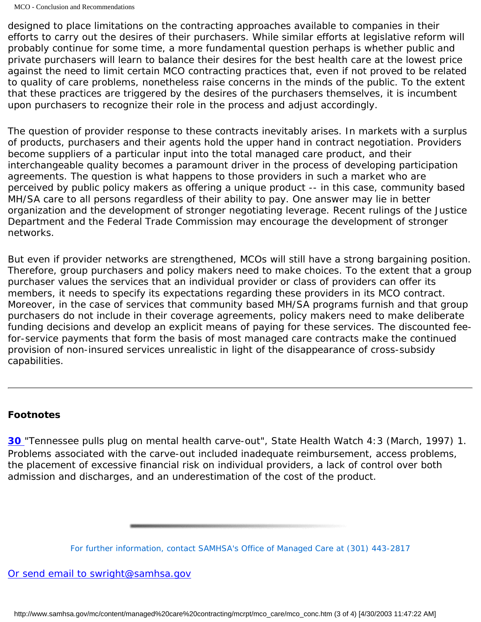designed to place limitations on the contracting approaches available to companies in their efforts to carry out the desires of their purchasers. While similar efforts at legislative reform will probably continue for some time, a more fundamental question perhaps is whether public and private purchasers will learn to balance their desires for the best health care at the lowest price against the need to limit certain MCO contracting practices that, even if not proved to be related to quality of care problems, nonetheless raise concerns in the minds of the public. To the extent that these practices are triggered by the desires of the purchasers themselves, it is incumbent upon purchasers to recognize their role in the process and adjust accordingly.

The question of provider response to these contracts inevitably arises. In markets with a surplus of products, purchasers and their agents hold the upper hand in contract negotiation. Providers become suppliers of a particular input into the total managed care product, and their interchangeable quality becomes a paramount driver in the process of developing participation agreements. The question is what happens to those providers in such a market who are perceived by public policy makers as offering a unique product -- in this case, community based MH/SA care to all persons regardless of their ability to pay. One answer may lie in better organization and the development of stronger negotiating leverage. Recent rulings of the Justice Department and the Federal Trade Commission may encourage the development of stronger networks.

But even if provider networks are strengthened, MCOs will still have a strong bargaining position. Therefore, group purchasers and policy makers need to make choices. To the extent that a group purchaser values the services that an individual provider or class of providers can offer its members, it needs to specify its expectations regarding these providers in its MCO contract. Moreover, in the case of services that community based MH/SA programs furnish and that group purchasers do not include in their coverage agreements, policy makers need to make deliberate funding decisions and develop an explicit means of paying for these services. The discounted feefor-service payments that form the basis of most managed care contracts make the continued provision of non-insured services unrealistic in light of the disappearance of cross-subsidy capabilities.

## *Footnotes*

*[30](#page-35-0)* "Tennessee pulls plug on mental health carve-out", *State Health Watch* 4:3 (March, 1997) 1. Problems associated with the carve-out included inadequate reimbursement, access problems, the placement of excessive financial risk on individual providers, a lack of control over both admission and discharges, and an underestimation of the cost of the product.

*For further information, contact SAMHSA's Office of Managed Care at (301) 443-2817* 

[Or send email to swright@samhsa.gov](Mailto:swright@samhsa.gov)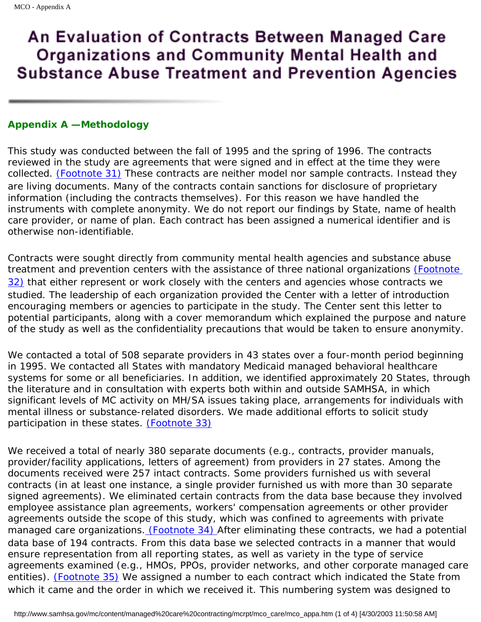## **Appendix A — Methodology**

This study was conducted between the fall of 1995 and the spring of 1996. The contracts reviewed in the study are agreements that were signed and in effect at the time they were collected. *(Footnote 31)* These contracts are neither model nor sample contracts. Instead they are living documents. Many of the contracts contain sanctions for disclosure of proprietary information (including the contracts themselves). For this reason we have handled the instruments with complete anonymity. We do not report our findings by State, name of health care provider, or name of plan. Each contract has been assigned a numerical identifier and is otherwise non-identifiable.

Contracts were sought directly from community mental health agencies and substance abuse treatment and prevention centers with the assistance of three national organizations *(Footnote 32)* that either represent or work closely with the centers and agencies whose contracts we studied. The leadership of each organization provided the Center with a letter of introduction encouraging members or agencies to participate in the study. The Center sent this letter to potential participants, along with a cover memorandum which explained the purpose and nature of the study as well as the confidentiality precautions that would be taken to ensure anonymity.

We contacted a total of 508 separate providers in 43 states over a four-month period beginning in 1995. We contacted all States with mandatory Medicaid managed behavioral healthcare systems for some or all beneficiaries. In addition, we identified approximately 20 States, through the literature and in consultation with experts both within and outside SAMHSA, in which significant levels of MC activity on MH/SA issues taking place, arrangements for individuals with mental illness or substance-related disorders. We made additional efforts to solicit study participation in these states. *(Footnote 33)*

We received a total of nearly 380 separate documents (e.g., contracts, provider manuals, provider/facility applications, letters of agreement) from providers in 27 states. Among the documents received were 257 intact contracts. Some providers furnished us with several contracts (in at least one instance, a single provider furnished us with more than 30 separate signed agreements). We eliminated certain contracts from the data base because they involved employee assistance plan agreements, workers' compensation agreements or other provider agreements outside the scope of this study, which was confined to agreements with private managed care organizations. *(Footnote 34)* After eliminating these contracts, we had a potential data base of 194 contracts. From this data base we selected contracts in a manner that would ensure representation from all reporting states, as well as variety in the type of service agreements examined (e.g., HMOs, PPOs, provider networks, and other corporate managed care entities). *(Footnote 35)* We assigned a number to each contract which indicated the State from which it came and the order in which we received it. This numbering system was designed to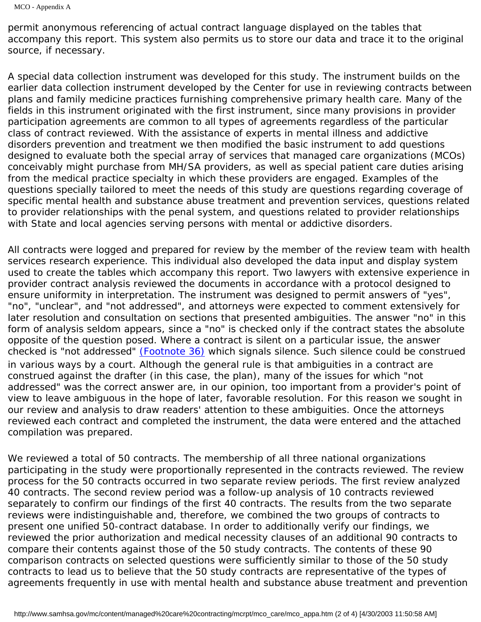MCO - Appendix A

permit anonymous referencing of actual contract language displayed on the tables that accompany this report. This system also permits us to store our data and trace it to the original source, if necessary.

A special data collection instrument was developed for this study. The instrument builds on the earlier data collection instrument developed by the Center for use in reviewing contracts between plans and family medicine practices furnishing comprehensive primary health care. Many of the fields in this instrument originated with the first instrument, since many provisions in provider participation agreements are common to all types of agreements regardless of the particular class of contract reviewed. With the assistance of experts in mental illness and addictive disorders prevention and treatment we then modified the basic instrument to add questions designed to evaluate both the special array of services that managed care organizations (MCOs) conceivably might purchase from MH/SA providers, as well as special patient care duties arising from the medical practice specialty in which these providers are engaged. Examples of the questions specially tailored to meet the needs of this study are questions regarding coverage of specific mental health and substance abuse treatment and prevention services, questions related to provider relationships with the penal system, and questions related to provider relationships with State and local agencies serving persons with mental or addictive disorders.

All contracts were logged and prepared for review by the member of the review team with health services research experience. This individual also developed the data input and display system used to create the tables which accompany this report. Two lawyers with extensive experience in provider contract analysis reviewed the documents in accordance with a protocol designed to ensure uniformity in interpretation. The instrument was designed to permit answers of "yes", "no", "unclear", and "not addressed", and attorneys were expected to comment extensively for later resolution and consultation on sections that presented ambiguities. The answer "no" in this form of analysis seldom appears, since a "no" is checked only if the contract states the absolute opposite of the question posed. Where a contract is silent on a particular issue, the answer checked is "not addressed" *(Footnote 36)* which signals silence. Such silence could be construed in various ways by a court. Although the general rule is that ambiguities in a contract are construed against the drafter (in this case, the plan), many of the issues for which "not addressed" was the correct answer are, in our opinion, too important from a provider's point of view to leave ambiguous in the hope of later, favorable resolution. For this reason we sought in our review and analysis to draw readers' attention to these ambiguities. Once the attorneys reviewed each contract and completed the instrument, the data were entered and the attached compilation was prepared.

We reviewed a total of 50 contracts. The membership of all three national organizations participating in the study were proportionally represented in the contracts reviewed. The review process for the 50 contracts occurred in two separate review periods. The first review analyzed 40 contracts. The second review period was a follow-up analysis of 10 contracts reviewed separately to confirm our findings of the first 40 contracts. The results from the two separate reviews were indistinguishable and, therefore, we combined the two groups of contracts to present one unified 50-contract database. In order to additionally verify our findings, we reviewed the prior authorization and medical necessity clauses of an additional 90 contracts to compare their contents against those of the 50 study contracts. The contents of these 90 comparison contracts on selected questions were sufficiently similar to those of the 50 study contracts to lead us to believe that the 50 study contracts are representative of the types of agreements frequently in use with mental health and substance abuse treatment and prevention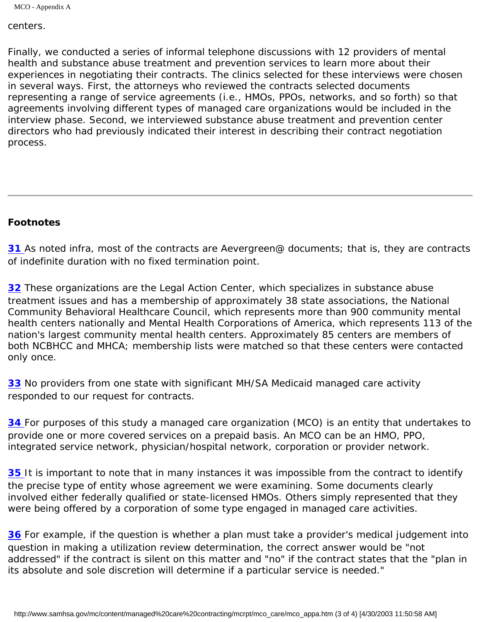MCO - Appendix A

#### centers.

Finally, we conducted a series of informal telephone discussions with 12 providers of mental health and substance abuse treatment and prevention services to learn more about their experiences in negotiating their contracts. The clinics selected for these interviews were chosen in several ways. First, the attorneys who reviewed the contracts selected documents representing a range of service agreements (i.e., HMOs, PPOs, networks, and so forth) so that agreements involving different types of managed care organizations would be included in the interview phase. Second, we interviewed substance abuse treatment and prevention center directors who had previously indicated their interest in describing their contract negotiation process.

## *Footnotes*

**31** As noted infra, most of the contracts are Aevergreen@ documents; that is, they are contracts of indefinite duration with no fixed termination point.

**32** These organizations are the Legal Action Center, which specializes in substance abuse treatment issues and has a membership of approximately 38 state associations, the National Community Behavioral Healthcare Council, which represents more than 900 community mental health centers nationally and Mental Health Corporations of America, which represents 113 of the nation's largest community mental health centers. Approximately 85 centers are members of both NCBHCC and MHCA; membership lists were matched so that these centers were contacted only once.

*33* No providers from one state with significant MH/SA Medicaid managed care activity responded to our request for contracts.

**34** For purposes of this study a managed care organization (MCO) is an entity that undertakes to provide one or more covered services on a prepaid basis. An MCO can be an HMO, PPO, integrated service network, physician/hospital network, corporation or provider network.

**35** It is important to note that in many instances it was impossible from the contract to identify the precise type of entity whose agreement we were examining. Some documents clearly involved either federally qualified or state-licensed HMOs. Others simply represented that they were being offered by a corporation of some type engaged in managed care activities.

**36** For example, if the question is whether a plan must take a provider's medical judgement into question in making a utilization review determination, the correct answer would be "not addressed" if the contract is silent on this matter and "no" if the contract states that the "plan in its absolute and sole discretion will determine if a particular service is needed."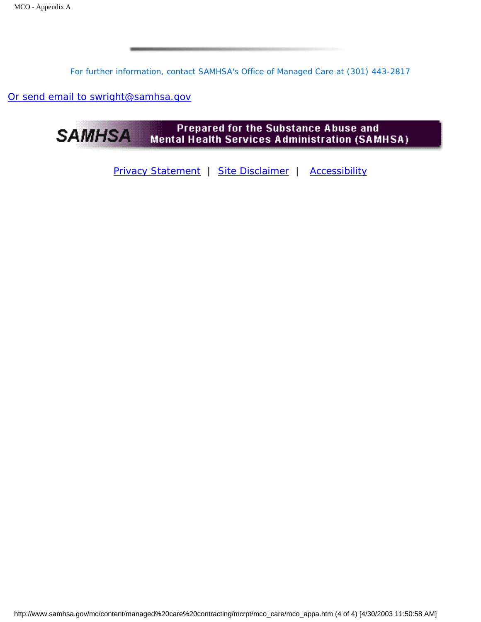*For further information, contact SAMHSA's Office of Managed Care at (301) 443-2817* 

[Or send email to swright@samhsa.gov](Mailto:swright@samhsa.gov)



[Privacy Statement](http://www.samhsa.gov/about/content/privacy.htm) | [Site Disclaimer](http://www.samhsa.gov/about/Disclaimer.html) | [Accessibility](http://www.samhsa.gov/about/content/508.html)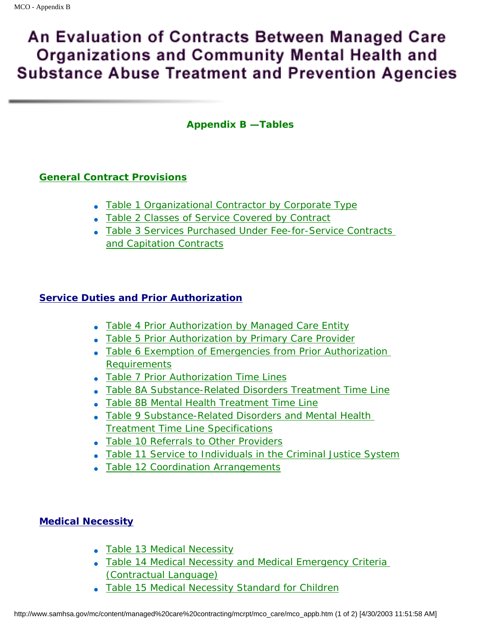## **Appendix B — Tables**

## **General Contract Provisions**

- Table 1 Organizational Contractor by Corporate Type
- [Table 2 Classes of Service Covered by Contract](http://www.samhsa.gov/mc/content/managed%20care%20contracting/mcrpt/mco_state/table2_7.htm)
- Table 3 Services Purchased Under Fee-for-Service Contracts and Capitation Contracts

## **[Service Duties and Prior Authorization](#page-52-0)**

- [Table 4 Prior Authorization by Managed Care Entity](#page-52-1)
- [Table 5 Prior Authorization by Primary Care Provider](#page-52-2)
- [Table 6 Exemption of Emergencies from Prior Authorization](#page-52-3) [Requirements](#page-52-3)
- [Table 7 Prior Authorization Time Lines](#page-53-0)
- [Table 8A Substance-Related Disorders Treatment Time Line](#page-53-1)
- [Table 8B Mental Health Treatment Time Line](#page-54-0)
- [Table 9 Substance-Related Disorders and Mental Health](#page-54-1) [Treatment Time Line Specifications](#page-54-1)
- [Table 10 Referrals to Other Providers](#page-55-0)
- [Table 11 Service to Individuals in the Criminal Justice System](#page-55-1)
- [Table 12 Coordination Arrangements](#page-55-2)

## **[Medical Necessity](#page-58-0)**

- [Table 13 Medical Necessity](#page-58-1)
- Table 14 Medical Necessity and Medical Emergency Criteria [\(Contractual Language\)](#page-58-2)
- [Table 15 Medical Necessity Standard for Children](#page-65-0)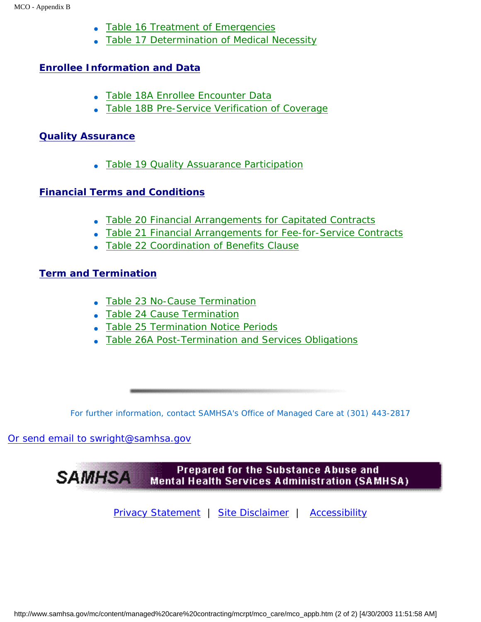- [Table 16 Treatment of Emergencies](#page-66-0)
- [Table 17 Determination of Medical Necessity](#page-66-1)

## **[Enrollee Information and Data](#page-68-0)**

- Table 18A Enrollee Encounter Data
- Table 18B Pre-Service Verification of Coverage

## **[Quality Assurance](#page-70-0)**

• [Table 19 Quality Assuarance Participation](#page-70-1)

## **[Financial Terms and Conditions](#page-72-0)**

- Table 20 Financial Arrangements for Capitated Contracts
- Table 21 Financial Arrangements for Fee-for-Service Contracts
- Table 22 Coordination of Benefits Clause

## **[Term and Termination](#page-74-0)**

- [Table 23 No-Cause Termination](#page-74-1)
- [Table 24 Cause Termination](#page-74-2)
- [Table 25 Termination Notice Periods](#page-75-0)
- [Table 26A Post-Termination and Services Obligations](#page-76-0)

*For further information, contact SAMHSA's Office of Managed Care at (301) 443-2817* 

## [Or send email to swright@samhsa.gov](Mailto:swright@samhsa.gov)

Prepared for the Substance Abuse and **SAMHSA Mental Health Services Administration (SAMHSA)** 

[Privacy Statement](http://www.samhsa.gov/about/content/privacy.htm) | [Site Disclaimer](http://www.samhsa.gov/about/Disclaimer.html) | [Accessibility](http://www.samhsa.gov/about/content/508.html)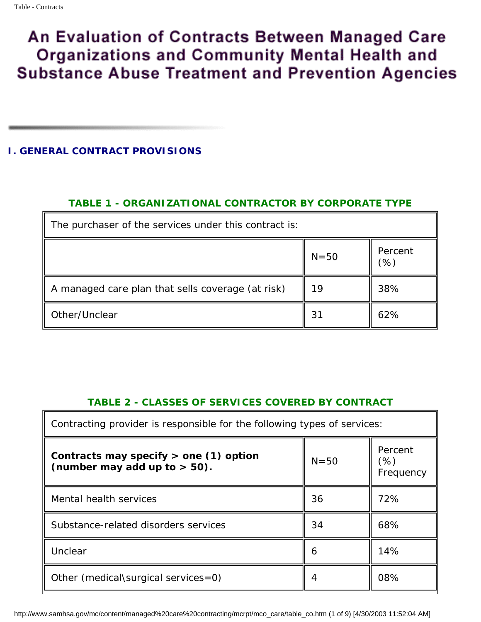## **I. GENERAL CONTRACT PROVISIONS**

## *TABLE 1 - ORGANIZATIONAL CONTRACTOR BY CORPORATE TYPE*

| The purchaser of the services under this contract is: |          |                          |  |
|-------------------------------------------------------|----------|--------------------------|--|
|                                                       | $N = 50$ | Percent<br>$\frac{1}{2}$ |  |
| A managed care plan that sells coverage (at risk)     | 19       | 38%                      |  |
| Other/Unclear                                         | 31       | 62%                      |  |

## *TABLE 2 - CLASSES OF SERVICES COVERED BY CONTRACT*

| Contracting provider is responsible for the following types of services:   |          |                             |  |
|----------------------------------------------------------------------------|----------|-----------------------------|--|
| Contracts may specify $>$ one (1) option<br>(number may add up to $>$ 50). | $N = 50$ | Percent<br>(%)<br>Frequency |  |
| Mental health services                                                     | 36       | 72%                         |  |
| Substance-related disorders services                                       | 34       | 68%                         |  |
| Unclear                                                                    | 6        | 14%                         |  |
| Other (medical surgical services= $0$ )                                    | 4        | 08%                         |  |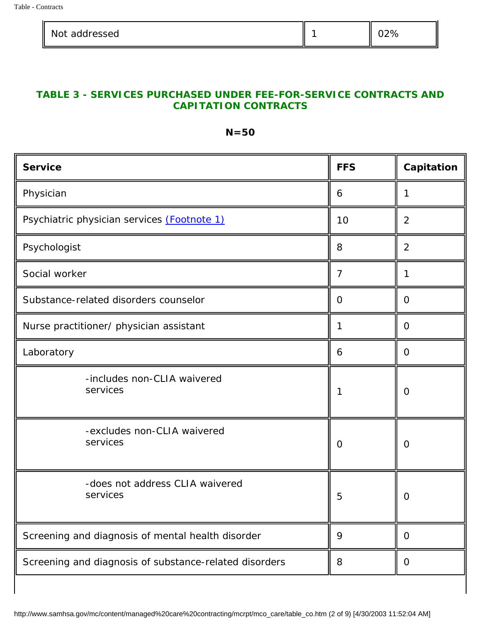| Ш<br>Not addressed |  |  |
|--------------------|--|--|
|--------------------|--|--|

## *TABLE 3 - SERVICES PURCHASED UNDER FEE-FOR-SERVICE CONTRACTS AND CAPITATION CONTRACTS*

## *N=50*

| <b>Service</b>                                         | <b>FFS</b>       | <b>Capitation</b> |
|--------------------------------------------------------|------------------|-------------------|
| Physician                                              | 6                | 1                 |
| Psychiatric physician services (Footnote 1)            | 10               | $\boldsymbol{2}$  |
| Psychologist                                           | 8                | $\boldsymbol{2}$  |
| Social worker                                          | 7                | 1                 |
| Substance-related disorders counselor                  | $\boldsymbol{0}$ | $\bf{0}$          |
| Nurse practitioner/ physician assistant                | 1                | $\bf{0}$          |
| Laboratory                                             | 6                | $\bf{0}$          |
| -includes non-CLIA waivered<br>services                | 1                | $\bf{0}$          |
| -excludes non-CLIA waivered<br>services                | $\bf{0}$         | $\bf{0}$          |
| -does not address CLIA waivered<br>services            | $\overline{5}$   | $\mathbf{0}$      |
| Screening and diagnosis of mental health disorder      | 9                | $\bf{0}$          |
| Screening and diagnosis of substance-related disorders | 8                | $\bf{0}$          |

http://www.samhsa.gov/mc/content/managed%20care%20contracting/mcrpt/mco\_care/table\_co.htm (2 of 9) [4/30/2003 11:52:04 AM]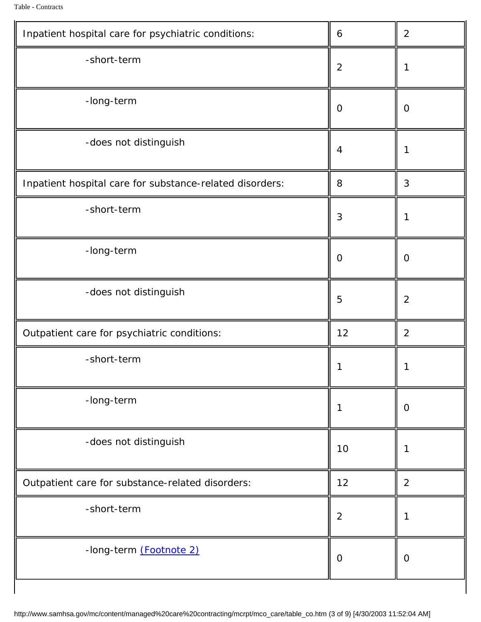l.

| Inpatient hospital care for psychiatric conditions:      | $\boldsymbol{6}$ | $\boldsymbol{2}$ |
|----------------------------------------------------------|------------------|------------------|
| -short-term                                              | $\boldsymbol{2}$ | $\mathbf{1}$     |
| -long-term                                               | $\bf{0}$         | $\bf{0}$         |
| -does not distinguish                                    | 4                | $\mathbf 1$      |
| Inpatient hospital care for substance-related disorders: | $\bf 8$          | 3                |
| -short-term                                              | 3                | $\mathbf{1}$     |
| -long-term                                               | $\bf{0}$         | $\bf{0}$         |
| -does not distinguish                                    | $\overline{5}$   | $\boldsymbol{2}$ |
| Outpatient care for psychiatric conditions:              | 12               | $\boldsymbol{2}$ |
| -short-term                                              |                  |                  |
| -long-term                                               | $\mathbf{1}$     | $\bf{0}$         |
| -does not distinguish                                    | 10               | $\mathbf{1}$     |
| Outpatient care for substance-related disorders:         | 12               | $\boldsymbol{2}$ |
| -short-term                                              | $\boldsymbol{2}$ | $\mathbf{1}$     |
| -long-term (Footnote 2)                                  | $\bf{0}$         | $\bf{0}$         |
|                                                          |                  |                  |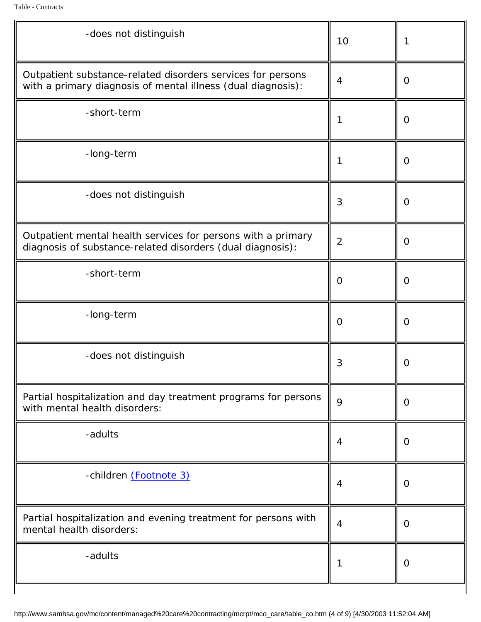l.

| -does not distinguish                                                                                                       | 10               | 1                |
|-----------------------------------------------------------------------------------------------------------------------------|------------------|------------------|
| Outpatient substance-related disorders services for persons<br>with a primary diagnosis of mental illness (dual diagnosis): | $\boldsymbol{4}$ | $\bf{0}$         |
| -short-term                                                                                                                 | 1                | $\bf{0}$         |
| -long-term                                                                                                                  | 1                | $\bf{0}$         |
| -does not distinguish                                                                                                       | 3                | $\bf{0}$         |
| Outpatient mental health services for persons with a primary<br>diagnosis of substance-related disorders (dual diagnosis):  | $\boldsymbol{2}$ | $\bf{0}$         |
| -short-term                                                                                                                 | $\mathbf 0$      | $\bf{0}$         |
| -long-term                                                                                                                  | $\bf{0}$         | $\boldsymbol{0}$ |
| -does not distinguish                                                                                                       | 3                | 0                |
| Partial hospitalization and day treatment programs for persons<br>with mental health disorders:                             | 9                | $\bf{0}$         |
| -adults                                                                                                                     | 4                | $\bf{0}$         |
| -children (Footnote 3)                                                                                                      | 4                | $\bf{0}$         |
| Partial hospitalization and evening treatment for persons with<br>mental health disorders:                                  | $\boldsymbol{4}$ | $\bf{0}$         |
| -adults                                                                                                                     | 1                | $\bf{0}$         |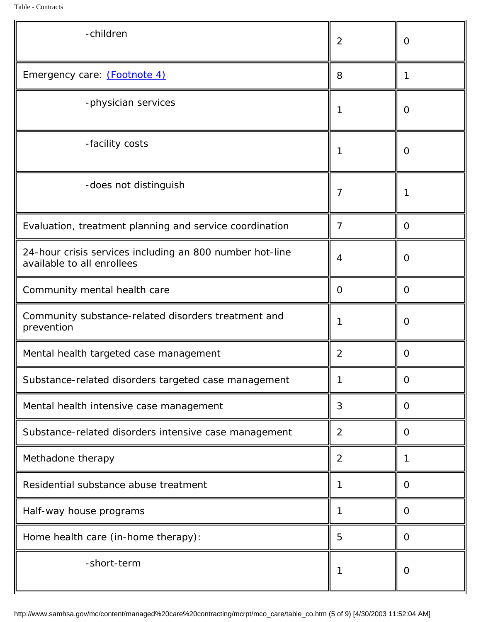| -children                                                                              | $\boldsymbol{2}$ | $\bf{0}$ |
|----------------------------------------------------------------------------------------|------------------|----------|
| Emergency care: (Footnote 4)                                                           | 8                | 1        |
| -physician services                                                                    | 1                | $\bf{0}$ |
| -facility costs                                                                        | 1                | $\bf{0}$ |
| -does not distinguish                                                                  | 7                |          |
| Evaluation, treatment planning and service coordination                                | 7                | $\bf{0}$ |
| 24-hour crisis services including an 800 number hot-line<br>available to all enrollees | 4                | $\bf{0}$ |
| Community mental health care                                                           | $\bf{0}$         | $\bf{0}$ |
| Community substance-related disorders treatment and<br>prevention                      | 1                | $\bf{0}$ |
| Mental health targeted case management                                                 | $\boldsymbol{2}$ | $\Omega$ |
| Substance-related disorders targeted case management                                   | 1                | $\bf{0}$ |
| Mental health intensive case management                                                | 3                | $\bf{0}$ |
| Substance-related disorders intensive case management                                  | $\boldsymbol{2}$ | $\bf{0}$ |
| Methadone therapy                                                                      | $\boldsymbol{2}$ | 1        |
| Residential substance abuse treatment                                                  | 1                | $\bf{0}$ |
| Half-way house programs                                                                | 1                | $\bf{0}$ |
| Home health care (in-home therapy):                                                    | $\overline{5}$   | $\bf{0}$ |
| -short-term                                                                            | $\mathbf{1}$     | $\bf{0}$ |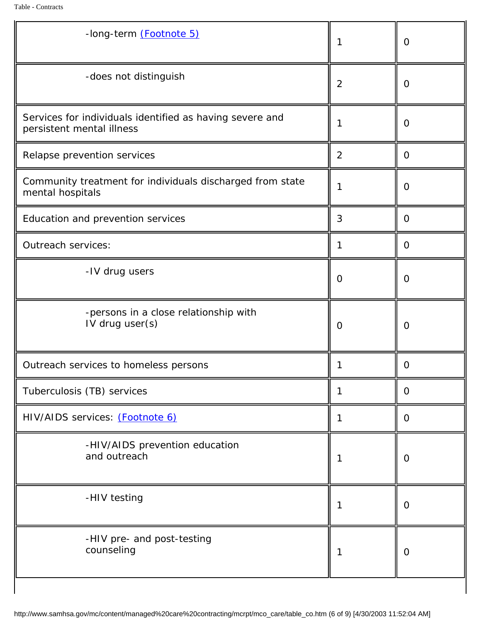| -long-term (Footnote 5)                                                               |                  | $\boldsymbol{0}$ |
|---------------------------------------------------------------------------------------|------------------|------------------|
| -does not distinguish                                                                 | $\boldsymbol{2}$ | $\bf{0}$         |
| Services for individuals identified as having severe and<br>persistent mental illness | 1                | $\boldsymbol{0}$ |
| Relapse prevention services                                                           | $\boldsymbol{2}$ | $\bf{0}$         |
| Community treatment for individuals discharged from state<br>mental hospitals         | 1                | $\bf{0}$         |
| <b>Education and prevention services</b>                                              | 3                | $\bf{0}$         |
| <b>Outreach services:</b>                                                             | 1                | $\bf{0}$         |
| -IV drug users                                                                        | $\bf{0}$         | $\bf{0}$         |
| -persons in a close relationship with<br>IV drug user(s)                              | $\bf{0}$         | $\bf{0}$         |
| Outreach services to homeless persons                                                 |                  | $\bf{0}$         |
| Tuberculosis (TB) services                                                            | 1                | $\bf{0}$         |
| HIV/AIDS services: (Footnote 6)                                                       | 1                | $\bf{0}$         |
| -HIV/AIDS prevention education<br>and outreach                                        | 1                | $\bf{0}$         |
| -HIV testing                                                                          | 1                | $\bf{0}$         |
| -HIV pre- and post-testing<br>counseling                                              |                  | $\bf{0}$         |
|                                                                                       |                  |                  |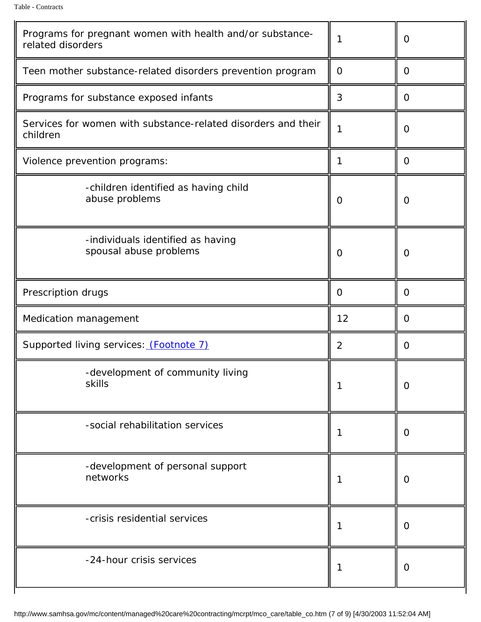| Programs for pregnant women with health and/or substance-<br>related disorders | $\mathbf 1$      | $\bf{0}$         |
|--------------------------------------------------------------------------------|------------------|------------------|
| Teen mother substance-related disorders prevention program                     | $\mathbf{0}$     | $\bf{0}$         |
| Programs for substance exposed infants                                         | 3                | $\bf{0}$         |
| Services for women with substance-related disorders and their<br>children      | $\mathbf{1}$     | $\bf{0}$         |
| Violence prevention programs:                                                  | 1                | $\bf{0}$         |
| -children identified as having child<br>abuse problems                         | $\bf{0}$         | $\bf{0}$         |
| -individuals identified as having<br>spousal abuse problems                    | $\bf{0}$         | $\bf{0}$         |
| Prescription drugs                                                             | $\boldsymbol{0}$ | $\bf{0}$         |
| <b>Medication management</b>                                                   | 12               | $\bf{0}$         |
| Supported living services: (Footnote 7)                                        | $\boldsymbol{2}$ | $\bf{0}$         |
| -development of community living<br>skills                                     | 1                | $\boldsymbol{0}$ |
| -social rehabilitation services                                                |                  | $\bf{0}$         |
| -development of personal support<br>networks                                   |                  | $\bf{0}$         |
| -crisis residential services                                                   |                  | $\bf{0}$         |
| -24-hour crisis services                                                       |                  | $\bf{0}$         |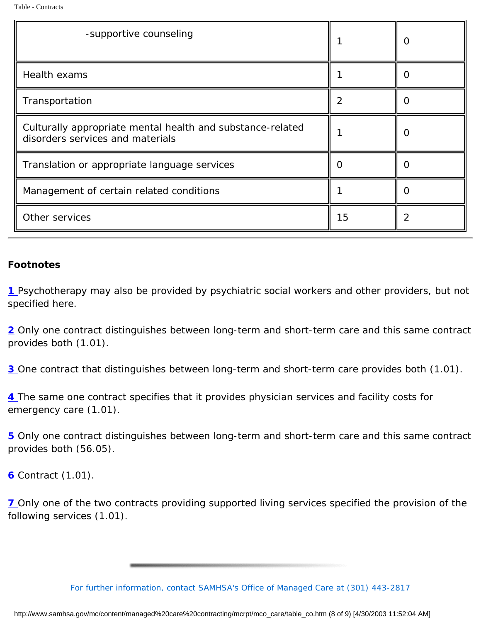| -supportive counseling                                                                         |    | $\mathbf{\Omega}$ |
|------------------------------------------------------------------------------------------------|----|-------------------|
| <b>Health exams</b>                                                                            |    | $\mathbf{\Omega}$ |
| Transportation                                                                                 | 2  | $\Omega$          |
| Culturally appropriate mental health and substance-related<br>disorders services and materials |    | O                 |
| Translation or appropriate language services                                                   |    | $\mathbf{\Omega}$ |
| Management of certain related conditions                                                       |    | $\Omega$          |
| Other services                                                                                 | 15 | 2                 |

## *Footnotes*

*1* Psychotherapy may also be provided by psychiatric social workers and other providers, but not specified here.

2 Only one contract distinguishes between long-term and short-term care and this same contract provides both (1.01).

**3** One contract that distinguishes between long-term and short-term care provides both (1.01).

*4* The same one contract specifies that it provides physician services and facility costs for emergency care (1.01).

*5* Only one contract distinguishes between long-term and short-term care and this same contract provides both (56.05).

*6* Contract (1.01).

*7* Only one of the two contracts providing supported living services specified the provision of the following services (1.01).

*For further information, contact SAMHSA's Office of Managed Care at (301) 443-2817*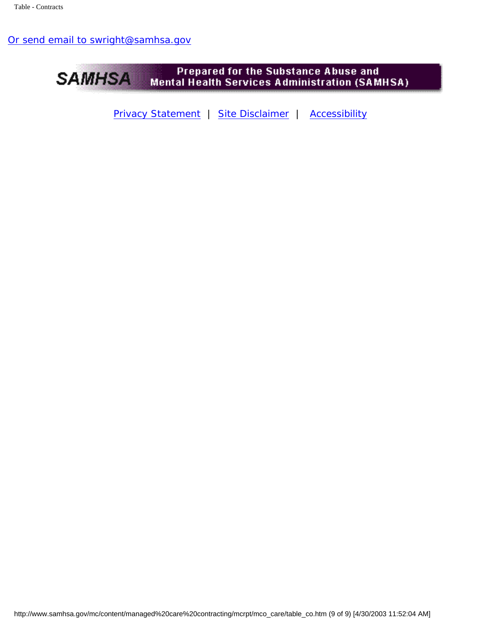## [Or send email to swright@samhsa.gov](Mailto:swright@samhsa.gov)



[Privacy Statement](http://www.samhsa.gov/about/content/privacy.htm) | [Site Disclaimer](http://www.samhsa.gov/about/Disclaimer.html) | [Accessibility](http://www.samhsa.gov/about/content/508.html)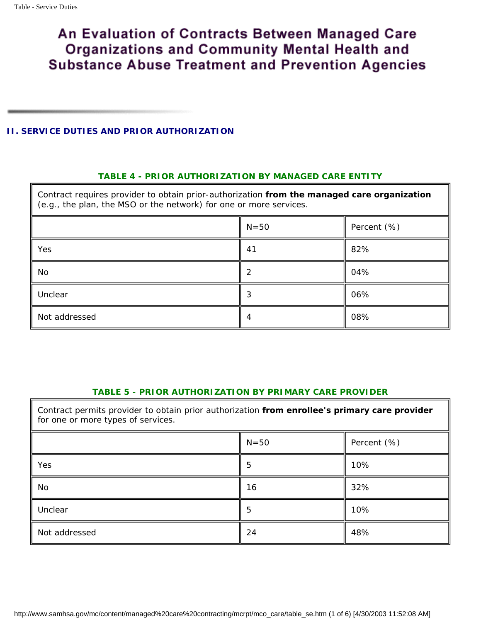#### <span id="page-52-1"></span><span id="page-52-0"></span>**II. SERVICE DUTIES AND PRIOR AUTHORIZATION**

#### *TABLE 4 - PRIOR AUTHORIZATION BY MANAGED CARE ENTITY*

Contract requires provider to obtain prior-authorization **from the managed care organization** (e.g., the plan, the MSO or the network) for one or more services.

|               | $N=50$ | Percent (%) |
|---------------|--------|-------------|
| Yes           | 41     | 82%         |
| No            | 2      | 04%         |
| Unclear       | 3      | 06%         |
| Not addressed |        | 08%         |

#### *TABLE 5 - PRIOR AUTHORIZATION BY PRIMARY CARE PROVIDER*

<span id="page-52-2"></span>Contract permits provider to obtain prior authorization **from enrollee's primary care provider** for one or more types of services.

<span id="page-52-3"></span>

|               | $N=50$ | Percent (%) |
|---------------|--------|-------------|
| Yes           | 5      | 10%         |
| No            | 16     | 32%         |
| Unclear       | h.     | 10%         |
| Not addressed | 24     | 48%         |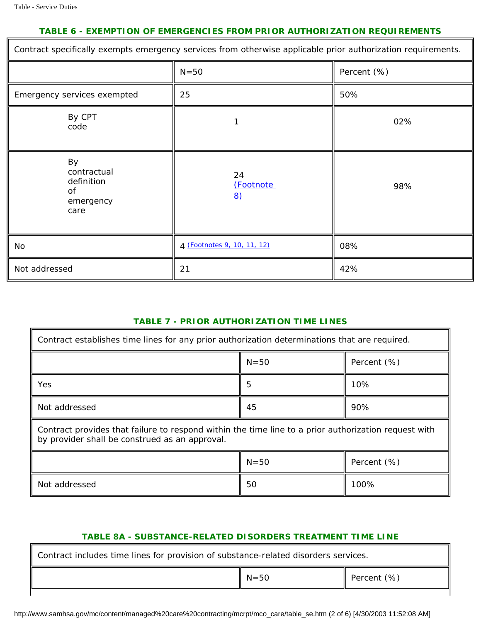#### *TABLE 6 - EXEMPTION OF EMERGENCIES FROM PRIOR AUTHORIZATION REQUIREMENTS*

<span id="page-53-2"></span>

| Contract specifically exempts emergency services from otherwise applicable prior authorization requirements. |                             |             |  |
|--------------------------------------------------------------------------------------------------------------|-----------------------------|-------------|--|
|                                                                                                              | $N=50$                      | Percent (%) |  |
| Emergency services exempted                                                                                  | 25                          | 50%         |  |
| By CPT<br>code                                                                                               |                             | 02%         |  |
| By<br>contractual<br>definition<br>of<br>emergency<br>care                                                   | 24<br>(Footnote<br>8)       | 98%         |  |
| No                                                                                                           | 4 (Footnotes 9, 10, 11, 12) | 08%         |  |
| Not addressed                                                                                                | 21                          | 42%         |  |

#### *TABLE 7 - PRIOR AUTHORIZATION TIME LINES*

<span id="page-53-3"></span><span id="page-53-0"></span>

| Contract establishes time lines for any prior authorization determinations that are required.                                                          |          |             |  |
|--------------------------------------------------------------------------------------------------------------------------------------------------------|----------|-------------|--|
|                                                                                                                                                        | $N = 50$ | Percent (%) |  |
| Yes                                                                                                                                                    | 5        | 10%         |  |
| Not addressed                                                                                                                                          | 45       | 90%         |  |
| Contract provides that failure to respond within the time line to a prior authorization request with<br>by provider shall be construed as an approval. |          |             |  |
| $N=50$<br>Percent (%)                                                                                                                                  |          |             |  |
| Not addressed                                                                                                                                          | 50       | 100%        |  |

#### *TABLE 8A - SUBSTANCE-RELATED DISORDERS TREATMENT TIME LINE*

<span id="page-53-1"></span>

| Contract includes time lines for provision of substance-related disorders services. |                   |                       |
|-------------------------------------------------------------------------------------|-------------------|-----------------------|
|                                                                                     | $\mathbb{N} = 50$ | <b>Percent</b> $(\%)$ |

http://www.samhsa.gov/mc/content/managed%20care%20contracting/mcrpt/mco\_care/table\_se.htm (2 of 6) [4/30/2003 11:52:08 AM]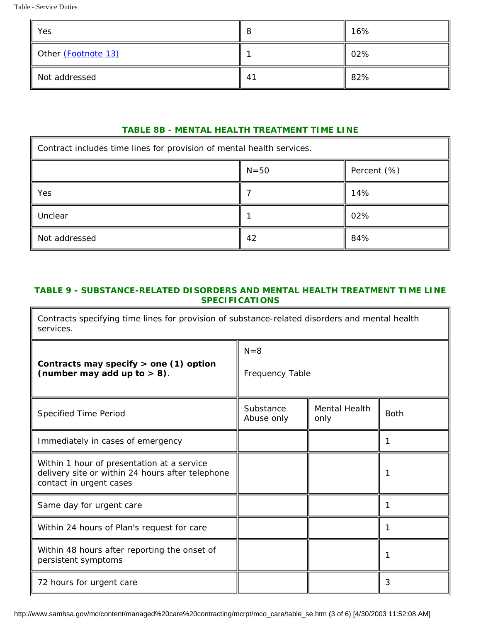Table - Service Duties

<span id="page-54-2"></span>

| Yes                 |    | 16% |
|---------------------|----|-----|
| Other (Footnote 13) |    | 02% |
| Not addressed       | 41 | 82% |

### *TABLE 8B - MENTAL HEALTH TREATMENT TIME LINE*

<span id="page-54-0"></span>

| Contract includes time lines for provision of mental health services. |    |     |
|-----------------------------------------------------------------------|----|-----|
| $N=50$<br>Percent $(\%)$                                              |    |     |
| Yes                                                                   |    | 14% |
| Unclear                                                               |    | 02% |
| Not addressed                                                         | 42 | 84% |

### <span id="page-54-1"></span>*TABLE 9 - SUBSTANCE-RELATED DISORDERS AND MENTAL HEALTH TREATMENT TIME LINE SPECIFICATIONS*

Contracts specifying time lines for provision of substance-related disorders and mental health services.

| Contracts may specify $>$ one (1) option<br>(number may add up to $> 8$ ).                                                | $N=8$<br><b>Frequency Table</b> |                              |             |
|---------------------------------------------------------------------------------------------------------------------------|---------------------------------|------------------------------|-------------|
| <b>Specified Time Period</b>                                                                                              | Substance<br>Abuse only         | <b>Mental Health</b><br>only | <b>Both</b> |
| Immediately in cases of emergency                                                                                         |                                 |                              |             |
| Within 1 hour of presentation at a service<br>delivery site or within 24 hours after telephone<br>contact in urgent cases |                                 |                              |             |
| Same day for urgent care                                                                                                  |                                 |                              |             |
| Within 24 hours of Plan's request for care                                                                                |                                 |                              |             |
| Within 48 hours after reporting the onset of<br>persistent symptoms                                                       |                                 |                              |             |
| 72 hours for urgent care                                                                                                  |                                 |                              | 3           |

http://www.samhsa.gov/mc/content/managed%20care%20contracting/mcrpt/mco\_care/table\_se.htm (3 of 6) [4/30/2003 11:52:08 AM]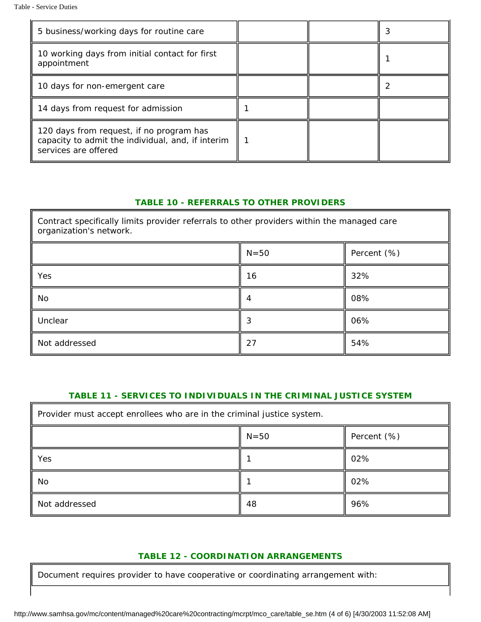| 5 business/working days for routine care                                                                              |  |  |
|-----------------------------------------------------------------------------------------------------------------------|--|--|
| 10 working days from initial contact for first<br>appointment                                                         |  |  |
| 10 days for non-emergent care                                                                                         |  |  |
| 14 days from request for admission                                                                                    |  |  |
| 120 days from request, if no program has<br>capacity to admit the individual, and, if interim<br>services are offered |  |  |

#### *TABLE 10 - REFERRALS TO OTHER PROVIDERS*

<span id="page-55-0"></span>Contract specifically limits provider referrals to other providers within the managed care organization's network.

|               | $N=50$ | Percent (%) |
|---------------|--------|-------------|
| Yes           | 16     | 32%         |
| No            |        | 08%         |
| Unclear       |        | 06%         |
| Not addressed | 27     | 54%         |

#### *TABLE 11 - SERVICES TO INDIVIDUALS IN THE CRIMINAL JUSTICE SYSTEM*

<span id="page-55-1"></span>

| Provider must accept enrollees who are in the criminal justice system. |    |     |
|------------------------------------------------------------------------|----|-----|
| $N=50$<br>Percent (%)                                                  |    |     |
| Yes                                                                    |    | 02% |
| No                                                                     |    | 02% |
| Not addressed                                                          | 48 | 96% |

#### *TABLE 12 - COORDINATION ARRANGEMENTS*

<span id="page-55-2"></span>Document requires provider to have cooperative or coordinating arrangement with: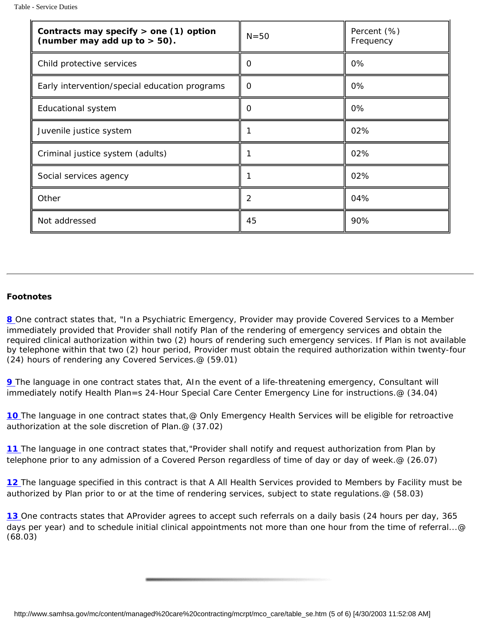| Contracts may specify $>$ one (1) option<br>(number may add up to $>$ 50). | $N=50$           | Percent (%)<br>Frequency |
|----------------------------------------------------------------------------|------------------|--------------------------|
| Child protective services                                                  | 0                | 0%                       |
| Early intervention/special education programs                              | 0                | 0%                       |
| <b>Educational system</b>                                                  | 0                | 0%                       |
| Juvenile justice system                                                    |                  | 02%                      |
| Criminal justice system (adults)                                           |                  | 02%                      |
| Social services agency                                                     |                  | 02%                      |
| Other                                                                      | $\boldsymbol{2}$ | 04%                      |
| Not addressed                                                              | 45               | 90%                      |

#### <span id="page-56-0"></span>*Footnotes*

[8](#page-53-2) One contract states that, "In a Psychiatric Emergency, Provider may provide Covered Services to a Member immediately provided that Provider shall notify Plan of the rendering of emergency services and obtain the required clinical authorization within two (2) hours of rendering such emergency services. If Plan is not available by telephone within that two (2) hour period, Provider must obtain the required authorization within twenty-four (24) hours of rendering any Covered Services.@ (59.01)

**9** The language in one contract states that, AIn the event of a life-threatening emergency, Consultant will immediately notify Health Plan=s 24-Hour Special Care Center Emergency Line for instructions.@ (34.04)

[10](#page-53-3) The language in one contract states that, @ Only Emergency Health Services will be eligible for retroactive authorization at the sole discretion of Plan.@ (37.02)

[11](#page-53-3) The language in one contract states that, "Provider shall notify and request authorization from Plan by telephone prior to any admission of a Covered Person regardless of time of day or day of week.@ (26.07)

<span id="page-56-1"></span>[12](#page-53-3) The language specified in this contract is that A All Health Services provided to Members by Facility must be authorized by Plan prior to or at the time of rendering services, subject to state regulations.@ (58.03)

<span id="page-56-2"></span>[13](#page-54-2) One contracts states that AProvider agrees to accept such referrals on a daily basis (24 hours per day, 365 days per year) and to schedule initial clinical appointments not more than one hour from the time of referral...@ (68.03)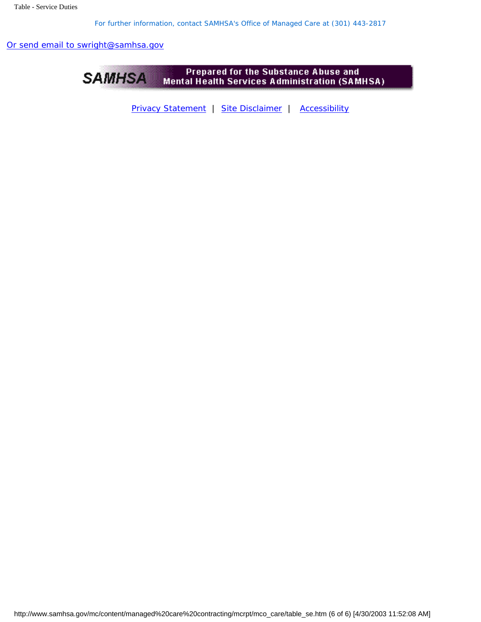*For further information, contact SAMHSA's Office of Managed Care at (301) 443-2817* 

[Or send email to swright@samhsa.gov](Mailto:swright@samhsa.gov)



[Privacy Statement](http://www.samhsa.gov/about/content/privacy.htm) | [Site Disclaimer](http://www.samhsa.gov/about/Disclaimer.html) | [Accessibility](http://www.samhsa.gov/about/content/508.html)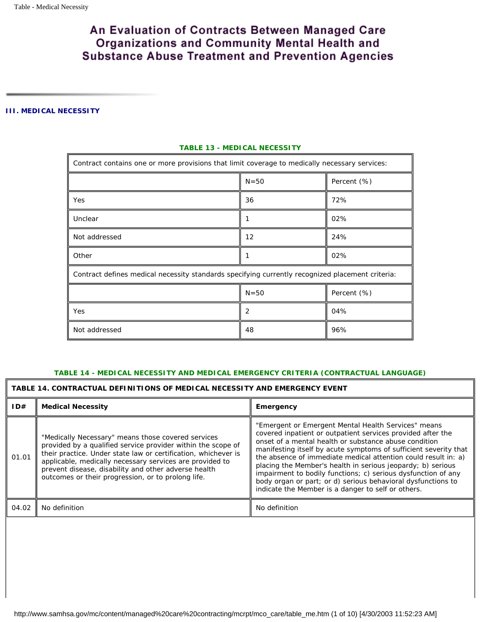#### <span id="page-58-1"></span><span id="page-58-0"></span>**III. MEDICAL NECESSITY**

| Contract contains one or more provisions that limit coverage to medically necessary services:    |          |                |
|--------------------------------------------------------------------------------------------------|----------|----------------|
| $N = 50$<br>Percent $(\%)$                                                                       |          |                |
| Yes                                                                                              | 36       | 72%            |
| Unclear                                                                                          | 1        | 02%            |
| Not addressed                                                                                    | 12       | 24%            |
| Other                                                                                            |          | 02%            |
| Contract defines medical necessity standards specifying currently recognized placement criteria: |          |                |
|                                                                                                  | $N = 50$ | Percent $(\%)$ |
| Yes                                                                                              | 2        | 04%            |
| Not addressed                                                                                    | 48       | 96%            |

#### *TABLE 13 - MEDICAL NECESSITY*

#### *TABLE 14 - MEDICAL NECESSITY AND MEDICAL EMERGENCY CRITERIA (CONTRACTUAL LANGUAGE)*

#### <span id="page-58-2"></span>**TABLE 14. CONTRACTUAL DEFINITIONS OF MEDICAL NECESSITY AND EMERGENCY EVENT**

| ID#   | <b>Medical Necessity</b>                                                                                                                                                                                                                                                                                                                                       | <b>Emergency</b>                                                                                                                                                                                                                                                                                                                                                                                                                                                                                                                                                        |  |
|-------|----------------------------------------------------------------------------------------------------------------------------------------------------------------------------------------------------------------------------------------------------------------------------------------------------------------------------------------------------------------|-------------------------------------------------------------------------------------------------------------------------------------------------------------------------------------------------------------------------------------------------------------------------------------------------------------------------------------------------------------------------------------------------------------------------------------------------------------------------------------------------------------------------------------------------------------------------|--|
| 01.01 | "Medically Necessary" means those covered services<br>provided by a qualified service provider within the scope of<br>their practice. Under state law or certification, whichever is<br>applicable, medically necessary services are provided to<br>prevent disease, disability and other adverse health<br>outcomes or their progression, or to prolong life. | "Emergent or Emergent Mental Health Services" means<br>covered inpatient or outpatient services provided after the<br>onset of a mental health or substance abuse condition<br>manifesting itself by acute symptoms of sufficient severity that<br>the absence of immediate medical attention could result in: a)<br>placing the Member's health in serious jeopardy; b) serious<br>impairment to bodily functions; c) serious dysfunction of any<br>body organ or part; or d) serious behavioral dysfunctions to<br>indicate the Member is a danger to self or others. |  |
| 04.02 | No definition                                                                                                                                                                                                                                                                                                                                                  | No definition                                                                                                                                                                                                                                                                                                                                                                                                                                                                                                                                                           |  |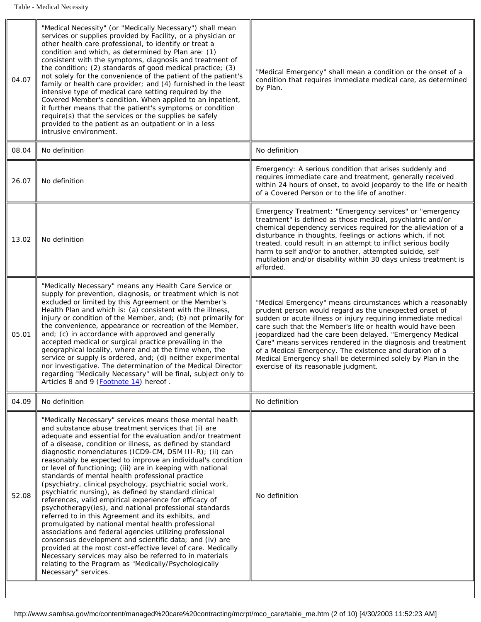<span id="page-59-0"></span>

| 04.07 | "Medical Necessity" (or "Medically Necessary") shall mean<br>services or supplies provided by Facility, or a physician or<br>other health care professional, to identify or treat a<br>condition and which, as determined by Plan are: (1)<br>consistent with the symptoms, diagnosis and treatment of<br>the condition; (2) standards of good medical practice; (3)<br>not solely for the convenience of the patient of the patient's<br>family or health care provider; and (4) furnished in the least<br>intensive type of medical care setting required by the<br>Covered Member's condition. When applied to an inpatient,<br>it further means that the patient's symptoms or condition<br>require(s) that the services or the supplies be safely<br>provided to the patient as an outpatient or in a less<br>intrusive environment.                                                                                                                                                                                                                                                                                                                                            | "Medical Emergency" shall mean a condition or the onset of a<br>condition that requires immediate medical care, as determined<br>by Plan.                                                                                                                                                                                                                                                                                                                                                                                                          |
|-------|--------------------------------------------------------------------------------------------------------------------------------------------------------------------------------------------------------------------------------------------------------------------------------------------------------------------------------------------------------------------------------------------------------------------------------------------------------------------------------------------------------------------------------------------------------------------------------------------------------------------------------------------------------------------------------------------------------------------------------------------------------------------------------------------------------------------------------------------------------------------------------------------------------------------------------------------------------------------------------------------------------------------------------------------------------------------------------------------------------------------------------------------------------------------------------------|----------------------------------------------------------------------------------------------------------------------------------------------------------------------------------------------------------------------------------------------------------------------------------------------------------------------------------------------------------------------------------------------------------------------------------------------------------------------------------------------------------------------------------------------------|
| 08.04 | No definition                                                                                                                                                                                                                                                                                                                                                                                                                                                                                                                                                                                                                                                                                                                                                                                                                                                                                                                                                                                                                                                                                                                                                                        | No definition                                                                                                                                                                                                                                                                                                                                                                                                                                                                                                                                      |
| 26.07 | No definition                                                                                                                                                                                                                                                                                                                                                                                                                                                                                                                                                                                                                                                                                                                                                                                                                                                                                                                                                                                                                                                                                                                                                                        | Emergency: A serious condition that arises suddenly and<br>requires immediate care and treatment, generally received<br>within 24 hours of onset, to avoid jeopardy to the life or health<br>of a Covered Person or to the life of another.                                                                                                                                                                                                                                                                                                        |
| 13.02 | No definition                                                                                                                                                                                                                                                                                                                                                                                                                                                                                                                                                                                                                                                                                                                                                                                                                                                                                                                                                                                                                                                                                                                                                                        | Emergency Treatment: "Emergency services" or "emergency<br>treatment" is defined as those medical, psychiatric and/or<br>chemical dependency services required for the alleviation of a<br>disturbance in thoughts, feelings or actions which, if not<br>treated, could result in an attempt to inflict serious bodily<br>harm to self and/or to another, attempted suicide, self<br>mutilation and/or disability within 30 days unless treatment is<br>afforded.                                                                                  |
| 05.01 | "Medically Necessary" means any Health Care Service or<br>supply for prevention, diagnosis, or treatment which is not<br>excluded or limited by this Agreement or the Member's<br>Health Plan and which is: (a) consistent with the illness,<br>injury or condition of the Member, and; (b) not primarily for<br>the convenience, appearance or recreation of the Member,<br>and; (c) in accordance with approved and generally<br>accepted medical or surgical practice prevailing in the<br>geographical locality, where and at the time when, the<br>service or supply is ordered, and; (d) neither experimental<br>nor investigative. The determination of the Medical Director<br>regarding "Medically Necessary" will be final, subject only to<br>Articles 8 and 9 (Footnote 14) hereof.                                                                                                                                                                                                                                                                                                                                                                                      | "Medical Emergency" means circumstances which a reasonably<br>prudent person would regard as the unexpected onset of<br>sudden or acute illness or injury requiring immediate medical<br>care such that the Member's life or health would have been<br>jeopardized had the care been delayed. "Emergency Medical<br>Care" means services rendered in the diagnosis and treatment<br>of a Medical Emergency. The existence and duration of a<br>Medical Emergency shall be determined solely by Plan in the<br>exercise of its reasonable judgment. |
| 04.09 | No definition                                                                                                                                                                                                                                                                                                                                                                                                                                                                                                                                                                                                                                                                                                                                                                                                                                                                                                                                                                                                                                                                                                                                                                        | No definition                                                                                                                                                                                                                                                                                                                                                                                                                                                                                                                                      |
| 52.08 | "Medically Necessary" services means those mental health<br>and substance abuse treatment services that (i) are<br>adequate and essential for the evaluation and/or treatment<br>of a disease, condition or illness, as defined by standard<br>diagnostic nomenclatures (ICD9-CM, DSM III-R); (ii) can<br>reasonably be expected to improve an individual's condition<br>or level of functioning; (iii) are in keeping with national<br>standards of mental health professional practice<br>(psychiatry, clinical psychology, psychiatric social work,<br>psychiatric nursing), as defined by standard clinical<br>references, valid empirical experience for efficacy of<br>psychotherapy(ies), and national professional standards<br>referred to in this Agreement and its exhibits, and<br>promulgated by national mental health professional<br>associations and federal agencies utilizing professional<br>consensus development and scientific data; and (iv) are<br>provided at the most cost-effective level of care. Medically<br>Necessary services may also be referred to in materials<br>relating to the Program as "Medically/Psychologically<br>Necessary" services. | No definition                                                                                                                                                                                                                                                                                                                                                                                                                                                                                                                                      |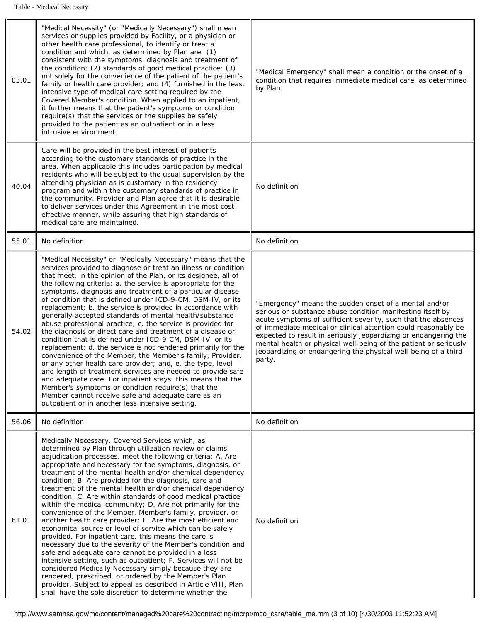| 03.01 | "Medical Necessity" (or "Medically Necessary") shall mean<br>services or supplies provided by Facility, or a physician or<br>other health care professional, to identify or treat a<br>condition and which, as determined by Plan are: (1)<br>consistent with the symptoms, diagnosis and treatment of<br>the condition; (2) standards of good medical practice; (3)<br>not solely for the convenience of the patient of the patient's<br>family or health care provider; and (4) furnished in the least<br>intensive type of medical care setting required by the<br>Covered Member's condition. When applied to an inpatient,<br>it further means that the patient's symptoms or condition<br>require(s) that the services or the supplies be safely<br>provided to the patient as an outpatient or in a less<br>intrusive environment.                                                                                                                                                                                                                                                                                                                                                                                                       | "Medical Emergency" shall mean a condition or the onset of a<br>condition that requires immediate medical care, as determined<br>by Plan.                                                                                                                                                                                                                                                                                                                                 |
|-------|-------------------------------------------------------------------------------------------------------------------------------------------------------------------------------------------------------------------------------------------------------------------------------------------------------------------------------------------------------------------------------------------------------------------------------------------------------------------------------------------------------------------------------------------------------------------------------------------------------------------------------------------------------------------------------------------------------------------------------------------------------------------------------------------------------------------------------------------------------------------------------------------------------------------------------------------------------------------------------------------------------------------------------------------------------------------------------------------------------------------------------------------------------------------------------------------------------------------------------------------------|---------------------------------------------------------------------------------------------------------------------------------------------------------------------------------------------------------------------------------------------------------------------------------------------------------------------------------------------------------------------------------------------------------------------------------------------------------------------------|
| 40.04 | Care will be provided in the best interest of patients<br>according to the customary standards of practice in the<br>area. When applicable this includes participation by medical<br>residents who will be subject to the usual supervision by the<br>attending physician as is customary in the residency<br>program and within the customary standards of practice in<br>the community. Provider and Plan agree that it is desirable<br>to deliver services under this Agreement in the most cost-<br>effective manner, while assuring that high standards of<br>medical care are maintained.                                                                                                                                                                                                                                                                                                                                                                                                                                                                                                                                                                                                                                                 | No definition                                                                                                                                                                                                                                                                                                                                                                                                                                                             |
| 55.01 | No definition                                                                                                                                                                                                                                                                                                                                                                                                                                                                                                                                                                                                                                                                                                                                                                                                                                                                                                                                                                                                                                                                                                                                                                                                                                   | No definition                                                                                                                                                                                                                                                                                                                                                                                                                                                             |
| 54.02 | "Medical Necessity" or "Medically Necessary" means that the<br>services provided to diagnose or treat an illness or condition<br>that meet, in the opinion of the Plan, or its designee, all of<br>the following criteria: a. the service is appropriate for the<br>symptoms, diagnosis and treatment of a particular disease<br>of condition that is defined under ICD-9-CM, DSM-IV, or its<br>replacement; b. the service is provided in accordance with<br>generally accepted standards of mental health/substance<br>abuse professional practice; c. the service is provided for<br>the diagnosis or direct care and treatment of a disease or<br>condition that is defined under ICD-9-CM, DSM-IV, or its<br>replacement; d. the service is not rendered primarily for the<br>convenience of the Member, the Member's family, Provider,<br>or any other health care provider; and, e. the type, level<br>and length of treatment services are needed to provide safe<br>and adequate care. For inpatient stays, this means that the<br>Member's symptoms or condition require(s) that the<br>Member cannot receive safe and adequate care as an<br>outpatient or in another less intensive setting.                                        | "Emergency" means the sudden onset of a mental and/or<br>serious or substance abuse condition manifesting itself by<br>acute symptoms of sufficient severity, such that the absences<br>of immediate medical or clinical attention could reasonably be<br>expected to result in seriously jeopardizing or endangering the<br>mental health or physical well-being of the patient or seriously<br>jeopardizing or endangering the physical well-being of a third<br>party. |
| 56.06 | No definition                                                                                                                                                                                                                                                                                                                                                                                                                                                                                                                                                                                                                                                                                                                                                                                                                                                                                                                                                                                                                                                                                                                                                                                                                                   | No definition                                                                                                                                                                                                                                                                                                                                                                                                                                                             |
| 61.01 | Medically Necessary. Covered Services which, as<br>determined by Plan through utilization review or claims<br>adjudication processes, meet the following criteria: A. Are<br>appropriate and necessary for the symptoms, diagnosis, or<br>treatment of the mental health and/or chemical dependency<br>condition; B. Are provided for the diagnosis, care and<br>treatment of the mental health and/or chemical dependency<br>condition; C. Are within standards of good medical practice<br>within the medical community; D. Are not primarily for the<br>convenience of the Member, Member's family, provider, or<br>another health care provider; E. Are the most efficient and<br>economical source or level of service which can be safely<br>provided. For inpatient care, this means the care is<br>necessary due to the severity of the Member's condition and<br>safe and adequate care cannot be provided in a less<br>intensive setting, such as outpatient; F. Services will not be<br>considered Medically Necessary simply because they are<br>rendered, prescribed, or ordered by the Member's Plan<br>provider. Subject to appeal as described in Article VIII, Plan<br>shall have the sole discretion to determine whether the | No definition                                                                                                                                                                                                                                                                                                                                                                                                                                                             |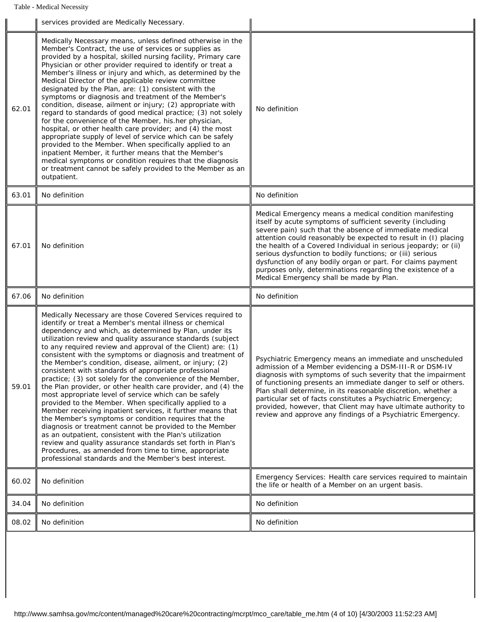Table - Medical Necessity

| Medically Necessary means, unless defined otherwise in the<br>Member's Contract, the use of services or supplies as<br>provided by a hospital, skilled nursing facility, Primary care<br>Physician or other provider required to identify or treat a<br>Member's illness or injury and which, as determined by the<br>Medical Director of the applicable review committee<br>designated by the Plan, are: (1) consistent with the<br>symptoms or diagnosis and treatment of the Member's<br>condition, disease, ailment or injury; (2) appropriate with<br>62.01<br>No definition<br>regard to standards of good medical practice; (3) not solely<br>for the convenience of the Member, his.her physician,<br>hospital, or other health care provider; and (4) the most<br>appropriate supply of level of service which can be safely<br>provided to the Member. When specifically applied to an<br>inpatient Member, it further means that the Member's<br>medical symptoms or condition requires that the diagnosis<br>or treatment cannot be safely provided to the Member as an<br>outpatient.<br>No definition<br>No definition<br>63.01<br>Medical Emergency means a medical condition manifesting<br>itself by acute symptoms of sufficient severity (including<br>severe pain) such that the absence of immediate medical<br>attention could reasonably be expected to result in (I) placing<br>67.01<br>No definition<br>the health of a Covered Individual in serious jeopardy; or (ii)<br>serious dysfunction to bodily functions; or (iii) serious<br>dysfunction of any bodily organ or part. For claims payment<br>purposes only, determinations regarding the existence of a<br>Medical Emergency shall be made by Plan.<br>67.06<br>No definition<br>No definition<br>Medically Necessary are those Covered Services required to<br>identify or treat a Member's mental illness or chemical<br>dependency and which, as determined by Plan, under its<br>utilization review and quality assurance standards (subject<br>to any required review and approval of the Client) are: (1)<br>consistent with the symptoms or diagnosis and treatment of<br>Psychiatric Emergency means an immediate and unscheduled<br>the Member's condition, disease, ailment, or injury; (2)<br>admission of a Member evidencing a DSM-III-R or DSM-IV<br>consistent with standards of appropriate professional<br>diagnosis with symptoms of such severity that the impairment<br>practice; (3) sot solely for the convenience of the Member,<br>of functioning presents an immediate danger to self or others.<br>59.01<br>the Plan provider, or other health care provider, and (4) the<br>Plan shall determine, in its reasonable discretion, whether a<br>most appropriate level of service which can be safely<br>particular set of facts constitutes a Psychiatric Emergency;<br>provided to the Member. When specifically applied to a<br>provided, however, that Client may have ultimate authority to<br>Member receiving inpatient services, it further means that<br>review and approve any findings of a Psychiatric Emergency.<br>the Member's symptoms or condition requires that the<br>diagnosis or treatment cannot be provided to the Member<br>as an outpatient, consistent with the Plan's utilization<br>review and quality assurance standards set forth in Plan's<br>Procedures, as amended from time to time, appropriate<br>professional standards and the Member's best interest.<br>Emergency Services: Health care services required to maintain<br>60.02<br>No definition<br>the life or health of a Member on an urgent basis.<br>No definition<br>No definition<br>34.04<br>No definition<br>No definition<br>08.02 | services provided are Medically Necessary. |  |  |
|--------------------------------------------------------------------------------------------------------------------------------------------------------------------------------------------------------------------------------------------------------------------------------------------------------------------------------------------------------------------------------------------------------------------------------------------------------------------------------------------------------------------------------------------------------------------------------------------------------------------------------------------------------------------------------------------------------------------------------------------------------------------------------------------------------------------------------------------------------------------------------------------------------------------------------------------------------------------------------------------------------------------------------------------------------------------------------------------------------------------------------------------------------------------------------------------------------------------------------------------------------------------------------------------------------------------------------------------------------------------------------------------------------------------------------------------------------------------------------------------------------------------------------------------------------------------------------------------------------------------------------------------------------------------------------------------------------------------------------------------------------------------------------------------------------------------------------------------------------------------------------------------------------------------------------------------------------------------------------------------------------------------------------------------------------------------------------------------------------------------------------------------------------------------------------------------------------------------------------------------------------------------------------------------------------------------------------------------------------------------------------------------------------------------------------------------------------------------------------------------------------------------------------------------------------------------------------------------------------------------------------------------------------------------------------------------------------------------------------------------------------------------------------------------------------------------------------------------------------------------------------------------------------------------------------------------------------------------------------------------------------------------------------------------------------------------------------------------------------------------------------------------------------------------------------------------------------------------------------------------------------------------------------------------------------------------------------------------------------------------------------------------------------------------------------------------------------------------------------------------------------------------------------------------------------------------------------------------------------------------------------------------------------------------------------------------------------------------------------------------------|--------------------------------------------|--|--|
|                                                                                                                                                                                                                                                                                                                                                                                                                                                                                                                                                                                                                                                                                                                                                                                                                                                                                                                                                                                                                                                                                                                                                                                                                                                                                                                                                                                                                                                                                                                                                                                                                                                                                                                                                                                                                                                                                                                                                                                                                                                                                                                                                                                                                                                                                                                                                                                                                                                                                                                                                                                                                                                                                                                                                                                                                                                                                                                                                                                                                                                                                                                                                                                                                                                                                                                                                                                                                                                                                                                                                                                                                                                                                                                                                  |                                            |  |  |
|                                                                                                                                                                                                                                                                                                                                                                                                                                                                                                                                                                                                                                                                                                                                                                                                                                                                                                                                                                                                                                                                                                                                                                                                                                                                                                                                                                                                                                                                                                                                                                                                                                                                                                                                                                                                                                                                                                                                                                                                                                                                                                                                                                                                                                                                                                                                                                                                                                                                                                                                                                                                                                                                                                                                                                                                                                                                                                                                                                                                                                                                                                                                                                                                                                                                                                                                                                                                                                                                                                                                                                                                                                                                                                                                                  |                                            |  |  |
|                                                                                                                                                                                                                                                                                                                                                                                                                                                                                                                                                                                                                                                                                                                                                                                                                                                                                                                                                                                                                                                                                                                                                                                                                                                                                                                                                                                                                                                                                                                                                                                                                                                                                                                                                                                                                                                                                                                                                                                                                                                                                                                                                                                                                                                                                                                                                                                                                                                                                                                                                                                                                                                                                                                                                                                                                                                                                                                                                                                                                                                                                                                                                                                                                                                                                                                                                                                                                                                                                                                                                                                                                                                                                                                                                  |                                            |  |  |
|                                                                                                                                                                                                                                                                                                                                                                                                                                                                                                                                                                                                                                                                                                                                                                                                                                                                                                                                                                                                                                                                                                                                                                                                                                                                                                                                                                                                                                                                                                                                                                                                                                                                                                                                                                                                                                                                                                                                                                                                                                                                                                                                                                                                                                                                                                                                                                                                                                                                                                                                                                                                                                                                                                                                                                                                                                                                                                                                                                                                                                                                                                                                                                                                                                                                                                                                                                                                                                                                                                                                                                                                                                                                                                                                                  |                                            |  |  |
|                                                                                                                                                                                                                                                                                                                                                                                                                                                                                                                                                                                                                                                                                                                                                                                                                                                                                                                                                                                                                                                                                                                                                                                                                                                                                                                                                                                                                                                                                                                                                                                                                                                                                                                                                                                                                                                                                                                                                                                                                                                                                                                                                                                                                                                                                                                                                                                                                                                                                                                                                                                                                                                                                                                                                                                                                                                                                                                                                                                                                                                                                                                                                                                                                                                                                                                                                                                                                                                                                                                                                                                                                                                                                                                                                  |                                            |  |  |
|                                                                                                                                                                                                                                                                                                                                                                                                                                                                                                                                                                                                                                                                                                                                                                                                                                                                                                                                                                                                                                                                                                                                                                                                                                                                                                                                                                                                                                                                                                                                                                                                                                                                                                                                                                                                                                                                                                                                                                                                                                                                                                                                                                                                                                                                                                                                                                                                                                                                                                                                                                                                                                                                                                                                                                                                                                                                                                                                                                                                                                                                                                                                                                                                                                                                                                                                                                                                                                                                                                                                                                                                                                                                                                                                                  |                                            |  |  |
|                                                                                                                                                                                                                                                                                                                                                                                                                                                                                                                                                                                                                                                                                                                                                                                                                                                                                                                                                                                                                                                                                                                                                                                                                                                                                                                                                                                                                                                                                                                                                                                                                                                                                                                                                                                                                                                                                                                                                                                                                                                                                                                                                                                                                                                                                                                                                                                                                                                                                                                                                                                                                                                                                                                                                                                                                                                                                                                                                                                                                                                                                                                                                                                                                                                                                                                                                                                                                                                                                                                                                                                                                                                                                                                                                  |                                            |  |  |
|                                                                                                                                                                                                                                                                                                                                                                                                                                                                                                                                                                                                                                                                                                                                                                                                                                                                                                                                                                                                                                                                                                                                                                                                                                                                                                                                                                                                                                                                                                                                                                                                                                                                                                                                                                                                                                                                                                                                                                                                                                                                                                                                                                                                                                                                                                                                                                                                                                                                                                                                                                                                                                                                                                                                                                                                                                                                                                                                                                                                                                                                                                                                                                                                                                                                                                                                                                                                                                                                                                                                                                                                                                                                                                                                                  |                                            |  |  |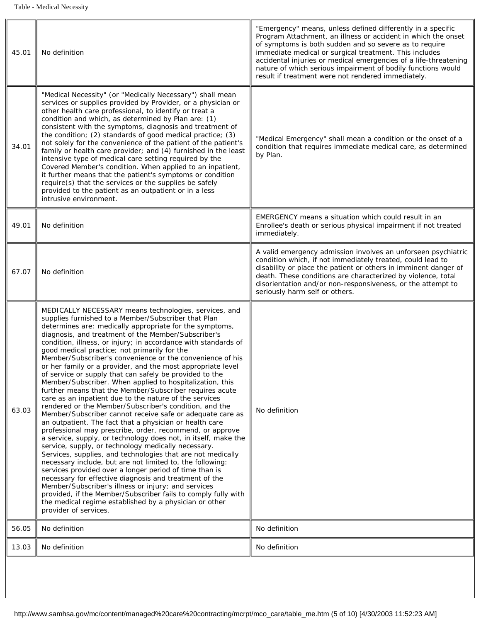| 45.01 | No definition                                                                                                                                                                                                                                                                                                                                                                                                                                                                                                                                                                                                                                                                                                                                                                                                                                                                                                                                                                                                                                                                                                                                                                                                                                                                                                                                                                                                                                                                                                                                              | "Emergency" means, unless defined differently in a specific<br>Program Attachment, an illness or accident in which the onset<br>of symptoms is both sudden and so severe as to require<br>immediate medical or surgical treatment. This includes<br>accidental injuries or medical emergencies of a life-threatening<br>nature of which serious impairment of bodily functions would<br>result if treatment were not rendered immediately. |
|-------|------------------------------------------------------------------------------------------------------------------------------------------------------------------------------------------------------------------------------------------------------------------------------------------------------------------------------------------------------------------------------------------------------------------------------------------------------------------------------------------------------------------------------------------------------------------------------------------------------------------------------------------------------------------------------------------------------------------------------------------------------------------------------------------------------------------------------------------------------------------------------------------------------------------------------------------------------------------------------------------------------------------------------------------------------------------------------------------------------------------------------------------------------------------------------------------------------------------------------------------------------------------------------------------------------------------------------------------------------------------------------------------------------------------------------------------------------------------------------------------------------------------------------------------------------------|--------------------------------------------------------------------------------------------------------------------------------------------------------------------------------------------------------------------------------------------------------------------------------------------------------------------------------------------------------------------------------------------------------------------------------------------|
| 34.01 | "Medical Necessity" (or "Medically Necessary") shall mean<br>services or supplies provided by Provider, or a physician or<br>other health care professional, to identify or treat a<br>condition and which, as determined by Plan are: (1)<br>consistent with the symptoms, diagnosis and treatment of<br>the condition; (2) standards of good medical practice; (3)<br>not solely for the convenience of the patient of the patient's<br>family or health care provider; and (4) furnished in the least<br>intensive type of medical care setting required by the<br>Covered Member's condition. When applied to an inpatient,<br>it further means that the patient's symptoms or condition<br>require(s) that the services or the supplies be safely<br>provided to the patient as an outpatient or in a less<br>intrusive environment.                                                                                                                                                                                                                                                                                                                                                                                                                                                                                                                                                                                                                                                                                                                  | "Medical Emergency" shall mean a condition or the onset of a<br>condition that requires immediate medical care, as determined<br>by Plan.                                                                                                                                                                                                                                                                                                  |
| 49.01 | No definition                                                                                                                                                                                                                                                                                                                                                                                                                                                                                                                                                                                                                                                                                                                                                                                                                                                                                                                                                                                                                                                                                                                                                                                                                                                                                                                                                                                                                                                                                                                                              | EMERGENCY means a situation which could result in an<br>Enrollee's death or serious physical impairment if not treated<br>immediately.                                                                                                                                                                                                                                                                                                     |
| 67.07 | No definition                                                                                                                                                                                                                                                                                                                                                                                                                                                                                                                                                                                                                                                                                                                                                                                                                                                                                                                                                                                                                                                                                                                                                                                                                                                                                                                                                                                                                                                                                                                                              | A valid emergency admission involves an unforseen psychiatric<br>condition which, if not immediately treated, could lead to<br>disability or place the patient or others in imminent danger of<br>death. These conditions are characterized by violence, total<br>disorientation and/or non-responsiveness, or the attempt to<br>seriously harm self or others.                                                                            |
| 63.03 | MEDICALLY NECESSARY means technologies, services, and<br>supplies furnished to a Member/Subscriber that Plan<br>determines are: medically appropriate for the symptoms,<br>diagnosis, and treatment of the Member/Subscriber's<br>condition, illness, or injury; in accordance with standards of<br>good medical practice; not primarily for the<br>Member/Subscriber's convenience or the convenience of his<br>or her family or a provider, and the most appropriate level<br>of service or supply that can safely be provided to the<br>Member/Subscriber. When applied to hospitalization, this<br>further means that the Member/Subscriber requires acute<br>care as an inpatient due to the nature of the services<br>rendered or the Member/Subscriber's condition, and the<br>Member/Subscriber cannot receive safe or adequate care as<br>an outpatient. The fact that a physician or health care<br>professional may prescribe, order, recommend, or approve<br>a service, supply, or technology does not, in itself, make the<br>service, supply, or technology medically necessary.<br>Services, supplies, and technologies that are not medically<br>necessary include, but are not limited to, the following:<br>services provided over a longer period of time than is<br>necessary for effective diagnosis and treatment of the<br>Member/Subscriber's illness or injury; and services<br>provided, if the Member/Subscriber fails to comply fully with<br>the medical regime established by a physician or other<br>provider of services. | No definition                                                                                                                                                                                                                                                                                                                                                                                                                              |
| 56.05 | No definition                                                                                                                                                                                                                                                                                                                                                                                                                                                                                                                                                                                                                                                                                                                                                                                                                                                                                                                                                                                                                                                                                                                                                                                                                                                                                                                                                                                                                                                                                                                                              | No definition                                                                                                                                                                                                                                                                                                                                                                                                                              |
| 13.03 | No definition                                                                                                                                                                                                                                                                                                                                                                                                                                                                                                                                                                                                                                                                                                                                                                                                                                                                                                                                                                                                                                                                                                                                                                                                                                                                                                                                                                                                                                                                                                                                              | No definition                                                                                                                                                                                                                                                                                                                                                                                                                              |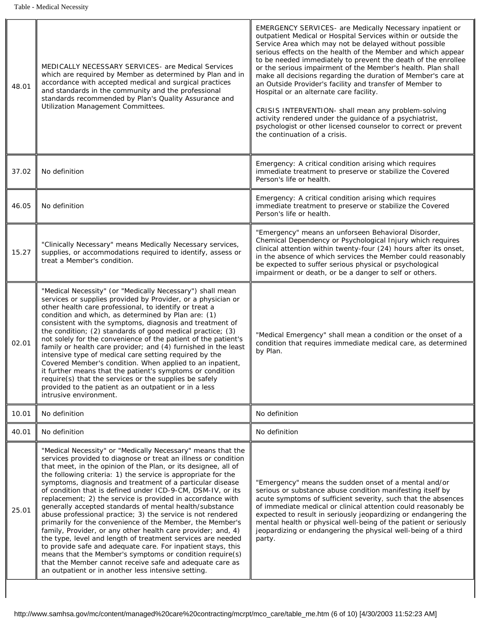| 48.01 | <b>MEDICALLY NECESSARY SERVICES- are Medical Services</b><br>which are required by Member as determined by Plan and in<br>accordance with accepted medical and surgical practices<br>and standards in the community and the professional<br>standards recommended by Plan's Quality Assurance and<br><b>Utilization Management Committees.</b>                                                                                                                                                                                                                                                                                                                                                                                                                                                                                                                                                                                                                                                                                  | <b>EMERGENCY SERVICES-</b> are Medically Necessary inpatient or<br>outpatient Medical or Hospital Services within or outside the<br>Service Area which may not be delayed without possible<br>serious effects on the health of the Member and which appear<br>to be needed immediately to prevent the death of the enrollee<br>or the serious impairment of the Member's health. Plan shall<br>make all decisions regarding the duration of Member's care at<br>an Outside Provider's facility and transfer of Member to<br>Hospital or an alternate care facility.<br>CRISIS INTERVENTION- shall mean any problem-solving<br>activity rendered under the guidance of a psychiatrist,<br>psychologist or other licensed counselor to correct or prevent<br>the continuation of a crisis. |  |
|-------|---------------------------------------------------------------------------------------------------------------------------------------------------------------------------------------------------------------------------------------------------------------------------------------------------------------------------------------------------------------------------------------------------------------------------------------------------------------------------------------------------------------------------------------------------------------------------------------------------------------------------------------------------------------------------------------------------------------------------------------------------------------------------------------------------------------------------------------------------------------------------------------------------------------------------------------------------------------------------------------------------------------------------------|------------------------------------------------------------------------------------------------------------------------------------------------------------------------------------------------------------------------------------------------------------------------------------------------------------------------------------------------------------------------------------------------------------------------------------------------------------------------------------------------------------------------------------------------------------------------------------------------------------------------------------------------------------------------------------------------------------------------------------------------------------------------------------------|--|
| 37.02 | No definition                                                                                                                                                                                                                                                                                                                                                                                                                                                                                                                                                                                                                                                                                                                                                                                                                                                                                                                                                                                                                   | Emergency: A critical condition arising which requires<br>immediate treatment to preserve or stabilize the Covered<br>Person's life or health.                                                                                                                                                                                                                                                                                                                                                                                                                                                                                                                                                                                                                                           |  |
| 46.05 | No definition                                                                                                                                                                                                                                                                                                                                                                                                                                                                                                                                                                                                                                                                                                                                                                                                                                                                                                                                                                                                                   | Emergency: A critical condition arising which requires<br>immediate treatment to preserve or stabilize the Covered<br>Person's life or health.                                                                                                                                                                                                                                                                                                                                                                                                                                                                                                                                                                                                                                           |  |
| 15.27 | "Clinically Necessary" means Medically Necessary services,<br>supplies, or accommodations required to identify, assess or<br>treat a Member's condition.                                                                                                                                                                                                                                                                                                                                                                                                                                                                                                                                                                                                                                                                                                                                                                                                                                                                        | "Emergency" means an unforseen Behavioral Disorder,<br>Chemical Dependency or Psychological Injury which requires<br>clinical attention within twenty-four (24) hours after its onset,<br>in the absence of which services the Member could reasonably<br>be expected to suffer serious physical or psychological<br>impairment or death, or be a danger to self or others.                                                                                                                                                                                                                                                                                                                                                                                                              |  |
| 02.01 | "Medical Necessity" (or "Medically Necessary") shall mean<br>services or supplies provided by Provider, or a physician or<br>other health care professional, to identify or treat a<br>condition and which, as determined by Plan are: (1)<br>consistent with the symptoms, diagnosis and treatment of<br>the condition; (2) standards of good medical practice; (3)<br>not solely for the convenience of the patient of the patient's<br>family or health care provider; and (4) furnished in the least<br>intensive type of medical care setting required by the<br>Covered Member's condition. When applied to an inpatient,<br>it further means that the patient's symptoms or condition<br>require(s) that the services or the supplies be safely<br>provided to the patient as an outpatient or in a less<br>intrusive environment.                                                                                                                                                                                       | "Medical Emergency" shall mean a condition or the onset of a<br>condition that requires immediate medical care, as determined<br>by Plan.                                                                                                                                                                                                                                                                                                                                                                                                                                                                                                                                                                                                                                                |  |
| 10.01 | No definition                                                                                                                                                                                                                                                                                                                                                                                                                                                                                                                                                                                                                                                                                                                                                                                                                                                                                                                                                                                                                   | No definition                                                                                                                                                                                                                                                                                                                                                                                                                                                                                                                                                                                                                                                                                                                                                                            |  |
| 40.01 | No definition                                                                                                                                                                                                                                                                                                                                                                                                                                                                                                                                                                                                                                                                                                                                                                                                                                                                                                                                                                                                                   | No definition                                                                                                                                                                                                                                                                                                                                                                                                                                                                                                                                                                                                                                                                                                                                                                            |  |
| 25.01 | "Medical Necessity" or "Medically Necessary" means that the<br>services provided to diagnose or treat an illness or condition<br>that meet, in the opinion of the Plan, or its designee, all of<br>the following criteria: 1) the service is appropriate for the<br>symptoms, diagnosis and treatment of a particular disease<br>of condition that is defined under ICD-9-CM, DSM-IV, or its<br>replacement; 2) the service is provided in accordance with<br>generally accepted standards of mental health/substance<br>abuse professional practice; 3) the service is not rendered<br>primarily for the convenience of the Member, the Member's<br>family, Provider, or any other health care provider; and, 4)<br>the type, level and length of treatment services are needed<br>to provide safe and adequate care. For inpatient stays, this<br>means that the Member's symptoms or condition require(s)<br>that the Member cannot receive safe and adequate care as<br>an outpatient or in another less intensive setting. | "Emergency" means the sudden onset of a mental and/or<br>serious or substance abuse condition manifesting itself by<br>acute symptoms of sufficient severity, such that the absences<br>of immediate medical or clinical attention could reasonably be<br>expected to result in seriously jeopardizing or endangering the<br>mental health or physical well-being of the patient or seriously<br>jeopardizing or endangering the physical well-being of a third<br>party.                                                                                                                                                                                                                                                                                                                |  |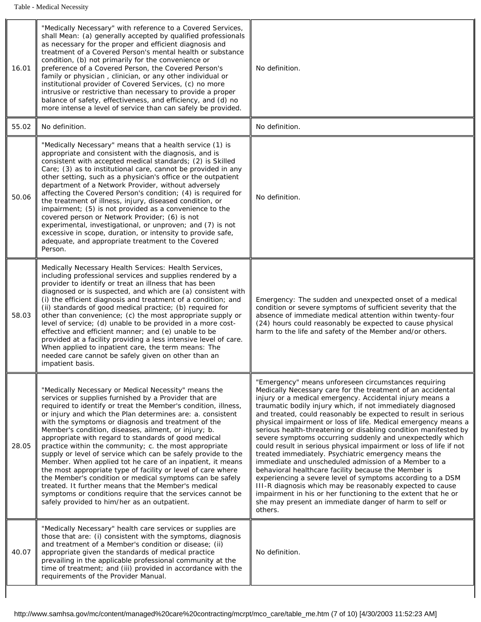| 16.01 | "Medically Necessary" with reference to a Covered Services,<br>shall Mean: (a) generally accepted by qualified professionals<br>as necessary for the proper and efficient diagnosis and<br>treatment of a Covered Person's mental health or substance<br>condition, (b) not primarily for the convenience or<br>preference of a Covered Person, the Covered Person's<br>family or physician, clinician, or any other individual or<br>institutional provider of Covered Services, (c) no more<br>intrusive or restrictive than necessary to provide a proper                                                                                                                                                                                                                                                                                                                                                   | No definition.                                                                                                                                                                                                                                                                                                                                                                                                                                                                                                                                                                                                                                                                                                                                                                                                                                                                                                                                                                                                                    |
|-------|----------------------------------------------------------------------------------------------------------------------------------------------------------------------------------------------------------------------------------------------------------------------------------------------------------------------------------------------------------------------------------------------------------------------------------------------------------------------------------------------------------------------------------------------------------------------------------------------------------------------------------------------------------------------------------------------------------------------------------------------------------------------------------------------------------------------------------------------------------------------------------------------------------------|-----------------------------------------------------------------------------------------------------------------------------------------------------------------------------------------------------------------------------------------------------------------------------------------------------------------------------------------------------------------------------------------------------------------------------------------------------------------------------------------------------------------------------------------------------------------------------------------------------------------------------------------------------------------------------------------------------------------------------------------------------------------------------------------------------------------------------------------------------------------------------------------------------------------------------------------------------------------------------------------------------------------------------------|
|       | balance of safety, effectiveness, and efficiency, and (d) no<br>more intense a level of service than can safely be provided.                                                                                                                                                                                                                                                                                                                                                                                                                                                                                                                                                                                                                                                                                                                                                                                   |                                                                                                                                                                                                                                                                                                                                                                                                                                                                                                                                                                                                                                                                                                                                                                                                                                                                                                                                                                                                                                   |
| 55.02 | No definition.                                                                                                                                                                                                                                                                                                                                                                                                                                                                                                                                                                                                                                                                                                                                                                                                                                                                                                 | No definition.                                                                                                                                                                                                                                                                                                                                                                                                                                                                                                                                                                                                                                                                                                                                                                                                                                                                                                                                                                                                                    |
| 50.06 | "Medically Necessary" means that a health service (1) is<br>appropriate and consistent with the diagnosis, and is<br>consistent with accepted medical standards; (2) is Skilled<br>Care; (3) as to institutional care, cannot be provided in any<br>other setting, such as a physician's office or the outpatient<br>department of a Network Provider, without adversely<br>affecting the Covered Person's condition; (4) is required for<br>the treatment of illness, injury, diseased condition, or<br>impairment; (5) is not provided as a convenience to the<br>covered person or Network Provider; (6) is not<br>experimental, investigational, or unproven; and (7) is not<br>excessive in scope, duration, or intensity to provide safe,<br>adequate, and appropriate treatment to the Covered<br>Person.                                                                                               | No definition.                                                                                                                                                                                                                                                                                                                                                                                                                                                                                                                                                                                                                                                                                                                                                                                                                                                                                                                                                                                                                    |
| 58.03 | Medically Necessary Health Services: Health Services,<br>including professional services and supplies rendered by a<br>provider to identify or treat an illness that has been<br>diagnosed or is suspected, and which are (a) consistent with<br>(i) the efficient diagnosis and treatment of a condition; and<br>(ii) standards of good medical practice; (b) required for<br>other than convenience; (c) the most appropriate supply or<br>level of service; (d) unable to be provided in a more cost-<br>effective and efficient manner; and (e) unable to be<br>provided at a facility providing a less intensive level of care.<br>When applied to inpatient care, the term means: The<br>needed care cannot be safely given on other than an<br>impatient basis.                                                                                                                                         | Emergency: The sudden and unexpected onset of a medical<br>condition or severe symptoms of sufficient severity that the<br>absence of immediate medical attention within twenty-four<br>(24) hours could reasonably be expected to cause physical<br>harm to the life and safety of the Member and/or others.                                                                                                                                                                                                                                                                                                                                                                                                                                                                                                                                                                                                                                                                                                                     |
| 28.05 | "Medically Necessary or Medical Necessity" means the<br>services or supplies furnished by a Provider that are<br>required to identify or treat the Member's condition, illness,<br>or injury and which the Plan determines are: a. consistent<br>with the symptoms or diagnosis and treatment of the<br>Member's condition, diseases, ailment, or injury; b.<br>appropriate with regard to standards of good medical<br>practice within the community; c. the most appropriate<br>supply or level of service which can be safely provide to the<br>Member. When applied tot he care of an inpatient, it means<br>the most appropriate type of facility or level of care where<br>the Member's condition or medical symptoms can be safely<br>treated. It further means that the Member's medical<br>symptoms or conditions require that the services cannot be<br>safely provided to him/her as an outpatient. | "Emergency" means unforeseen circumstances requiring<br>Medically Necessary care for the treatment of an accidental<br>injury or a medical emergency. Accidental injury means a<br>traumatic bodily injury which, if not immediately diagnosed<br>and treated, could reasonably be expected to result in serious<br>physical impairment or loss of life. Medical emergency means a<br>serious health-threatening or disabling condition manifested by<br>severe symptoms occurring suddenly and unexpectedly which<br>could result in serious physical impairment or loss of life if not<br>treated immediately. Psychiatric emergency means the<br>immediate and unscheduled admission of a Member to a<br>behavioral healthcare facility because the Member is<br>experiencing a severe level of symptoms according to a DSM<br>III-R diagnosis which may be reasonably expected to cause<br>impairment in his or her functioning to the extent that he or<br>she may present an immediate danger of harm to self or<br>others. |
| 40.07 | "Medically Necessary" health care services or supplies are<br>those that are: (i) consistent with the symptoms, diagnosis<br>and treatment of a Member's condition or disease; (ii)<br>appropriate given the standards of medical practice<br>prevailing in the applicable professional community at the<br>time of treatment; and (iii) provided in accordance with the<br>requirements of the Provider Manual.                                                                                                                                                                                                                                                                                                                                                                                                                                                                                               | No definition.                                                                                                                                                                                                                                                                                                                                                                                                                                                                                                                                                                                                                                                                                                                                                                                                                                                                                                                                                                                                                    |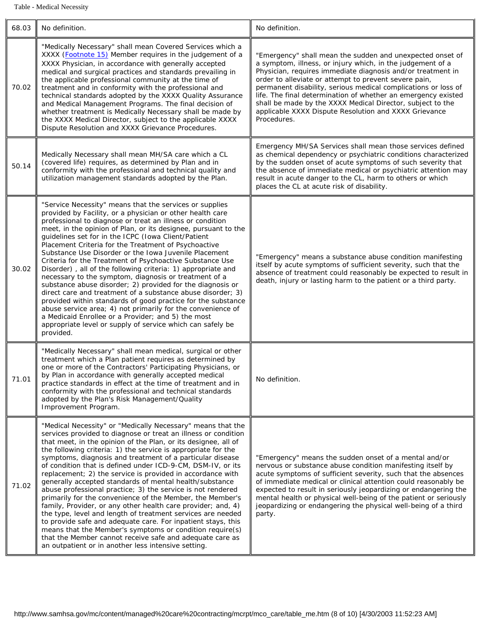Table - Medical Necessity

<span id="page-65-1"></span><span id="page-65-0"></span>

| 68.03 | No definition.                                                                                                                                                                                                                                                                                                                                                                                                                                                                                                                                                                                                                                                                                                                                                                                                                                                                                                                                                                                                                  | No definition.                                                                                                                                                                                                                                                                                                                                                                                                                                                                                                           |  |
|-------|---------------------------------------------------------------------------------------------------------------------------------------------------------------------------------------------------------------------------------------------------------------------------------------------------------------------------------------------------------------------------------------------------------------------------------------------------------------------------------------------------------------------------------------------------------------------------------------------------------------------------------------------------------------------------------------------------------------------------------------------------------------------------------------------------------------------------------------------------------------------------------------------------------------------------------------------------------------------------------------------------------------------------------|--------------------------------------------------------------------------------------------------------------------------------------------------------------------------------------------------------------------------------------------------------------------------------------------------------------------------------------------------------------------------------------------------------------------------------------------------------------------------------------------------------------------------|--|
| 70.02 | "Medically Necessary" shall mean Covered Services which a<br>XXXX (Footnote 15) Member requires in the judgement of a<br>XXXX Physician, in accordance with generally accepted<br>medical and surgical practices and standards prevailing in<br>the applicable professional community at the time of<br>treatment and in conformity with the professional and<br>technical standards adopted by the XXXX Quality Assurance<br>and Medical Management Programs. The final decision of<br>whether treatment is Medically Necessary shall be made by<br>the XXXX Medical Director, subject to the applicable XXXX<br>Dispute Resolution and XXXX Grievance Procedures.                                                                                                                                                                                                                                                                                                                                                             | "Emergency" shall mean the sudden and unexpected onset of<br>a symptom, illness, or injury which, in the judgement of a<br>Physician, requires immediate diagnosis and/or treatment in<br>order to alleviate or attempt to prevent severe pain,<br>permanent disability, serious medical complications or loss of<br>life. The final determination of whether an emergency existed<br>shall be made by the XXXX Medical Director, subject to the<br>applicable XXXX Dispute Resolution and XXXX Grievance<br>Procedures. |  |
| 50.14 | Medically Necessary shall mean MH/SA care which a CL<br>(covered life) requires, as determined by Plan and in<br>conformity with the professional and technical quality and<br>utilization management standards adopted by the Plan.                                                                                                                                                                                                                                                                                                                                                                                                                                                                                                                                                                                                                                                                                                                                                                                            | Emergency MH/SA Services shall mean those services defined<br>as chemical dependency or psychiatric conditions characterized<br>by the sudden onset of acute symptoms of such severity that<br>the absence of immediate medical or psychiatric attention may<br>result in acute danger to the CL, harm to others or which<br>places the CL at acute risk of disability.                                                                                                                                                  |  |
| 30.02 | "Service Necessity" means that the services or supplies<br>provided by Facility, or a physician or other health care<br>professional to diagnose or treat an illness or condition<br>meet, in the opinion of Plan, or its designee, pursuant to the<br>guidelines set for in the ICPC (Iowa Client/Patient<br>Placement Criteria for the Treatment of Psychoactive<br>Substance Use Disorder or the Iowa Juvenile Placement<br>Criteria for the Treatment of Psychoactive Substance Use<br>Disorder), all of the following criteria: 1) appropriate and<br>necessary to the symptom, diagnosis or treatment of a<br>substance abuse disorder; 2) provided for the diagnosis or<br>direct care and treatment of a substance abuse disorder; 3)<br>provided within standards of good practice for the substance<br>abuse service area; 4) not primarily for the convenience of<br>a Medicaid Enrollee or a Provider; and 5) the most<br>appropriate level or supply of service which can safely be<br>provided.                   | "Emergency" means a substance abuse condition manifesting<br>itself by acute symptoms of sufficient severity, such that the<br>absence of treatment could reasonably be expected to result in<br>death, injury or lasting harm to the patient or a third party.                                                                                                                                                                                                                                                          |  |
| 71.01 | "Medically Necessary" shall mean medical, surgical or other<br>treatment which a Plan patient requires as determined by<br>one or more of the Contractors' Participating Physicians, or<br>by Plan in accordance with generally accepted medical<br>practice standards in effect at the time of treatment and in<br>conformity with the professional and technical standards<br>adopted by the Plan's Risk Management/Quality<br><b>Improvement Program.</b>                                                                                                                                                                                                                                                                                                                                                                                                                                                                                                                                                                    | No definition.                                                                                                                                                                                                                                                                                                                                                                                                                                                                                                           |  |
| 71.02 | "Medical Necessity" or "Medically Necessary" means that the<br>services provided to diagnose or treat an illness or condition<br>that meet, in the opinion of the Plan, or its designee, all of<br>the following criteria: 1) the service is appropriate for the<br>symptoms, diagnosis and treatment of a particular disease<br>of condition that is defined under ICD-9-CM, DSM-IV, or its<br>replacement; 2) the service is provided in accordance with<br>generally accepted standards of mental health/substance<br>abuse professional practice; 3) the service is not rendered<br>primarily for the convenience of the Member, the Member's<br>family, Provider, or any other health care provider; and, 4)<br>the type, level and length of treatment services are needed<br>to provide safe and adequate care. For inpatient stays, this<br>means that the Member's symptoms or condition require(s)<br>that the Member cannot receive safe and adequate care as<br>an outpatient or in another less intensive setting. | "Emergency" means the sudden onset of a mental and/or<br>nervous or substance abuse condition manifesting itself by<br>acute symptoms of sufficient severity, such that the absences<br>of immediate medical or clinical attention could reasonably be<br>expected to result in seriously jeopardizing or endangering the<br>mental health or physical well-being of the patient or seriously<br>jeopardizing or endangering the physical well-being of a third<br>party.                                                |  |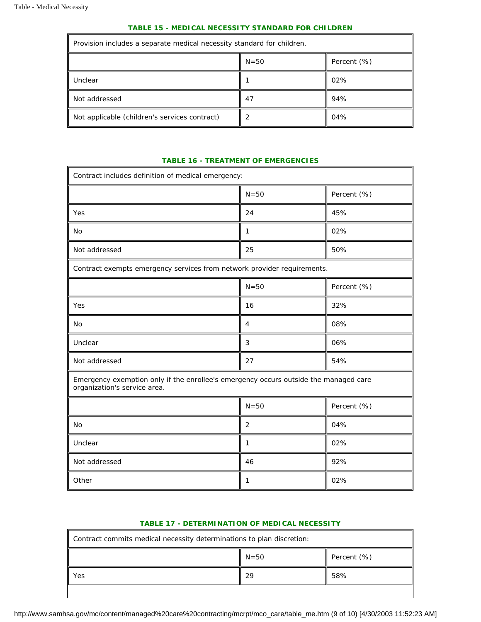$\overline{\phantom{a}}$ 

#### *TABLE 15 - MEDICAL NECESSITY STANDARD FOR CHILDREN*

| Provision includes a separate medical necessity standard for children. |   |     |  |
|------------------------------------------------------------------------|---|-----|--|
| $N = 50$<br>Percent $(\%)$                                             |   |     |  |
| Unclear<br>02%                                                         |   |     |  |
| Not addressed<br>47                                                    |   | 94% |  |
| Not applicable (children's services contract)                          | 2 | 04% |  |

#### *TABLE 16 - TREATMENT OF EMERGENCIES*

÷

<span id="page-66-0"></span>

| Contract includes definition of medical emergency:                                                                   |                  |             |  |
|----------------------------------------------------------------------------------------------------------------------|------------------|-------------|--|
|                                                                                                                      | $N = 50$         | Percent (%) |  |
| Yes                                                                                                                  | 24               | 45%         |  |
| <b>No</b>                                                                                                            | 1                | 02%         |  |
| Not addressed                                                                                                        | 25               | 50%         |  |
| Contract exempts emergency services from network provider requirements.                                              |                  |             |  |
|                                                                                                                      | $N = 50$         | Percent (%) |  |
| Yes                                                                                                                  | 16               | 32%         |  |
| No                                                                                                                   | $\overline{4}$   | 08%         |  |
| Unclear                                                                                                              | $\mathbf{3}$     | 06%         |  |
| Not addressed                                                                                                        | 27               | 54%         |  |
| Emergency exemption only if the enrollee's emergency occurs outside the managed care<br>organization's service area. |                  |             |  |
|                                                                                                                      | $N = 50$         | Percent (%) |  |
| <b>No</b>                                                                                                            | $\boldsymbol{2}$ | 04%         |  |
| Unclear                                                                                                              | 1                | 02%         |  |
| Not addressed                                                                                                        | 46               | 92%         |  |
| Other                                                                                                                | 1                | 02%         |  |

#### *TABLE 17 - DETERMINATION OF MEDICAL NECESSITY*

<span id="page-66-1"></span>

| Contract commits medical necessity determinations to plan discretion: |    |     |  |  |
|-----------------------------------------------------------------------|----|-----|--|--|
| $N=50$<br>Percent $(\%)$                                              |    |     |  |  |
| Yes                                                                   | 29 | 58% |  |  |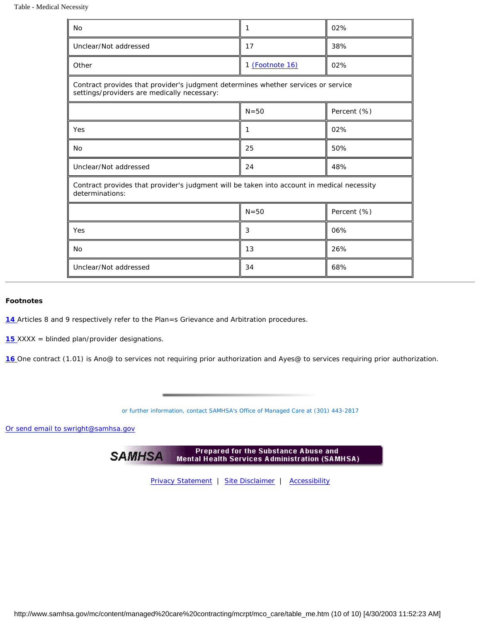#### <span id="page-67-3"></span>Table - Medical Necessity

| <b>No</b>                                                                                                                        | 1               | 02%         |  |
|----------------------------------------------------------------------------------------------------------------------------------|-----------------|-------------|--|
| Unclear/Not addressed                                                                                                            | 17              | 38%         |  |
| Other                                                                                                                            | 1 (Footnote 16) | 02%         |  |
| Contract provides that provider's judgment determines whether services or service<br>settings/providers are medically necessary: |                 |             |  |
|                                                                                                                                  | $N = 50$        | Percent (%) |  |
| Yes                                                                                                                              | 1               | 02%         |  |
| N <sub>o</sub>                                                                                                                   | 25              | 50%         |  |
| Unclear/Not addressed                                                                                                            | 24              | 48%         |  |
| Contract provides that provider's judgment will be taken into account in medical necessity<br>determinations:                    |                 |             |  |
|                                                                                                                                  | $N = 50$        | Percent (%) |  |
| Yes                                                                                                                              | 3               | 06%         |  |
| N <sub>o</sub>                                                                                                                   | 13              | 26%         |  |
| Unclear/Not addressed                                                                                                            | 34              | 68%         |  |

#### <span id="page-67-0"></span>*Footnotes*

<span id="page-67-1"></span>[14](#page-59-0) Articles 8 and 9 respectively refer to the Plan=s Grievance and Arbitration procedures.

<span id="page-67-2"></span>*[15](#page-65-1) XXXX* = blinded plan/provider designations.

[16](#page-67-3) One contract (1.01) is Ano@ to services not requiring prior authorization and Ayes@ to services requiring prior authorization.

*or further information, contact SAMHSA's Office of Managed Care at (301) 443-2817* 

[Or send email to swright@samhsa.gov](Mailto:swright@samhsa.gov)

Prepared for the Substance Abuse and **SAMHSA Mental Health Services Administration (SAMHSA)** 

[Privacy Statement](http://www.samhsa.gov/about/content/privacy.htm) | [Site Disclaimer](http://www.samhsa.gov/about/Disclaimer.html) | [Accessibility](http://www.samhsa.gov/about/content/508.html)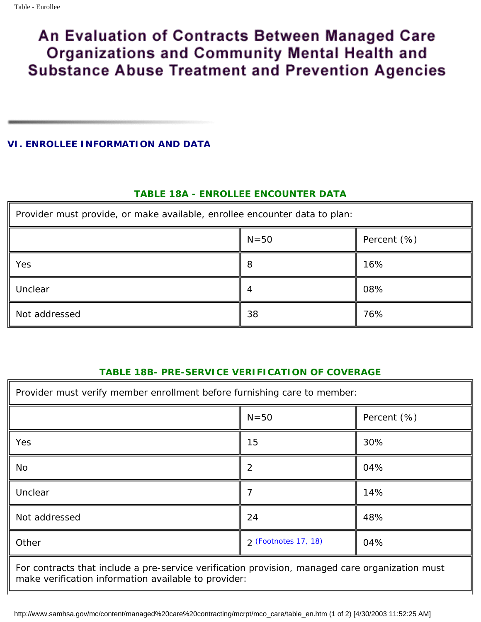#### <span id="page-68-0"></span>**VI. ENROLLEE INFORMATION AND DATA**

## *TABLE 18A - ENROLLEE ENCOUNTER DATA*

| Provider must provide, or make available, enrollee encounter data to plan: |    |     |  |
|----------------------------------------------------------------------------|----|-----|--|
| $N=50$<br>Percent $(\%)$                                                   |    |     |  |
| Yes                                                                        | Ω  | 16% |  |
| Unclear                                                                    |    | 08% |  |
| Not addressed                                                              | 38 | 76% |  |

### *TABLE 18B- PRE-SERVICE VERIFICATION OF COVERAGE*

| Provider must verify member enrollment before furnishing care to member: |                |  |  |
|--------------------------------------------------------------------------|----------------|--|--|
| $N=50$                                                                   | Percent $(\%)$ |  |  |
| 15                                                                       | 30%            |  |  |
| $\boldsymbol{2}$                                                         | 04%            |  |  |
| 7                                                                        | 14%            |  |  |
| 24                                                                       | 48%            |  |  |
| 2 (Footnotes 17, 18)                                                     | 04%            |  |  |
|                                                                          |                |  |  |

For contracts that include a pre-service verification provision, managed care organization must make verification information available to provider:

http://www.samhsa.gov/mc/content/managed%20care%20contracting/mcrpt/mco\_care/table\_en.htm (1 of 2) [4/30/2003 11:52:25 AM]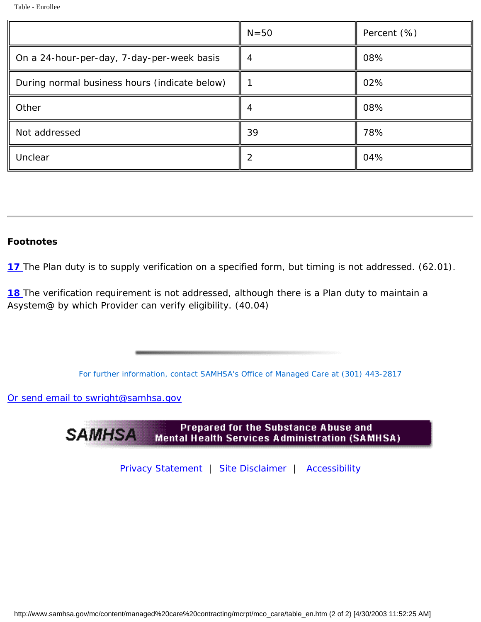|                                               | $N=50$ | Percent $(\%)$ |
|-----------------------------------------------|--------|----------------|
| On a 24-hour-per-day, 7-day-per-week basis    | 4      | 08%            |
| During normal business hours (indicate below) |        | 02%            |
| Other                                         | 4      | 08%            |
| Not addressed                                 | 39     | 78%            |
| Unclear                                       | 2      | 04%            |

## *Footnotes*

**17** The Plan duty is to supply verification on a specified form, but timing is not addressed. (62.01).

**18** The verification requirement is not addressed, although there is a Plan duty to maintain a Asystem@ by which Provider can verify eligibility. (40.04)

*For further information, contact SAMHSA's Office of Managed Care at (301) 443-2817* 

[Or send email to swright@samhsa.gov](Mailto:swright@samhsa.gov)



[Privacy Statement](http://www.samhsa.gov/about/content/privacy.htm) | [Site Disclaimer](http://www.samhsa.gov/about/Disclaimer.html) | [Accessibility](http://www.samhsa.gov/about/content/508.html)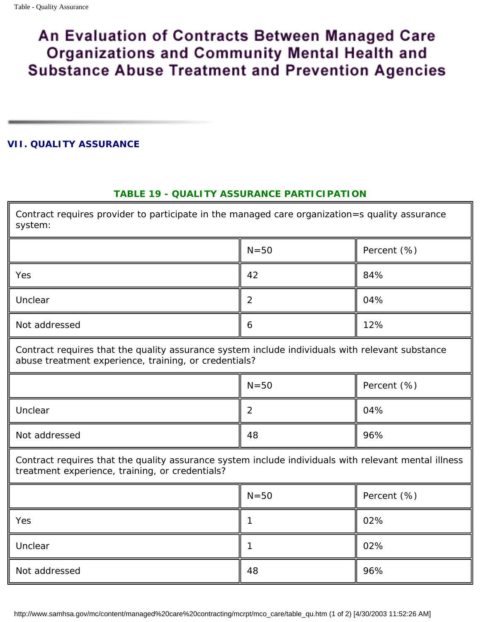### <span id="page-70-1"></span><span id="page-70-0"></span>**VII. QUALITY ASSURANCE**

## *TABLE 19 - QUALITY ASSURANCE PARTICIPATION*

Contract requires provider to participate in the managed care organization=s quality assurance system:

|               | $N=50$ | Percent (%) |
|---------------|--------|-------------|
| Yes           | 42     | 84%         |
| Unclear       | ာ<br>∼ | 04%         |
| Not addressed | 6      | 12%         |

Contract requires that the quality assurance system include individuals with relevant substance abuse treatment experience, training, or credentials?

|               | $N=50$ | Percent (%) |
|---------------|--------|-------------|
| Unclear       | 2      | 04%         |
| Not addressed | 48     | 96%         |

Contract requires that the quality assurance system include individuals with relevant mental illness treatment experience, training, or credentials?

|               | $N=50$ | Percent (%) |
|---------------|--------|-------------|
| Yes           |        | 02%         |
| Unclear       |        | 02%         |
| Not addressed | 48     | 96%         |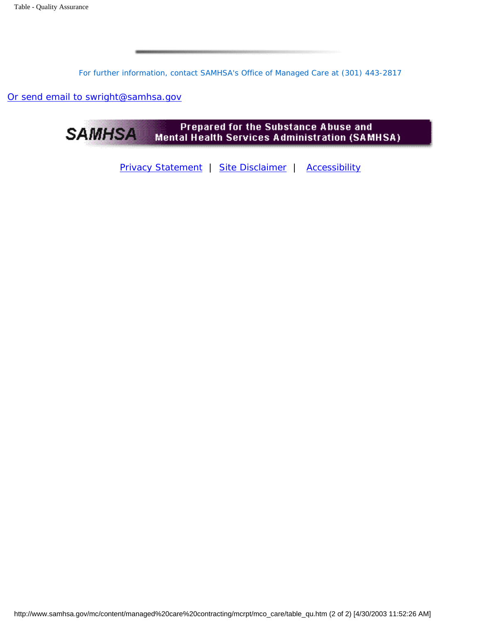*For further information, contact SAMHSA's Office of Managed Care at (301) 443-2817* 

[Or send email to swright@samhsa.gov](Mailto:swright@samhsa.gov)



[Privacy Statement](http://www.samhsa.gov/about/content/privacy.htm) | [Site Disclaimer](http://www.samhsa.gov/about/Disclaimer.html) | [Accessibility](http://www.samhsa.gov/about/content/508.html)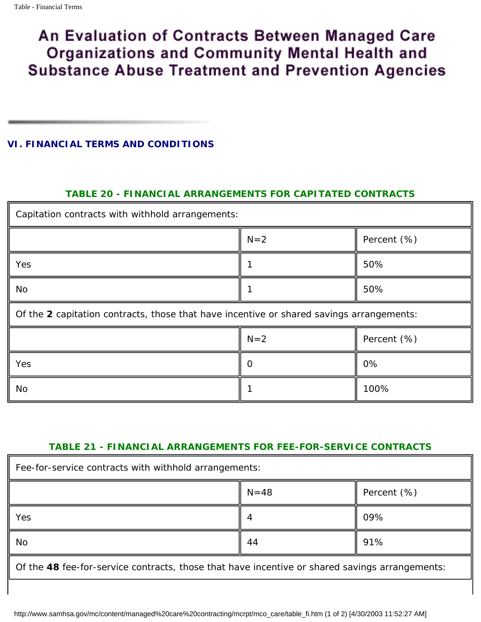# An Evaluation of Contracts Between Managed Care **Organizations and Community Mental Health and Substance Abuse Treatment and Prevention Agencies**

### **VI. FINANCIAL TERMS AND CONDITIONS**

## *TABLE 20 - FINANCIAL ARRANGEMENTS FOR CAPITATED CONTRACTS*

| Capitation contracts with withhold arrangements:                                         |       |                |
|------------------------------------------------------------------------------------------|-------|----------------|
|                                                                                          | $N=2$ | Percent $(\%)$ |
| Yes                                                                                      |       | 50%            |
| No                                                                                       |       | 50%            |
| Of the 2 capitation contracts, those that have incentive or shared savings arrangements: |       |                |
|                                                                                          | $N=2$ | Percent (%)    |
| Yes                                                                                      | 0     | 0%             |
| No                                                                                       |       | 100%           |

## *TABLE 21 - FINANCIAL ARRANGEMENTS FOR FEE-FOR-SERVICE CONTRACTS*

| Fee-for-service contracts with withhold arrangements: |          |                |
|-------------------------------------------------------|----------|----------------|
|                                                       | $N = 48$ | Percent $(\%)$ |
| Yes                                                   | 4        | 09%            |
| N <sub>o</sub>                                        | 44       | 91%            |

Of the **48** fee-for-service contracts, those that have incentive or shared savings arrangements: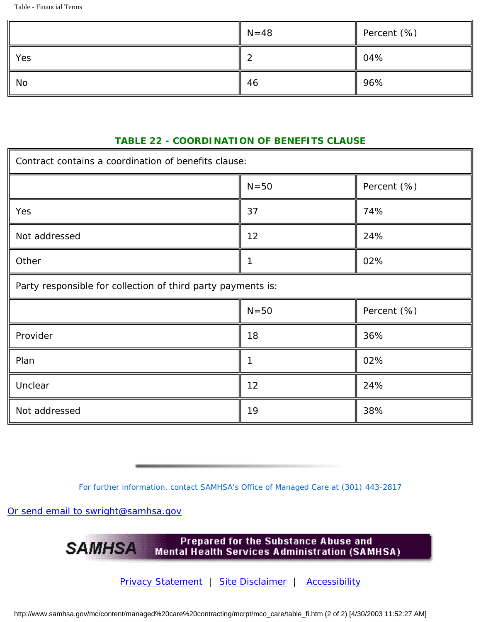Table - Financial Terms

|     | $\parallel$ N=48 | Percent (%)      |
|-----|------------------|------------------|
| Yes | ာ<br>∼           | $\parallel 04\%$ |
| No  | 46               | 96%              |

## *TABLE 22 - COORDINATION OF BENEFITS CLAUSE*

| Contract contains a coordination of benefits clause:         |                       |     |  |  |
|--------------------------------------------------------------|-----------------------|-----|--|--|
|                                                              | $N=50$<br>Percent (%) |     |  |  |
| Yes                                                          | 37                    | 74% |  |  |
| Not addressed                                                | 12                    | 24% |  |  |
| Other                                                        | $\mathbf{1}$          | 02% |  |  |
| Party responsible for collection of third party payments is: |                       |     |  |  |
|                                                              | $N=50$<br>Percent (%) |     |  |  |
| Provider                                                     | 18                    | 36% |  |  |
| Plan                                                         | $\mathbf{1}$          | 02% |  |  |
| Unclear                                                      | 12                    | 24% |  |  |
| Not addressed                                                | 19                    | 38% |  |  |

*For further information, contact SAMHSA's Office of Managed Care at (301) 443-2817* 

[Or send email to swright@samhsa.gov](Mailto:swright@samhsa.gov)

Prepared for the Substance Abuse and **SAMHSA Mental Health Services Administration (SAMHSA)** 

[Privacy Statement](http://www.samhsa.gov/about/content/privacy.htm) | [Site Disclaimer](http://www.samhsa.gov/about/Disclaimer.html) | [Accessibility](http://www.samhsa.gov/about/content/508.html)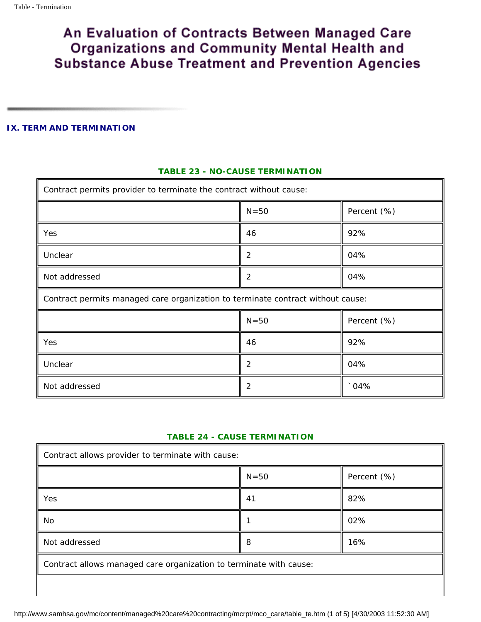## An Evaluation of Contracts Between Managed Care Organizations and Community Mental Health and **Substance Abuse Treatment and Prevention Agencies**

#### **IX. TERM AND TERMINATION**

#### *TABLE 23 - NO-CAUSE TERMINATION*

| Contract permits <i>provider</i> to terminate the contract without cause:       |                         |             |  |  |
|---------------------------------------------------------------------------------|-------------------------|-------------|--|--|
|                                                                                 | $N=50$<br>Percent (%)   |             |  |  |
| Yes                                                                             | 46                      | 92%         |  |  |
| Unclear                                                                         | $\boldsymbol{2}$<br>04% |             |  |  |
| Not addressed                                                                   | $\boldsymbol{2}$<br>04% |             |  |  |
| Contract permits managed care organization to terminate contract without cause: |                         |             |  |  |
| $N=50$<br>Percent (%)                                                           |                         |             |  |  |
| Yes                                                                             | 46                      | 92%         |  |  |
| Unclear                                                                         | 2                       | 04%         |  |  |
| Not addressed                                                                   | $\boldsymbol{2}$        | $\cdot$ 04% |  |  |

#### *TABLE 24 - CAUSE TERMINATION*

| Contract allows <i>provider</i> to terminate with cause:           |    |     |  |  |
|--------------------------------------------------------------------|----|-----|--|--|
| $N=50$<br>Percent (%)                                              |    |     |  |  |
| Yes                                                                | 41 | 82% |  |  |
| 02%<br>No                                                          |    |     |  |  |
| Not addressed<br>16%<br>8                                          |    |     |  |  |
| Contract allows managed care organization to terminate with cause: |    |     |  |  |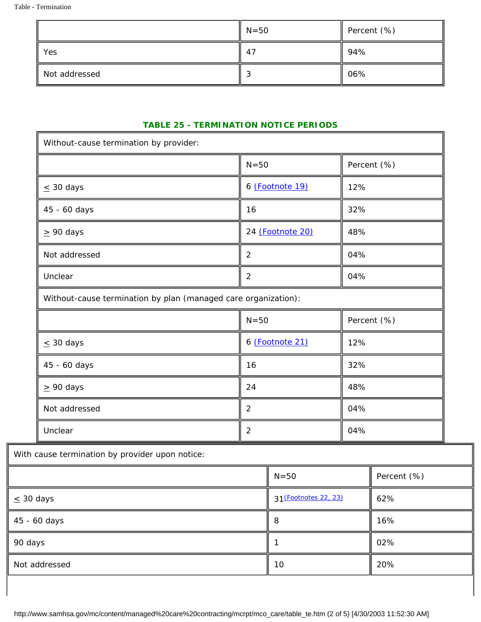|               | $N=50$ | Percent (%) |
|---------------|--------|-------------|
| Yes           | 47     | 94%         |
| Not addressed |        | 06%         |

#### *TABLE 25 - TERMINATION NOTICE PERIODS*

<span id="page-75-1"></span><span id="page-75-0"></span>

| Without-cause termination by provider:                         |                  |                       |     |             |
|----------------------------------------------------------------|------------------|-----------------------|-----|-------------|
|                                                                | $N = 50$         |                       |     | Percent (%) |
| $\leq 30$ days                                                 | 6 (Footnote 19)  |                       | 12% |             |
| 45 - 60 days                                                   | 16               |                       | 32% |             |
| $\geq 90$ days                                                 | 24 (Footnote 20) |                       | 48% |             |
| Not addressed                                                  | $\boldsymbol{2}$ |                       | 04% |             |
| <b>Unclear</b>                                                 | $\boldsymbol{2}$ |                       | 04% |             |
| Without-cause termination by plan (managed care organization): |                  |                       |     |             |
|                                                                | $N = 50$         |                       |     | Percent (%) |
| $\leq 30$ days                                                 | 6 (Footnote 21)  |                       | 12% |             |
| 45 - 60 days                                                   | 16               |                       | 32% |             |
| $\geq 90$ days                                                 | 24               |                       | 48% |             |
| Not addressed                                                  | $\boldsymbol{2}$ |                       | 04% |             |
| Unclear                                                        | $\boldsymbol{2}$ |                       | 04% |             |
| With cause termination by provider upon notice:                |                  |                       |     |             |
|                                                                |                  | $N=50$                |     | Percent (%) |
| $\leq 30$ days                                                 |                  | 31 (Footnotes 22, 23) |     | 62%         |
|                                                                |                  |                       |     |             |

<span id="page-75-3"></span><span id="page-75-2"></span> $45 - 60 \text{ days}$  16% 90 days  $\parallel$  1  $\parallel$  02% Not addressed  $\parallel$  10  $\parallel$  20%

http://www.samhsa.gov/mc/content/managed%20care%20contracting/mcrpt/mco\_care/table\_te.htm (2 of 5) [4/30/2003 11:52:30 AM]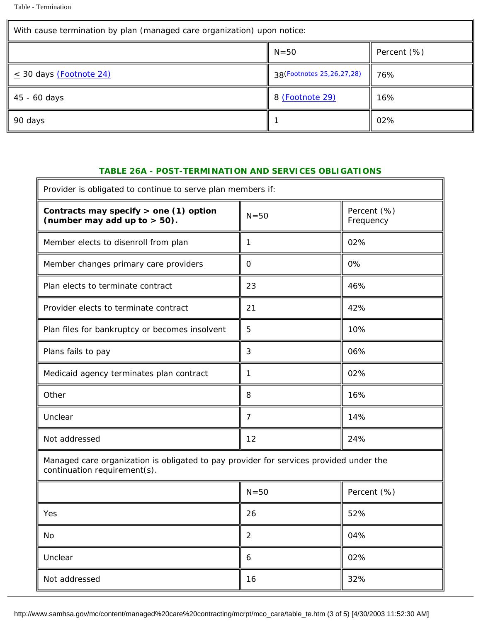F

<span id="page-76-2"></span><span id="page-76-1"></span><span id="page-76-0"></span>

| With cause termination by plan (managed care organization) upon notice: |                               |                |  |
|-------------------------------------------------------------------------|-------------------------------|----------------|--|
|                                                                         | $N = 50$                      | Percent $(\%)$ |  |
| $\leq$ 30 days (Footnote 24)                                            | 38 (Footnotes 25, 26, 27, 28) | 76%            |  |
| 45 - 60 days                                                            | 8 (Footnote 29)               | 16%            |  |
| 90 days                                                                 |                               | 02%            |  |

#### *TABLE 26A - POST-TERMINATION AND SERVICES OBLIGATIONS*

 $\overline{\mathbf{u}}$ 

| Provider is obligated to continue to serve plan members if:                                                            |                  |                          |  |
|------------------------------------------------------------------------------------------------------------------------|------------------|--------------------------|--|
| Contracts may specify $>$ one (1) option<br>(number may add up to $> 50$ ).                                            | $N = 50$         | Percent (%)<br>Frequency |  |
| Member elects to disenroll from plan                                                                                   | $\mathbf{1}$     | 02%                      |  |
| Member changes primary care providers                                                                                  | $\mathbf{0}$     | 0%                       |  |
| Plan elects to terminate contract                                                                                      | 23               | 46%                      |  |
| Provider elects to terminate contract                                                                                  | 21               | 42%                      |  |
| Plan files for bankruptcy or becomes insolvent                                                                         | $\bf 5$          | 10%                      |  |
| Plans fails to pay                                                                                                     | 3                | 06%                      |  |
| Medicaid agency terminates plan contract                                                                               | 1                | 02%                      |  |
| Other                                                                                                                  | 8                | 16%                      |  |
| Unclear                                                                                                                | $\overline{7}$   | 14%                      |  |
| Not addressed                                                                                                          | 12               | 24%                      |  |
| Managed care organization is obligated to pay provider for services provided under the<br>continuation requirement(s). |                  |                          |  |
|                                                                                                                        | $N = 50$         | Percent (%)              |  |
| Yes                                                                                                                    | 26               | 52%                      |  |
| No                                                                                                                     | $\boldsymbol{2}$ | 04%                      |  |
| Unclear                                                                                                                | 6                | 02%                      |  |
| Not addressed                                                                                                          | 16               | 32%                      |  |

http://www.samhsa.gov/mc/content/managed%20care%20contracting/mcrpt/mco\_care/table\_te.htm (3 of 5) [4/30/2003 11:52:30 AM]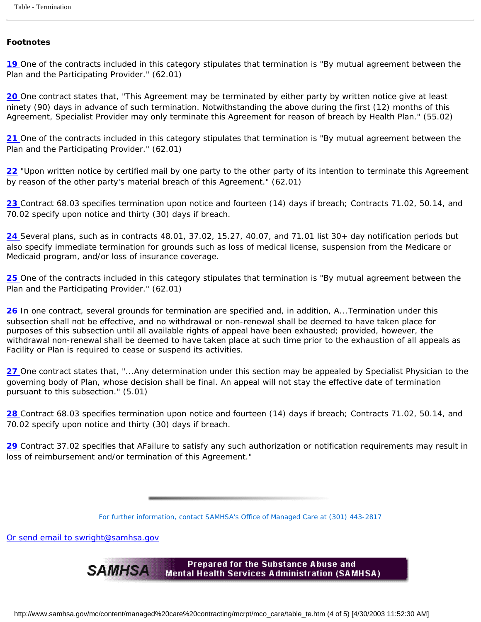#### <span id="page-77-0"></span>*Footnotes*

[19](#page-75-0) One of the contracts included in this category stipulates that termination is "By mutual agreement between the Plan and the Participating Provider." (62.01)

<span id="page-77-1"></span>*[20](#page-75-1)* One contract states that, "This Agreement may be terminated by either party by written notice give at least ninety (90) days in advance of such termination. Notwithstanding the above during the first (12) months of this Agreement, Specialist Provider may only terminate this Agreement for reason of breach by Health Plan." (55.02)

<span id="page-77-2"></span>[21](#page-75-2) One of the contracts included in this category stipulates that termination is "By mutual agreement between the Plan and the Participating Provider." (62.01)

*[22](#page-75-3)* "Upon written notice by certified mail by one party to the other party of its intention to terminate this Agreement by reason of the other party's material breach of this Agreement." (62.01)

<span id="page-77-3"></span>[23](#page-75-3) Contract 68.03 specifies termination upon notice and fourteen (14) days if breach; Contracts 71.02, 50.14, and 70.02 specify upon notice and thirty (30) days if breach.

<span id="page-77-4"></span>*[24](#page-76-0)* Several plans, such as in contracts 48.01, 37.02, 15.27, 40.07, and 71.01 list 30+ day notification periods but also specify immediate termination for grounds such as loss of medical license, suspension from the Medicare or Medicaid program, and/or loss of insurance coverage.

[25](#page-76-1) One of the contracts included in this category stipulates that termination is "By mutual agreement between the Plan and the Participating Provider." (62.01)

<span id="page-77-5"></span>[26](#page-76-1) In one contract, several grounds for termination are specified and, in addition, A...Termination under this subsection shall not be effective, and no withdrawal or non-renewal shall be deemed to have taken place for purposes of this subsection until all available rights of appeal have been exhausted; provided, however, the withdrawal non-renewal shall be deemed to have taken place at such time prior to the exhaustion of all appeals as Facility or Plan is required to cease or suspend its activities.

*[27](#page-76-1)* One contract states that, "...Any determination under this section may be appealed by Specialist Physician to the governing body of Plan, whose decision shall be final. An appeal will not stay the effective date of termination pursuant to this subsection." (5.01)

*[28](#page-76-1)* Contract 68.03 specifies termination upon notice and fourteen (14) days if breach; Contracts 71.02, 50.14, and 70.02 specify upon notice and thirty (30) days if breach.

<span id="page-77-6"></span>*[29](#page-76-2)* Contract 37.02 specifies that AFailure to satisfy any such authorization or notification requirements may result in loss of reimbursement and/or termination of this Agreement."

*For further information, contact SAMHSA's Office of Managed Care at (301) 443-2817* 

[Or send email to swright@samhsa.gov](Mailto:swright@samhsa.gov)



http://www.samhsa.gov/mc/content/managed%20care%20contracting/mcrpt/mco\_care/table\_te.htm (4 of 5) [4/30/2003 11:52:30 AM]